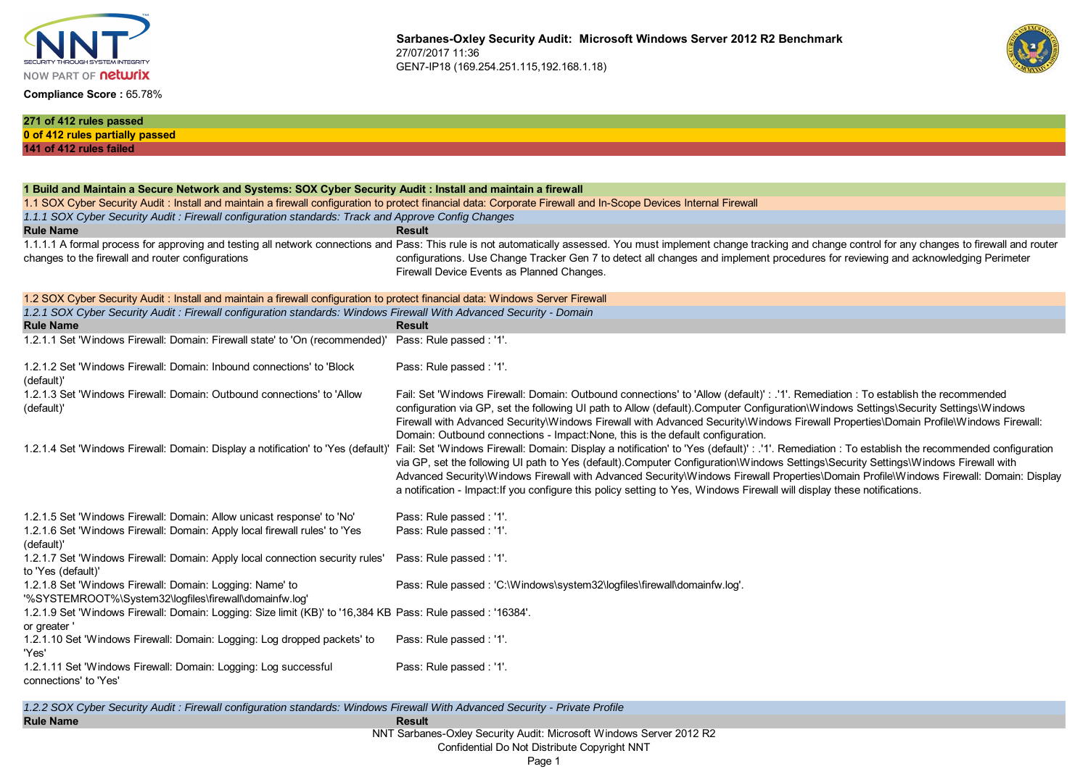

### **Compliance Score :** 65.78%



| 271 of 412 rules passed                                                                                                                                           |                                                                                                                                                                                                                            |
|-------------------------------------------------------------------------------------------------------------------------------------------------------------------|----------------------------------------------------------------------------------------------------------------------------------------------------------------------------------------------------------------------------|
| 0 of 412 rules partially passed                                                                                                                                   |                                                                                                                                                                                                                            |
| 141 of 412 rules failed                                                                                                                                           |                                                                                                                                                                                                                            |
|                                                                                                                                                                   |                                                                                                                                                                                                                            |
|                                                                                                                                                                   |                                                                                                                                                                                                                            |
| 1 Build and Maintain a Secure Network and Systems: SOX Cyber Security Audit : Install and maintain a firewall                                                     |                                                                                                                                                                                                                            |
| 1.1 SOX Cyber Security Audit : Install and maintain a firewall configuration to protect financial data: Corporate Firewall and In-Scope Devices Internal Firewall |                                                                                                                                                                                                                            |
| 1.1.1 SOX Cyber Security Audit : Firewall configuration standards: Track and Approve Config Changes                                                               |                                                                                                                                                                                                                            |
| <b>Rule Name</b>                                                                                                                                                  | <b>Result</b>                                                                                                                                                                                                              |
|                                                                                                                                                                   | 1.1.1.1 A formal process for approving and testing all network connections and Pass: This rule is not automatically assessed. You must implement change tracking and change control for any changes to firewall and router |
| changes to the firewall and router configurations                                                                                                                 | configurations. Use Change Tracker Gen 7 to detect all changes and implement procedures for reviewing and acknowledging Perimeter                                                                                          |
|                                                                                                                                                                   | Firewall Device Events as Planned Changes.                                                                                                                                                                                 |
| 1.2 SOX Cyber Security Audit: Install and maintain a firewall configuration to protect financial data: Windows Server Firewall                                    |                                                                                                                                                                                                                            |
| 1.2.1 SOX Cyber Security Audit : Firewall configuration standards: Windows Firewall With Advanced Security - Domain                                               |                                                                                                                                                                                                                            |
| <b>Rule Name</b>                                                                                                                                                  | <b>Result</b>                                                                                                                                                                                                              |
| 1.2.1.1 Set 'Windows Firewall: Domain: Firewall state' to 'On (recommended)' Pass: Rule passed : '1'.                                                             |                                                                                                                                                                                                                            |
|                                                                                                                                                                   |                                                                                                                                                                                                                            |
| 1.2.1.2 Set 'Windows Firewall: Domain: Inbound connections' to 'Block                                                                                             | Pass: Rule passed : '1'.                                                                                                                                                                                                   |
| (default)'                                                                                                                                                        |                                                                                                                                                                                                                            |
| 1.2.1.3 Set 'Windows Firewall: Domain: Outbound connections' to 'Allow                                                                                            | Fail: Set 'Windows Firewall: Domain: Outbound connections' to 'Allow (default)' : .'1'. Remediation : To establish the recommended                                                                                         |
| (default)                                                                                                                                                         | configuration via GP, set the following UI path to Allow (default). Computer Configuration\Windows Settings\Security Settings\Windows                                                                                      |
|                                                                                                                                                                   | Firewall with Advanced Security\Windows Firewall with Advanced Security\Windows Firewall Properties\Domain Profile\Windows Firewall:                                                                                       |
|                                                                                                                                                                   | Domain: Outbound connections - Impact: None, this is the default configuration.                                                                                                                                            |
| 1.2.1.4 Set 'Windows Firewall: Domain: Display a notification' to 'Yes (default)                                                                                  | Fail: Set 'Windows Firewall: Domain: Display a notification' to 'Yes (default)' : .'1'. Remediation : To establish the recommended configuration                                                                           |
|                                                                                                                                                                   | via GP, set the following UI path to Yes (default).Computer Configuration\Windows Settings\Security Settings\Windows Firewall with                                                                                         |
|                                                                                                                                                                   | Advanced Security\Windows Firewall with Advanced Security\Windows Firewall Properties\Domain Profile\Windows Firewall: Domain: Display                                                                                     |
|                                                                                                                                                                   | a notification - Impact: If you configure this policy setting to Yes, Windows Firewall will display these notifications.                                                                                                   |
| 1.2.1.5 Set 'Windows Firewall: Domain: Allow unicast response' to 'No'                                                                                            | Pass: Rule passed : '1'.                                                                                                                                                                                                   |
| 1.2.1.6 Set 'Windows Firewall: Domain: Apply local firewall rules' to 'Yes                                                                                        | Pass: Rule passed : '1'.                                                                                                                                                                                                   |
| (default)                                                                                                                                                         |                                                                                                                                                                                                                            |
| 1.2.1.7 Set 'Windows Firewall: Domain: Apply local connection security rules'                                                                                     | Pass: Rule passed : '1'.                                                                                                                                                                                                   |
| to 'Yes (default)'                                                                                                                                                |                                                                                                                                                                                                                            |
| 1.2.1.8 Set 'Windows Firewall: Domain: Logging: Name' to                                                                                                          | Pass: Rule passed: 'C:\Windows\system32\logfiles\firewall\domainfw.log'.                                                                                                                                                   |
| '%SYSTEMROOT%\System32\logfiles\firewall\domainfw.log'                                                                                                            |                                                                                                                                                                                                                            |
| 1.2.1.9 Set 'Windows Firewall: Domain: Logging: Size limit (KB)' to '16,384 KB Pass: Rule passed: '16384'.                                                        |                                                                                                                                                                                                                            |
| or greater '                                                                                                                                                      |                                                                                                                                                                                                                            |
| 1.2.1.10 Set 'Windows Firewall: Domain: Logging: Log dropped packets' to                                                                                          | Pass: Rule passed : '1'.                                                                                                                                                                                                   |
| 'Yes'                                                                                                                                                             |                                                                                                                                                                                                                            |
| 1.2.1.11 Set 'Windows Firewall: Domain: Logging: Log successful                                                                                                   | Pass: Rule passed: '1'.                                                                                                                                                                                                    |
| connections' to 'Yes'                                                                                                                                             |                                                                                                                                                                                                                            |
|                                                                                                                                                                   |                                                                                                                                                                                                                            |
| 1.2.2 SOX Cyber Security Audit: Firewall configuration standards: Windows Firewall With Advanced Security - Private Profile                                       |                                                                                                                                                                                                                            |

NNT Sarbanes-Oxley Security Audit: Microsoft Windows Server 2012 R2

Confidential Do Not Distribute Copyright NNT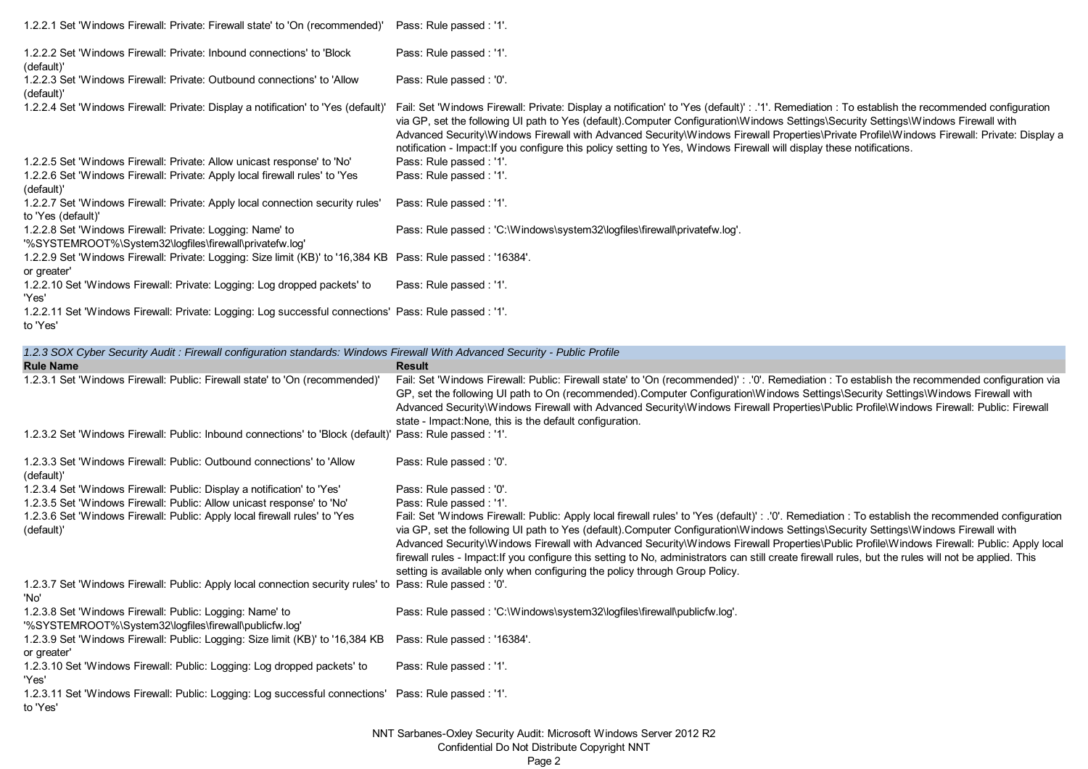| 1.2.2.1 Set 'Windows Firewall: Private: Firewall state' to 'On (recommended)'                                                                                        | Pass: Rule passed : '1'.                                                                                                                                                                                                                                                                                                                                                                                                                                                                                                                                                                                                                                                                                     |
|----------------------------------------------------------------------------------------------------------------------------------------------------------------------|--------------------------------------------------------------------------------------------------------------------------------------------------------------------------------------------------------------------------------------------------------------------------------------------------------------------------------------------------------------------------------------------------------------------------------------------------------------------------------------------------------------------------------------------------------------------------------------------------------------------------------------------------------------------------------------------------------------|
| 1.2.2.2 Set 'Windows Firewall: Private: Inbound connections' to 'Block<br>(default)'                                                                                 | Pass: Rule passed : '1'.                                                                                                                                                                                                                                                                                                                                                                                                                                                                                                                                                                                                                                                                                     |
| 1.2.2.3 Set 'Windows Firewall: Private: Outbound connections' to 'Allow<br>(default)'                                                                                | Pass: Rule passed : '0'.                                                                                                                                                                                                                                                                                                                                                                                                                                                                                                                                                                                                                                                                                     |
| 1.2.2.4 Set 'Windows Firewall: Private: Display a notification' to 'Yes (default)'                                                                                   | Fail: Set 'Windows Firewall: Private: Display a notification' to 'Yes (default)' : .'1'. Remediation : To establish the recommended configuration<br>via GP, set the following UI path to Yes (default).Computer Configuration\Windows Settings\Security Settings\Windows Firewall with<br>Advanced Security\Windows Firewall with Advanced Security\Windows Firewall Properties\Private Profile\Windows Firewall: Private: Display a<br>notification - Impact: If you configure this policy setting to Yes, Windows Firewall will display these notifications.                                                                                                                                              |
| 1.2.2.5 Set 'Windows Firewall: Private: Allow unicast response' to 'No'<br>1.2.2.6 Set 'Windows Firewall: Private: Apply local firewall rules' to 'Yes<br>(default)' | Pass: Rule passed : '1'.<br>Pass: Rule passed : '1'.                                                                                                                                                                                                                                                                                                                                                                                                                                                                                                                                                                                                                                                         |
| 1.2.2.7 Set 'Windows Firewall: Private: Apply local connection security rules'<br>to 'Yes (default)'                                                                 | Pass: Rule passed : '1'.                                                                                                                                                                                                                                                                                                                                                                                                                                                                                                                                                                                                                                                                                     |
| 1.2.2.8 Set 'Windows Firewall: Private: Logging: Name' to<br>'%SYSTEMROOT%\System32\logfiles\firewall\privatefw.log'                                                 | Pass: Rule passed: 'C:\Windows\system32\logfiles\firewall\privatefw.log'.                                                                                                                                                                                                                                                                                                                                                                                                                                                                                                                                                                                                                                    |
| 1.2.2.9 Set 'Windows Firewall: Private: Logging: Size limit (KB)' to '16,384 KB Pass: Rule passed: '16384'.<br>or greater'                                           |                                                                                                                                                                                                                                                                                                                                                                                                                                                                                                                                                                                                                                                                                                              |
| 1.2.2.10 Set 'Windows Firewall: Private: Logging: Log dropped packets' to<br>'Yes'                                                                                   | Pass: Rule passed : '1'.                                                                                                                                                                                                                                                                                                                                                                                                                                                                                                                                                                                                                                                                                     |
| 1.2.2.11 Set 'Windows Firewall: Private: Logging: Log successful connections' Pass: Rule passed : '1'.<br>to 'Yes'                                                   |                                                                                                                                                                                                                                                                                                                                                                                                                                                                                                                                                                                                                                                                                                              |
| 1.2.3 SOX Cyber Security Audit: Firewall configuration standards: Windows Firewall With Advanced Security - Public Profile                                           |                                                                                                                                                                                                                                                                                                                                                                                                                                                                                                                                                                                                                                                                                                              |
|                                                                                                                                                                      |                                                                                                                                                                                                                                                                                                                                                                                                                                                                                                                                                                                                                                                                                                              |
| <b>Rule Name</b>                                                                                                                                                     | <b>Result</b>                                                                                                                                                                                                                                                                                                                                                                                                                                                                                                                                                                                                                                                                                                |
| 1.2.3.1 Set 'Windows Firewall: Public: Firewall state' to 'On (recommended)'                                                                                         | Fail: Set 'Windows Firewall: Public: Firewall state' to 'On (recommended)' : .'0'. Remediation : To establish the recommended configuration via<br>GP, set the following UI path to On (recommended).Computer Configuration\Windows Settings\Security Settings\Windows Firewall with<br>Advanced Security\Windows Firewall with Advanced Security\Windows Firewall Properties\Public Profile\Windows Firewall: Public: Firewall                                                                                                                                                                                                                                                                              |
| 1.2.3.2 Set 'Windows Firewall: Public: Inbound connections' to 'Block (default)' Pass: Rule passed : '1'.                                                            | state - Impact: None, this is the default configuration.                                                                                                                                                                                                                                                                                                                                                                                                                                                                                                                                                                                                                                                     |
| 1.2.3.3 Set 'Windows Firewall: Public: Outbound connections' to 'Allow                                                                                               | Pass: Rule passed : '0'.                                                                                                                                                                                                                                                                                                                                                                                                                                                                                                                                                                                                                                                                                     |
| (default)'<br>1.2.3.4 Set 'Windows Firewall: Public: Display a notification' to 'Yes'                                                                                | Pass: Rule passed : '0'.                                                                                                                                                                                                                                                                                                                                                                                                                                                                                                                                                                                                                                                                                     |
| 1.2.3.5 Set 'Windows Firewall: Public: Allow unicast response' to 'No'<br>1.2.3.6 Set 'Windows Firewall: Public: Apply local firewall rules' to 'Yes<br>(default)'   | Pass: Rule passed : '1'.<br>Fail: Set 'Windows Firewall: Public: Apply local firewall rules' to 'Yes (default)' : .'0'. Remediation : To establish the recommended configuration<br>via GP, set the following UI path to Yes (default).Computer Configuration\Windows Settings\Security Settings\Windows Firewall with<br>Advanced Security\Windows Firewall with Advanced Security\Windows Firewall Properties\Public Profile\Windows Firewall: Public: Apply local<br>firewall rules - Impact: If you configure this setting to No, administrators can still create firewall rules, but the rules will not be applied. This<br>setting is available only when configuring the policy through Group Policy. |
| 1.2.3.7 Set 'Windows Firewall: Public: Apply local connection security rules' to Pass: Rule passed : '0'.<br>'No'                                                    |                                                                                                                                                                                                                                                                                                                                                                                                                                                                                                                                                                                                                                                                                                              |
| 1.2.3.8 Set 'Windows Firewall: Public: Logging: Name' to<br>'%SYSTEMROOT%\System32\logfiles\firewall\publicfw.log'                                                   | Pass: Rule passed: 'C:\Windows\system32\logfiles\firewall\publicfw.log'.                                                                                                                                                                                                                                                                                                                                                                                                                                                                                                                                                                                                                                     |
| 1.2.3.9 Set 'Windows Firewall: Public: Logging: Size limit (KB)' to '16,384 KB<br>or greater'                                                                        | Pass: Rule passed: '16384'.                                                                                                                                                                                                                                                                                                                                                                                                                                                                                                                                                                                                                                                                                  |
| 1.2.3.10 Set 'Windows Firewall: Public: Logging: Log dropped packets' to<br>'Yes'                                                                                    | Pass: Rule passed : '1'.                                                                                                                                                                                                                                                                                                                                                                                                                                                                                                                                                                                                                                                                                     |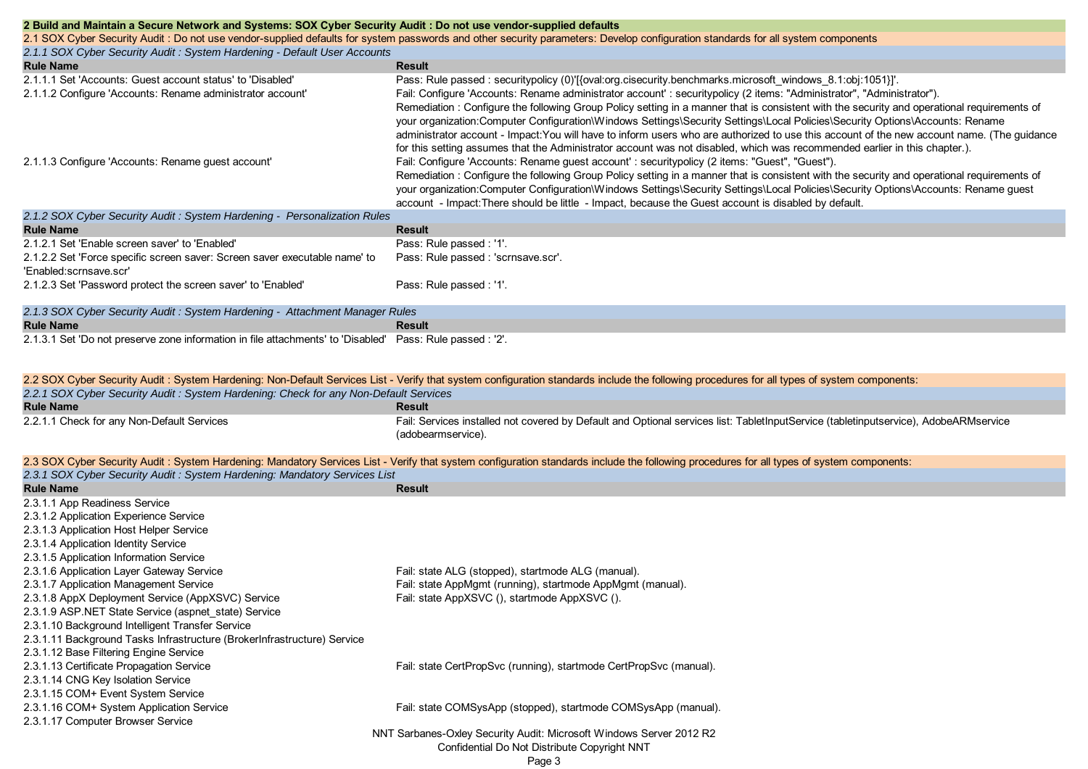| 2 Build and Maintain a Secure Network and Systems: SOX Cyber Security Audit: Do not use vendor-supplied defaults<br>2.1 SOX Cyber Security Audit : Do not use vendor-supplied defaults for system passwords and other security parameters: Develop configuration standards for all system components<br>2.1.1 SOX Cyber Security Audit: System Hardening - Default User Accounts |                                                                                                                                                                                                                                                                                                                                                                                                                                                                                                                                                                                                                                                                                                                                                                                                                                                                                                                                                                                                                                                                                                                                                                                                                                                                                             |  |
|----------------------------------------------------------------------------------------------------------------------------------------------------------------------------------------------------------------------------------------------------------------------------------------------------------------------------------------------------------------------------------|---------------------------------------------------------------------------------------------------------------------------------------------------------------------------------------------------------------------------------------------------------------------------------------------------------------------------------------------------------------------------------------------------------------------------------------------------------------------------------------------------------------------------------------------------------------------------------------------------------------------------------------------------------------------------------------------------------------------------------------------------------------------------------------------------------------------------------------------------------------------------------------------------------------------------------------------------------------------------------------------------------------------------------------------------------------------------------------------------------------------------------------------------------------------------------------------------------------------------------------------------------------------------------------------|--|
| <b>Rule Name</b>                                                                                                                                                                                                                                                                                                                                                                 | <b>Result</b>                                                                                                                                                                                                                                                                                                                                                                                                                                                                                                                                                                                                                                                                                                                                                                                                                                                                                                                                                                                                                                                                                                                                                                                                                                                                               |  |
| 2.1.1.1 Set 'Accounts: Guest account status' to 'Disabled'<br>2.1.1.2 Configure 'Accounts: Rename administrator account'<br>2.1.1.3 Configure 'Accounts: Rename guest account'                                                                                                                                                                                                   | Pass: Rule passed: securitypolicy (0)'[{oval:org.cisecurity.benchmarks.microsoft windows 8.1:obj:1051}]'.<br>Fail: Configure 'Accounts: Rename administrator account': securitypolicy (2 items: "Administrator", "Administrator").<br>Remediation: Configure the following Group Policy setting in a manner that is consistent with the security and operational requirements of<br>your organization:Computer Configuration\Windows Settings\Security Settings\Local Policies\Security Options\Accounts: Rename<br>administrator account - Impact: You will have to inform users who are authorized to use this account of the new account name. (The guidance<br>for this setting assumes that the Administrator account was not disabled, which was recommended earlier in this chapter.).<br>Fail: Configure 'Accounts: Rename guest account' : securitypolicy (2 items: "Guest", "Guest").<br>Remediation: Configure the following Group Policy setting in a manner that is consistent with the security and operational requirements of<br>your organization:Computer Configuration\Windows Settings\Security Settings\Local Policies\Security Options\Accounts: Rename guest<br>account - Impact: There should be little - Impact, because the Guest account is disabled by default. |  |
| 2.1.2 SOX Cyber Security Audit: System Hardening - Personalization Rules                                                                                                                                                                                                                                                                                                         |                                                                                                                                                                                                                                                                                                                                                                                                                                                                                                                                                                                                                                                                                                                                                                                                                                                                                                                                                                                                                                                                                                                                                                                                                                                                                             |  |
| <b>Rule Name</b>                                                                                                                                                                                                                                                                                                                                                                 | <b>Result</b>                                                                                                                                                                                                                                                                                                                                                                                                                                                                                                                                                                                                                                                                                                                                                                                                                                                                                                                                                                                                                                                                                                                                                                                                                                                                               |  |
| 2.1.2.1 Set 'Enable screen saver' to 'Enabled'<br>2.1.2.2 Set 'Force specific screen saver: Screen saver executable name' to                                                                                                                                                                                                                                                     | Pass: Rule passed : '1'.<br>Pass: Rule passed : 'scrnsave.scr'.                                                                                                                                                                                                                                                                                                                                                                                                                                                                                                                                                                                                                                                                                                                                                                                                                                                                                                                                                                                                                                                                                                                                                                                                                             |  |
| 'Enabled:scrnsave.scr'<br>2.1.2.3 Set 'Password protect the screen saver' to 'Enabled'                                                                                                                                                                                                                                                                                           | Pass: Rule passed : '1'.                                                                                                                                                                                                                                                                                                                                                                                                                                                                                                                                                                                                                                                                                                                                                                                                                                                                                                                                                                                                                                                                                                                                                                                                                                                                    |  |
| 2.1.3 SOX Cyber Security Audit: System Hardening - Attachment Manager Rules                                                                                                                                                                                                                                                                                                      |                                                                                                                                                                                                                                                                                                                                                                                                                                                                                                                                                                                                                                                                                                                                                                                                                                                                                                                                                                                                                                                                                                                                                                                                                                                                                             |  |
| <b>Rule Name</b>                                                                                                                                                                                                                                                                                                                                                                 | <b>Result</b>                                                                                                                                                                                                                                                                                                                                                                                                                                                                                                                                                                                                                                                                                                                                                                                                                                                                                                                                                                                                                                                                                                                                                                                                                                                                               |  |

2.1.3.1 Set 'Do not preserve zone information in file attachments' to 'Disabled' Pass: Rule passed : '2'.

|                                                                                      | 2.2 SOX Cyber Security Audit: System Hardening: Non-Default Services List - Verify that system configuration standards include the following procedures for all types of system components: |  |
|--------------------------------------------------------------------------------------|---------------------------------------------------------------------------------------------------------------------------------------------------------------------------------------------|--|
| 2.2.1 SOX Cyber Security Audit: System Hardening: Check for any Non-Default Services |                                                                                                                                                                                             |  |
| <b>Rule Name</b>                                                                     | <b>Result</b>                                                                                                                                                                               |  |
| 2.2.1.1 Check for any Non-Default Services                                           | Fail: Services installed not covered by Default and Optional services list: TabletInputService (tabletinputservice), AdobeARMservice                                                        |  |
|                                                                                      | (adobearmservice).                                                                                                                                                                          |  |

| 2.3 SOX Cyber Security Audit: System Hardening: Mandatory Services List - Verify that system configuration standards include the following procedures for all types of system components: |
|-------------------------------------------------------------------------------------------------------------------------------------------------------------------------------------------|
| 2.3.1 SOX Cyber Security Audit: System Hardening: Mandatory Services List                                                                                                                 |

| E.o., José Opoc. Joodiny Addit. Opotom Adriaoning. Manadiony Johnson Elot<br><b>Rule Name</b> | <b>Result</b>                                                       |
|-----------------------------------------------------------------------------------------------|---------------------------------------------------------------------|
| 2.3.1.1 App Readiness Service                                                                 |                                                                     |
| 2.3.1.2 Application Experience Service                                                        |                                                                     |
| 2.3.1.3 Application Host Helper Service                                                       |                                                                     |
| 2.3.1.4 Application Identity Service                                                          |                                                                     |
| 2.3.1.5 Application Information Service                                                       |                                                                     |
| 2.3.1.6 Application Layer Gateway Service                                                     | Fail: state ALG (stopped), startmode ALG (manual).                  |
| 2.3.1.7 Application Management Service                                                        | Fail: state AppMgmt (running), startmode AppMgmt (manual).          |
|                                                                                               | Fail: state AppXSVC (), startmode AppXSVC ().                       |
| 2.3.1.8 AppX Deployment Service (AppXSVC) Service                                             |                                                                     |
| 2.3.1.9 ASP. NET State Service (aspnet state) Service                                         |                                                                     |
| 2.3.1.10 Background Intelligent Transfer Service                                              |                                                                     |
| 2.3.1.11 Background Tasks Infrastructure (BrokerInfrastructure) Service                       |                                                                     |
| 2.3.1.12 Base Filtering Engine Service                                                        |                                                                     |
| 2.3.1.13 Certificate Propagation Service                                                      | Fail: state CertPropSvc (running), startmode CertPropSvc (manual).  |
| 2.3.1.14 CNG Key Isolation Service                                                            |                                                                     |
| 2.3.1.15 COM+ Event System Service                                                            |                                                                     |
| 2.3.1.16 COM+ System Application Service                                                      | Fail: state COMSysApp (stopped), startmode COMSysApp (manual).      |
| 2.3.1.17 Computer Browser Service                                                             |                                                                     |
|                                                                                               | NNT Sarbanes-Oxley Security Audit: Microsoft Windows Server 2012 R2 |
|                                                                                               | Confidential Do Not Distribute Copyright NNT                        |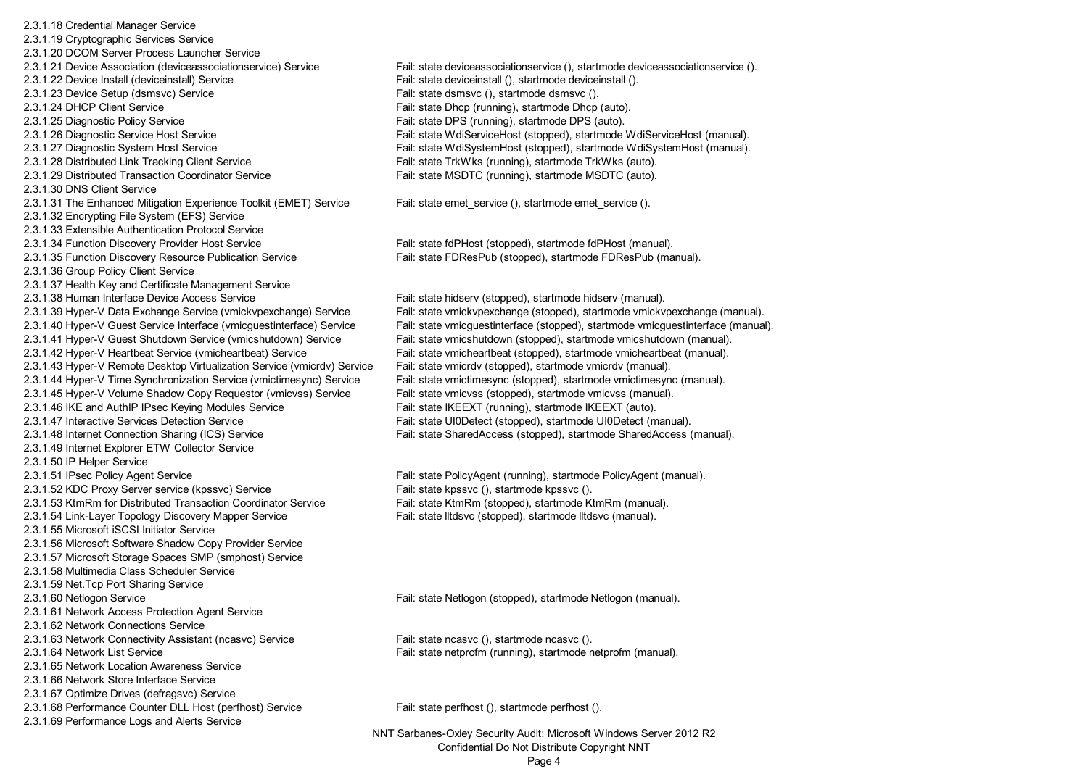2.3.1.18 Credential Manager Service 2.3.1.19 Cryptographic Services Service 2.3.1.20 DCOM Server Process Launcher Service 2.3.1.21 Device Association (deviceassociationservice) Service Fail: state deviceassociationservice (), startmode deviceassociationservice (). 2.3.1.22 Device Install (deviceinstall) Service Fail: state deviceinstall (), startmode deviceinstall (). 2.3.1.23 Device Setup (dsmsvc) Service Fail: state dsmsvc (), startmode dsmsvc (), startmode dsmsvc (). 2.3.1.24 DHCP Client Service Fail: state Dhcp (running), startmode Dhcp (auto). 2.3.1.25 Diagnostic Policy Service Fail: state DPS (running), startmode DPS (auto). 2.3.1.28 Distributed Link Tracking Client Service Fail: state TrkWks (running), startmode TrkWks (auto). 2.3.1.29 Distributed Transaction Coordinator Service Fail: state MSDTC (running), startmode MSDTC (auto). 2.3.1.30 DNS Client Service2.3.1.31 The Enhanced Mitigation Experience Toolkit (EMET) Service Fail: state emet service (), startmode emet service (). 2.3.1.32 Encrypting File System (EFS) Service 2.3.1.33 Extensible Authentication Protocol Service2.3.1.34 Function Discovery Provider Host Service Fail: state fdPHost (stopped), startmode fdPHost (manual). 2.3.1.35 Function Discovery Resource Publication Service Fail: state FDResPub (stopped), startmode FDResPub (manual). 2.3.1.36 Group Policy Client Service 2.3.1.37 Health Key and Certificate Management Service 2.3.1.38 Human Interface Device Access Service Fail: state hidserv (stopped), startmode hidserv (manual). 2.3.1.42 Hyper-V Heartbeat Service (vmicheartbeat) Service Fail: state vmicheartbeat (stopped), startmode vmicheartbeat (manual). 2.3.1.43 Hyper-V Remote Desktop Virtualization Service (vmicrdv) Service Fail: state vmicrdv (stopped), startmode vmicrdv (manual). 2.3.1.44 Hyper-V Time Synchronization Service (vmictimesync) Service Fail: state vmictimesync (stopped), startmode vmictimesync (manual). 2.3.1.45 Hyper-V Volume Shadow Copy Requestor (vmicvss) Service Fail: state vmicvss (stopped), startmode vmicvss (manual). 2.3.1.46 IKE and AuthIP IPsec Keying Modules Service Fail: state IKEEXT (running), startmode IKEEXT (auto). 2.3.1.47 Interactive Services Detection Service Fail: state UI0Detect (stopped), startmode UI0Detect (manual). 2.3.1.48 Internet Connection Sharing (ICS) Service Fail: state SharedAccess (stopped), startmode SharedAccess (manual). 2.3.1.49 Internet Explorer ETW Collector Service 2.3.1.50 IP Helper Service 2.3.1.51 IPsec Policy Agent Service Fail: state PolicyAgent (running), startmode PolicyAgent (manual). 2.3.1.52 KDC Proxy Server service (kpssvc) Service Fail: state kpssvc (), startmode kpssvc (), startmode kpssvc (). 2.3.1.53 KtmRm for Distributed Transaction Coordinator Service Fail: state KtmRm (stopped), startmode KtmRm (manual). 2.3.1.54 Link-Layer Topology Discovery Mapper Service Fail: state lltdsvc (stopped), startmode lltdsvc (manual). 2.3.1.55 Microsoft iSCSI Initiator Service 2.3.1.56 Microsoft Software Shadow Copy Provider Service 2.3.1.57 Microsoft Storage Spaces SMP (smphost) Service 2.3.1.58 Multimedia Class Scheduler Service 2.3.1.59 Net.Tcp Port Sharing Service 2.3.1.60 Netlogon Service Fail: state Netlogon (stopped), startmode Netlogon (manual). 2.3.1.61 Network Access Protection Agent Service 2.3.1.62 Network Connections Service 2.3.1.63 Network Connectivity Assistant (ncasvc) Service Fail: state ncasvc (), startmode ncasvc (), startmode ncasvc (). 2.3.1.64 Network List Service Fail: state netprofm (running), startmode netprofm (manual). 2.3.1.65 Network Location Awareness Service2.3.1.66 Network Store Interface Service 2.3.1.67 Optimize Drives (defragsvc) Service 2.3.1.68 Performance Counter DLL Host (perfhost) Service Fail: state perfhost (), startmode perfhost (). 2.3.1.69 Performance Logs and Alerts Service

2.3.1.26 Diagnostic Service Host Service Fail: state WdiServiceHost (stopped), startmode WdiServiceHost (manual). 2.3.1.27 Diagnostic System Host Service Fail: state WdiSystemHost (stopped), startmode WdiSystemHost (manual).

2.3.1.39 Hyper-V Data Exchange Service (vmickvpexchange) Service Fail: state vmickvpexchange (stopped), startmode vmickvpexchange (manual). 2.3.1.40 Hyper-V Guest Service Interface (vmicguestinterface) Service Fail: state vmicguestinterface (stopped), startmode vmicguestinterface (manual). 2.3.1.41 Hyper-V Guest Shutdown Service (vmicshutdown) Service Fail: state vmicshutdown (stopped), startmode vmicshutdown (manual).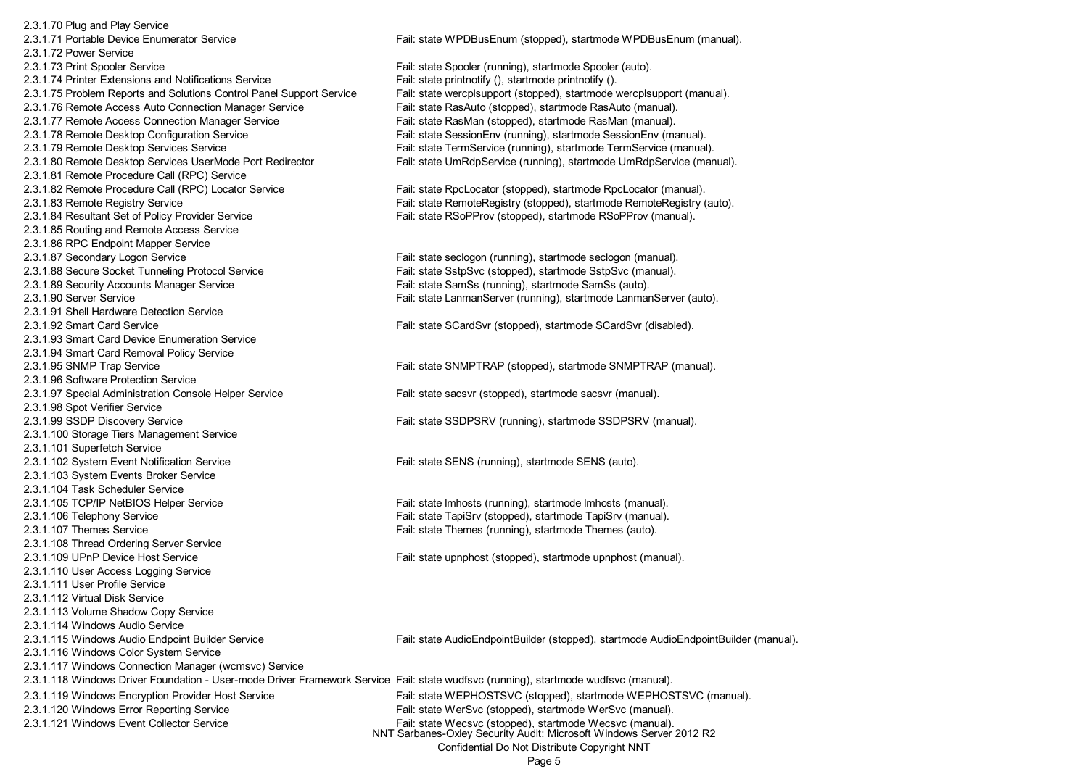2.3.1.70 Plug and Play Service 2.3.1.71 Portable Device Enumerator Service Fail: state WPDBusEnum (stopped), startmode WPDBusEnum (manual). 2.3.1.72 Power Service2.3.1.73 Print Spooler Service Fail: state Spooler (running), startmode Spooler (auto). 2.3.1.74 Printer Extensions and Notifications Service Fail: state printnotify (), startmode printnotify (). 2.3.1.75 Problem Reports and Solutions Control Panel Support Service Fail: state wercplsupport (stopped), startmode wercplsupport (manual). 2.3.1.76 Remote Access Auto Connection Manager Service Fail: state RasAuto (stopped), startmode RasAuto (manual). 2.3.1.77 Remote Access Connection Manager Service Fail: state RasMan (stopped), startmode RasMan (manual). 2.3.1.78 Remote Desktop Configuration Service Fail: state SessionEnv (running), startmode SessionEnv (manual). 2.3.1.79 Remote Desktop Services Service Fail: state TermService (running), startmode TermService (manual). 2.3.1.80 Remote Desktop Services UserMode Port Redirector Fail: state UmRdpService (running), startmode UmRdpService (manual). 2.3.1.81 Remote Procedure Call (RPC) Service 2.3.1.82 Remote Procedure Call (RPC) Locator Service Fail: state RpcLocator (stopped), startmode RpcLocator (manual). 2.3.1.83 Remote Registry Service Fail: state RemoteRegistry (stopped), startmode RemoteRegistry (auto). 2.3.1.84 Resultant Set of Policy Provider Service Fail: state RSoPProv (stopped), startmode RSoPProv (manual). 2.3.1.85 Routing and Remote Access Service 2.3.1.86 RPC Endpoint Mapper Service 2.3.1.87 Secondary Logon Service Fail: state seclogon (running), startmode seclogon (manual). 2.3.1.88 Secure Socket Tunneling Protocol Service Fail: state SstpSvc (stopped), startmode SstpSvc (manual). 2.3.1.89 Security Accounts Manager Service Fail: state SamSs (running), startmode SamSs (auto). 2.3.1.90 Server Service **Fail:** state LanmanServer (running), startmode LanmanServer (auto). 2.3.1.91 Shell Hardware Detection Service2.3.1.92 Smart Card Service Fail: state SCardSvr (stopped), startmode SCardSvr (disabled). 2.3.1.93 Smart Card Device Enumeration Service2.3.1.94 Smart Card Removal Policy Service 2.3.1.95 SNMP Trap Service **Fail:** state SNMPTRAP (stopped), startmode SNMPTRAP (manual). 2.3.1.96 Software Protection Service 2.3.1.97 Special Administration Console Helper Service Fail: state sacsvr (stopped), startmode sacsvr (manual). 2.3.1.98 Spot Verifier Service 2.3.1.99 SSDP Discovery Service Fail: state SSDPSRV (running), startmode SSDPSRV (manual). 2.3.1.100 Storage Tiers Management Service 2.3.1.101 Superfetch Service 2.3.1.102 System Event Notification Service Fail: state SENS (running), startmode SENS (auto). 2.3.1.103 System Events Broker Service 2.3.1.104 Task Scheduler Service2.3.1.105 TCP/IP NetBIOS Helper Service Fail: state lmhosts (running), startmode lmhosts (manual). 2.3.1.106 Telephony Service Fail: state TapiSrv (stopped), startmode TapiSrv (manual). 2.3.1.107 Themes Service Fail: state Themes (running), startmode Themes (auto). 2.3.1.108 Thread Ordering Server Service 2.3.1.109 UPnP Device Host Service Fail: state upnphost (stopped), startmode upnphost (manual). 2.3.1.110 User Access Logging Service 2.3.1.111 User Profile Service2.3.1.112 Virtual Disk Service2.3.1.113 Volume Shadow Copy Service 2.3.1.114 Windows Audio Service2.3.1.116 Windows Color System Service 2.3.1.117 Windows Connection Manager (wcmsvc) Service 2.3.1.119 Windows Encryption Provider Host Service Fail: state WEPHOSTSVC (stopped), startmode WEPHOSTSVC (manual). 2.3.1.120 Windows Error Reporting Service Fail: state WerSvc (stopped), startmode WerSvc (manual). 2.3.1.121 Windows Event Collector Service Fail: state Wecsvc (stopped), startmode Wecsvc (manual). NNT Sarbanes-Oxley Security Audit: Microsoft Windows Server 2012 R2

2.3.1.115 Windows Audio Endpoint Builder Service Fail: state AudioEndpointBuilder (stopped), startmode AudioEndpointBuilder (manual).

2.3.1.118 Windows Driver Foundation - User-mode Driver Framework Service Fail: state wudfsvc (running), startmode wudfsvc (manual).

Confidential Do Not Distribute Copyright NNT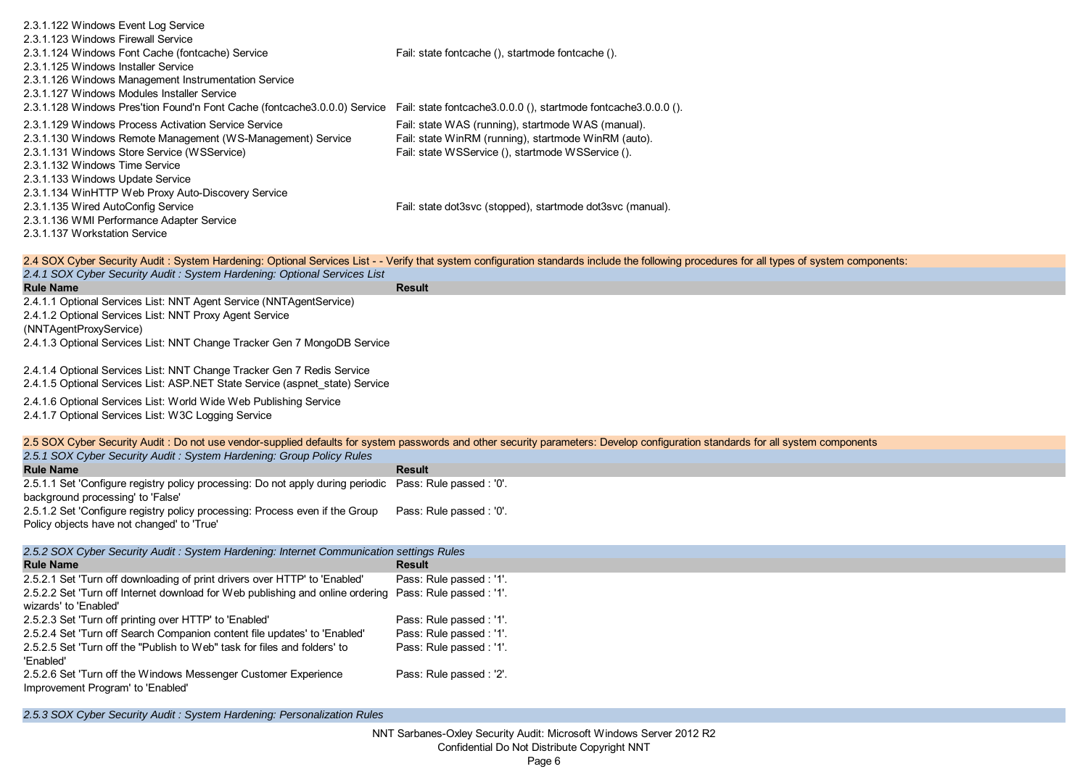| 2.3.1.122 Windows Event Log Service                                                                                                       |                                                                                                                                                                                             |
|-------------------------------------------------------------------------------------------------------------------------------------------|---------------------------------------------------------------------------------------------------------------------------------------------------------------------------------------------|
| 2.3.1.123 Windows Firewall Service                                                                                                        |                                                                                                                                                                                             |
| 2.3.1.124 Windows Font Cache (fontcache) Service                                                                                          | Fail: state fontcache (), startmode fontcache ().                                                                                                                                           |
| 2.3.1.125 Windows Installer Service                                                                                                       |                                                                                                                                                                                             |
| 2.3.1.126 Windows Management Instrumentation Service                                                                                      |                                                                                                                                                                                             |
| 2.3.1.127 Windows Modules Installer Service                                                                                               |                                                                                                                                                                                             |
| 2.3.1.128 Windows Pres'tion Found'n Font Cache (fontcache3.0.0.0) Service Fail: state fontcache3.0.0.0 (), startmode fontcache3.0.0.0 (). |                                                                                                                                                                                             |
| 2.3.1.129 Windows Process Activation Service Service<br>2.3.1.130 Windows Remote Management (WS-Management) Service                       | Fail: state WAS (running), startmode WAS (manual).<br>Fail: state WinRM (running), startmode WinRM (auto).                                                                                  |
| 2.3.1.131 Windows Store Service (WSService)                                                                                               | Fail: state WSService (), startmode WSService ().                                                                                                                                           |
| 2.3.1.132 Windows Time Service                                                                                                            |                                                                                                                                                                                             |
| 2.3.1.133 Windows Update Service                                                                                                          |                                                                                                                                                                                             |
| 2.3.1.134 WinHTTP Web Proxy Auto-Discovery Service                                                                                        |                                                                                                                                                                                             |
| 2.3.1.135 Wired AutoConfig Service                                                                                                        | Fail: state dot3svc (stopped), startmode dot3svc (manual).                                                                                                                                  |
| 2.3.1.136 WMI Performance Adapter Service                                                                                                 |                                                                                                                                                                                             |
| 2.3.1.137 Workstation Service                                                                                                             |                                                                                                                                                                                             |
|                                                                                                                                           | 2.4 SOX Cyber Security Audit : System Hardening: Optional Services List - - Verify that system configuration standards include the following procedures for all types of system components: |
| 2.4.1 SOX Cyber Security Audit: System Hardening: Optional Services List                                                                  |                                                                                                                                                                                             |
| <b>Rule Name</b>                                                                                                                          | <b>Result</b>                                                                                                                                                                               |
| 2.4.1.1 Optional Services List: NNT Agent Service (NNTAgentService)                                                                       |                                                                                                                                                                                             |
| 2.4.1.2 Optional Services List: NNT Proxy Agent Service                                                                                   |                                                                                                                                                                                             |
| (NNTAgentProxyService)                                                                                                                    |                                                                                                                                                                                             |
| 2.4.1.3 Optional Services List: NNT Change Tracker Gen 7 MongoDB Service                                                                  |                                                                                                                                                                                             |
| 2.4.1.4 Optional Services List: NNT Change Tracker Gen 7 Redis Service                                                                    |                                                                                                                                                                                             |
| 2.4.1.5 Optional Services List: ASP.NET State Service (aspnet_state) Service                                                              |                                                                                                                                                                                             |
| 2.4.1.6 Optional Services List: World Wide Web Publishing Service                                                                         |                                                                                                                                                                                             |
| 2.4.1.7 Optional Services List: W3C Logging Service                                                                                       |                                                                                                                                                                                             |
|                                                                                                                                           |                                                                                                                                                                                             |
|                                                                                                                                           | 2.5 SOX Cyber Security Audit : Do not use vendor-supplied defaults for system passwords and other security parameters: Develop configuration standards for all system components            |
| 2.5.1 SOX Cyber Security Audit: System Hardening: Group Policy Rules                                                                      |                                                                                                                                                                                             |
| <b>Rule Name</b><br>2.5.1.1 Set 'Configure registry policy processing: Do not apply during periodic                                       | <b>Result</b><br>Pass: Rule passed : '0'.                                                                                                                                                   |
| background processing' to 'False'                                                                                                         |                                                                                                                                                                                             |
| 2.5.1.2 Set 'Configure registry policy processing: Process even if the Group                                                              | Pass: Rule passed : '0'.                                                                                                                                                                    |
| Policy objects have not changed' to 'True'                                                                                                |                                                                                                                                                                                             |
|                                                                                                                                           |                                                                                                                                                                                             |
| 2.5.2 SOX Cyber Security Audit : System Hardening: Internet Communication settings Rules<br><b>Rule Name</b>                              | Result                                                                                                                                                                                      |
| 2.5.2.1 Set 'Turn off downloading of print drivers over HTTP' to 'Enabled'                                                                | Pass: Rule passed : '1'.                                                                                                                                                                    |
| 2.5.2.2 Set 'Turn off Internet download for Web publishing and online ordering Pass: Rule passed : '1'.                                   |                                                                                                                                                                                             |
| wizards' to 'Enabled'                                                                                                                     |                                                                                                                                                                                             |
| 2.5.2.3 Set 'Turn off printing over HTTP' to 'Enabled'                                                                                    | Pass: Rule passed : '1'.                                                                                                                                                                    |
| 2.5.2.4 Set 'Turn off Search Companion content file updates' to 'Enabled'                                                                 | Pass: Rule passed : '1'.                                                                                                                                                                    |
| 2.5.2.5 Set 'Turn off the "Publish to Web" task for files and folders' to                                                                 | Pass: Rule passed : '1'.                                                                                                                                                                    |
| 'Enabled'                                                                                                                                 |                                                                                                                                                                                             |
| 2.5.2.6 Set 'Turn off the Windows Messenger Customer Experience<br>Improvement Program' to 'Enabled'                                      | Pass: Rule passed : '2'.                                                                                                                                                                    |
|                                                                                                                                           |                                                                                                                                                                                             |

*2.5.3 SOX Cyber Security Audit : System Hardening: Personalization Rules*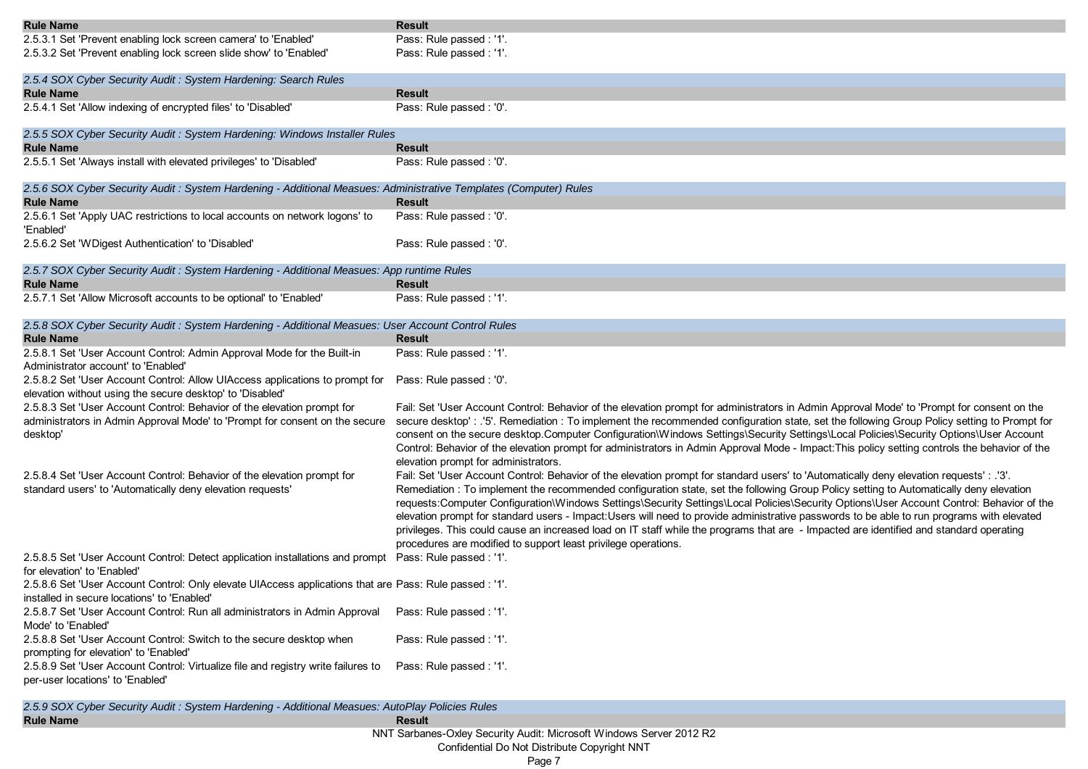| <b>Rule Name</b>                                                                                                                                       | <b>Result</b>                                                                                                                                                                                                                                                                                                                                                                                                                                                                                                                                                                                                                               |
|--------------------------------------------------------------------------------------------------------------------------------------------------------|---------------------------------------------------------------------------------------------------------------------------------------------------------------------------------------------------------------------------------------------------------------------------------------------------------------------------------------------------------------------------------------------------------------------------------------------------------------------------------------------------------------------------------------------------------------------------------------------------------------------------------------------|
| 2.5.3.1 Set 'Prevent enabling lock screen camera' to 'Enabled'                                                                                         | Pass: Rule passed : '1'.                                                                                                                                                                                                                                                                                                                                                                                                                                                                                                                                                                                                                    |
| 2.5.3.2 Set 'Prevent enabling lock screen slide show' to 'Enabled'                                                                                     | Pass: Rule passed : '1'.                                                                                                                                                                                                                                                                                                                                                                                                                                                                                                                                                                                                                    |
| 2.5.4 SOX Cyber Security Audit: System Hardening: Search Rules                                                                                         |                                                                                                                                                                                                                                                                                                                                                                                                                                                                                                                                                                                                                                             |
| <b>Rule Name</b>                                                                                                                                       | <b>Result</b>                                                                                                                                                                                                                                                                                                                                                                                                                                                                                                                                                                                                                               |
| 2.5.4.1 Set 'Allow indexing of encrypted files' to 'Disabled'                                                                                          | Pass: Rule passed: '0'.                                                                                                                                                                                                                                                                                                                                                                                                                                                                                                                                                                                                                     |
| 2.5.5 SOX Cyber Security Audit: System Hardening: Windows Installer Rules                                                                              |                                                                                                                                                                                                                                                                                                                                                                                                                                                                                                                                                                                                                                             |
| <b>Rule Name</b>                                                                                                                                       | <b>Result</b>                                                                                                                                                                                                                                                                                                                                                                                                                                                                                                                                                                                                                               |
| 2.5.5.1 Set 'Always install with elevated privileges' to 'Disabled'                                                                                    | Pass: Rule passed : '0'.                                                                                                                                                                                                                                                                                                                                                                                                                                                                                                                                                                                                                    |
| 2.5.6 SOX Cyber Security Audit : System Hardening - Additional Measues: Administrative Templates (Computer) Rules                                      |                                                                                                                                                                                                                                                                                                                                                                                                                                                                                                                                                                                                                                             |
| <b>Rule Name</b>                                                                                                                                       | Result                                                                                                                                                                                                                                                                                                                                                                                                                                                                                                                                                                                                                                      |
| 2.5.6.1 Set 'Apply UAC restrictions to local accounts on network logons' to<br>'Enabled'                                                               | Pass: Rule passed : '0'.                                                                                                                                                                                                                                                                                                                                                                                                                                                                                                                                                                                                                    |
| 2.5.6.2 Set 'WDigest Authentication' to 'Disabled'                                                                                                     | Pass: Rule passed: '0'.                                                                                                                                                                                                                                                                                                                                                                                                                                                                                                                                                                                                                     |
| 2.5.7 SOX Cyber Security Audit: System Hardening - Additional Measues: App runtime Rules                                                               |                                                                                                                                                                                                                                                                                                                                                                                                                                                                                                                                                                                                                                             |
| <b>Rule Name</b>                                                                                                                                       | <b>Result</b>                                                                                                                                                                                                                                                                                                                                                                                                                                                                                                                                                                                                                               |
| 2.5.7.1 Set 'Allow Microsoft accounts to be optional' to 'Enabled'                                                                                     | Pass: Rule passed : '1'.                                                                                                                                                                                                                                                                                                                                                                                                                                                                                                                                                                                                                    |
| 2.5.8 SOX Cyber Security Audit : System Hardening - Additional Measues: User Account Control Rules                                                     |                                                                                                                                                                                                                                                                                                                                                                                                                                                                                                                                                                                                                                             |
| <b>Rule Name</b>                                                                                                                                       | Result                                                                                                                                                                                                                                                                                                                                                                                                                                                                                                                                                                                                                                      |
| 2.5.8.1 Set 'User Account Control: Admin Approval Mode for the Built-in<br>Administrator account' to 'Enabled'                                         | Pass: Rule passed : '1'.                                                                                                                                                                                                                                                                                                                                                                                                                                                                                                                                                                                                                    |
| 2.5.8.2 Set 'User Account Control: Allow UIAccess applications to prompt for                                                                           | Pass: Rule passed : '0'.                                                                                                                                                                                                                                                                                                                                                                                                                                                                                                                                                                                                                    |
| elevation without using the secure desktop' to 'Disabled'                                                                                              |                                                                                                                                                                                                                                                                                                                                                                                                                                                                                                                                                                                                                                             |
| 2.5.8.3 Set 'User Account Control: Behavior of the elevation prompt for                                                                                | Fail: Set 'User Account Control: Behavior of the elevation prompt for administrators in Admin Approval Mode' to 'Prompt for consent on the                                                                                                                                                                                                                                                                                                                                                                                                                                                                                                  |
| administrators in Admin Approval Mode' to 'Prompt for consent on the secure<br>desktop'                                                                | secure desktop': .'5'. Remediation : To implement the recommended configuration state, set the following Group Policy setting to Prompt for<br>consent on the secure desktop.Computer Configuration\Windows Settings\Security Settings\Local Policies\Security Options\User Account<br>Control: Behavior of the elevation prompt for administrators in Admin Approval Mode - Impact: This policy setting controls the behavior of the<br>elevation prompt for administrators.                                                                                                                                                               |
| 2.5.8.4 Set 'User Account Control: Behavior of the elevation prompt for                                                                                | Fail: Set 'User Account Control: Behavior of the elevation prompt for standard users' to 'Automatically deny elevation requests' : .'3'.                                                                                                                                                                                                                                                                                                                                                                                                                                                                                                    |
| standard users' to 'Automatically deny elevation requests'                                                                                             | Remediation: To implement the recommended configuration state, set the following Group Policy setting to Automatically deny elevation<br>requests:Computer Configuration\Windows Settings\Security Settings\Local Policies\Security Options\User Account Control: Behavior of the<br>elevation prompt for standard users - Impact:Users will need to provide administrative passwords to be able to run programs with elevated<br>privileges. This could cause an increased load on IT staff while the programs that are - Impacted are identified and standard operating<br>procedures are modified to support least privilege operations. |
| 2.5.8.5 Set 'User Account Control: Detect application installations and prompt<br>for elevation' to 'Enabled'                                          | Pass: Rule passed : '1'.                                                                                                                                                                                                                                                                                                                                                                                                                                                                                                                                                                                                                    |
| 2.5.8.6 Set 'User Account Control: Only elevate UIAccess applications that are Pass: Rule passed : '1'.<br>installed in secure locations' to 'Enabled' |                                                                                                                                                                                                                                                                                                                                                                                                                                                                                                                                                                                                                                             |
| 2.5.8.7 Set 'User Account Control: Run all administrators in Admin Approval<br>Mode' to 'Enabled'                                                      | Pass: Rule passed : '1'.                                                                                                                                                                                                                                                                                                                                                                                                                                                                                                                                                                                                                    |
| 2.5.8.8 Set 'User Account Control: Switch to the secure desktop when<br>prompting for elevation' to 'Enabled'                                          | Pass: Rule passed : '1'.                                                                                                                                                                                                                                                                                                                                                                                                                                                                                                                                                                                                                    |
| 2.5.8.9 Set 'User Account Control: Virtualize file and registry write failures to<br>per-user locations' to 'Enabled'                                  | Pass: Rule passed : '1'.                                                                                                                                                                                                                                                                                                                                                                                                                                                                                                                                                                                                                    |
|                                                                                                                                                        |                                                                                                                                                                                                                                                                                                                                                                                                                                                                                                                                                                                                                                             |

**Rule Name Result** *2.5.9 SOX Cyber Security Audit : System Hardening - Additional Measues: AutoPlay Policies Rules*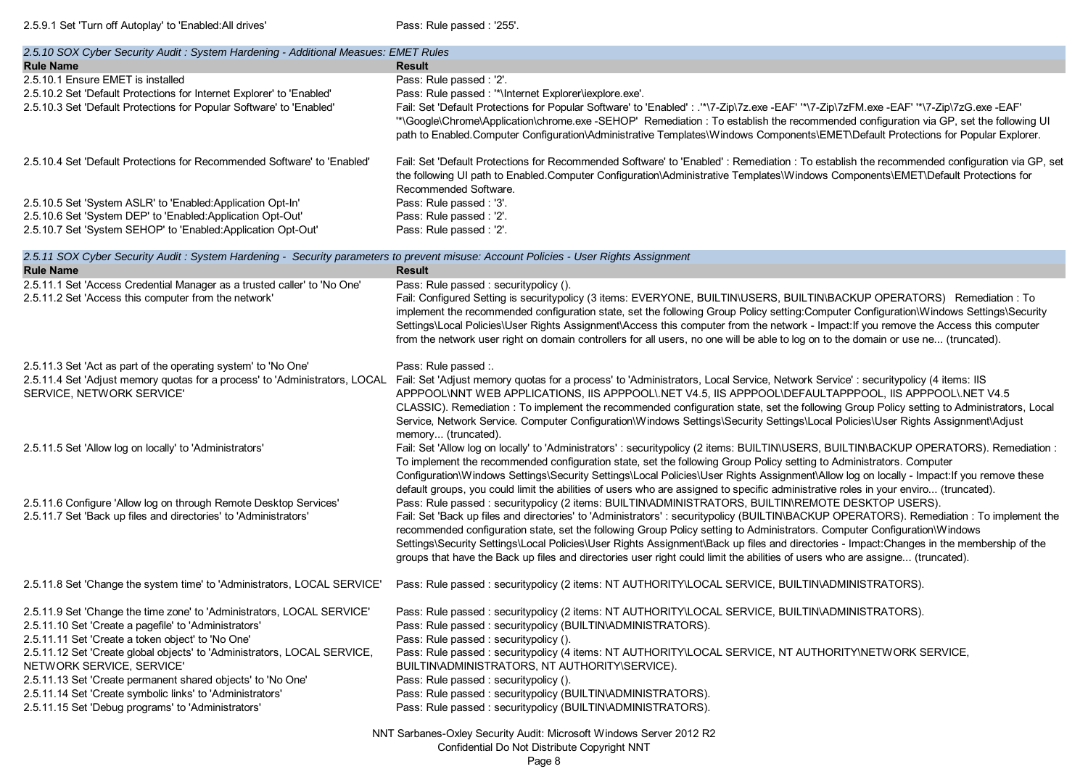2.5.9.1 Set 'Turn off Autoplay' to 'Enabled:All drives' Pass: Rule passed : '255'.

| 2.5.10 SOX Cyber Security Audit : System Hardening - Additional Measues: EMET Rules                                                                                                                                                                                                                                                                                                                                                                                             |                                                                                                                                                                                                                                                                                                                                                                                                                                                                                                                                                                                                                                                          |  |
|---------------------------------------------------------------------------------------------------------------------------------------------------------------------------------------------------------------------------------------------------------------------------------------------------------------------------------------------------------------------------------------------------------------------------------------------------------------------------------|----------------------------------------------------------------------------------------------------------------------------------------------------------------------------------------------------------------------------------------------------------------------------------------------------------------------------------------------------------------------------------------------------------------------------------------------------------------------------------------------------------------------------------------------------------------------------------------------------------------------------------------------------------|--|
| <b>Rule Name</b>                                                                                                                                                                                                                                                                                                                                                                                                                                                                | <b>Result</b>                                                                                                                                                                                                                                                                                                                                                                                                                                                                                                                                                                                                                                            |  |
| 2.5.10.1 Ensure EMET is installed<br>2.5.10.2 Set 'Default Protections for Internet Explorer' to 'Enabled'<br>2.5.10.3 Set 'Default Protections for Popular Software' to 'Enabled'                                                                                                                                                                                                                                                                                              | Pass: Rule passed : '2'.<br>Pass: Rule passed : "*\Internet Explorer\iexplore.exe'.<br>Fail: Set 'Default Protections for Popular Software' to 'Enabled' : .'*\7-Zip\7z.exe -EAF' '*\7-Zip\7zFM.exe -EAF' '*\7-Zip\7zG.exe -EAF'<br>"*\Google\Chrome\Application\chrome.exe -SEHOP' Remediation : To establish the recommended configuration via GP, set the following UI<br>path to Enabled.Computer Configuration\Administrative Templates\Windows Components\EMET\Default Protections for Popular Explorer.                                                                                                                                           |  |
| 2.5.10.4 Set 'Default Protections for Recommended Software' to 'Enabled'                                                                                                                                                                                                                                                                                                                                                                                                        | Fail: Set 'Default Protections for Recommended Software' to 'Enabled': Remediation: To establish the recommended configuration via GP, set<br>the following UI path to Enabled.Computer Configuration\Administrative Templates\Windows Components\EMET\Default Protections for<br>Recommended Software.                                                                                                                                                                                                                                                                                                                                                  |  |
| 2.5.10.5 Set 'System ASLR' to 'Enabled:Application Opt-In'<br>2.5.10.6 Set 'System DEP' to 'Enabled:Application Opt-Out'<br>2.5.10.7 Set 'System SEHOP' to 'Enabled:Application Opt-Out'                                                                                                                                                                                                                                                                                        | Pass: Rule passed : '3'.<br>Pass: Rule passed : '2'.<br>Pass: Rule passed : '2'.                                                                                                                                                                                                                                                                                                                                                                                                                                                                                                                                                                         |  |
| 2.5.11 SOX Cyber Security Audit: System Hardening - Security parameters to prevent misuse: Account Policies - User Rights Assignment<br><b>Rule Name</b>                                                                                                                                                                                                                                                                                                                        | <b>Result</b>                                                                                                                                                                                                                                                                                                                                                                                                                                                                                                                                                                                                                                            |  |
| 2.5.11.1 Set 'Access Credential Manager as a trusted caller' to 'No One'<br>2.5.11.2 Set 'Access this computer from the network'                                                                                                                                                                                                                                                                                                                                                | Pass: Rule passed : securitypolicy ().<br>Fail: Configured Setting is securitypolicy (3 items: EVERYONE, BUILTIN\USERS, BUILTIN\BACKUP OPERATORS) Remediation : To<br>implement the recommended configuration state, set the following Group Policy setting:Computer Configuration\Windows Settings\Security<br>Settings\Local Policies\User Rights Assignment\Access this computer from the network - Impact: If you remove the Access this computer<br>from the network user right on domain controllers for all users, no one will be able to log on to the domain or use ne (truncated).                                                             |  |
| 2.5.11.3 Set 'Act as part of the operating system' to 'No One'<br>SERVICE, NETWORK SERVICE'                                                                                                                                                                                                                                                                                                                                                                                     | Pass: Rule passed :.<br>2.5.11.4 Set 'Adjust memory quotas for a process' to 'Administrators, LOCAL Fail: Set 'Adjust memory quotas for a process' to 'Administrators, Local Service, Network Service' : securitypolicy (4 items: IIS<br>APPPOOL\NNT WEB APPLICATIONS, IIS APPPOOL\.NET V4.5, IIS APPPOOL\DEFAULTAPPPOOL, IIS APPPOOL\.NET V4.5<br>CLASSIC). Remediation : To implement the recommended configuration state, set the following Group Policy setting to Administrators, Local<br>Service, Network Service. Computer Configuration\Windows Settings\Security Settings\Local Policies\User Rights Assignment\Adjust<br>memory (truncated).  |  |
| 2.5.11.5 Set 'Allow log on locally' to 'Administrators'                                                                                                                                                                                                                                                                                                                                                                                                                         | Fail: Set 'Allow log on locally' to 'Administrators' : securitypolicy (2 items: BUILTIN\USERS, BUILTIN\BACKUP OPERATORS). Remediation :<br>To implement the recommended configuration state, set the following Group Policy setting to Administrators. Computer<br>Configuration\Windows Settings\Security Settings\Local Policies\User Rights Assignment\Allow log on locally - Impact: If you remove these<br>default groups, you could limit the abilities of users who are assigned to specific administrative roles in your enviro (truncated).                                                                                                     |  |
| 2.5.11.6 Configure 'Allow log on through Remote Desktop Services'<br>2.5.11.7 Set 'Back up files and directories' to 'Administrators'                                                                                                                                                                                                                                                                                                                                           | Pass: Rule passed : securitypolicy (2 items: BUILTIN\ADMINISTRATORS, BUILTIN\REMOTE DESKTOP USERS).<br>Fail: Set 'Back up files and directories' to 'Administrators': securitypolicy (BUILTIN\BACKUP OPERATORS). Remediation: To implement the<br>recommended configuration state, set the following Group Policy setting to Administrators. Computer Configuration\Windows<br>Settings\Security Settings\Local Policies\User Rights Assignment\Back up files and directories - Impact:Changes in the membership of the<br>groups that have the Back up files and directories user right could limit the abilities of users who are assigne (truncated). |  |
| 2.5.11.8 Set 'Change the system time' to 'Administrators, LOCAL SERVICE'                                                                                                                                                                                                                                                                                                                                                                                                        | Pass: Rule passed : securitypolicy (2 items: NT AUTHORITY\LOCAL SERVICE, BUILTIN\ADMINISTRATORS).                                                                                                                                                                                                                                                                                                                                                                                                                                                                                                                                                        |  |
| 2.5.11.9 Set 'Change the time zone' to 'Administrators, LOCAL SERVICE'<br>2.5.11.10 Set 'Create a pagefile' to 'Administrators'<br>2.5.11.11 Set 'Create a token object' to 'No One'<br>2.5.11.12 Set 'Create global objects' to 'Administrators, LOCAL SERVICE,<br>NETWORK SERVICE, SERVICE'<br>2.5.11.13 Set 'Create permanent shared objects' to 'No One'<br>2.5.11.14 Set 'Create symbolic links' to 'Administrators'<br>2.5.11.15 Set 'Debug programs' to 'Administrators' | Pass: Rule passed: securitypolicy (2 items: NT AUTHORITY\LOCAL SERVICE, BUILTIN\ADMINISTRATORS).<br>Pass: Rule passed : securitypolicy (BUILTIN\ADMINISTRATORS).<br>Pass: Rule passed : securitypolicy ().<br>Pass: Rule passed : securitypolicy (4 items: NT AUTHORITY\LOCAL SERVICE, NT AUTHORITY\NETWORK SERVICE,<br>BUILTIN\ADMINISTRATORS, NT AUTHORITY\SERVICE).<br>Pass: Rule passed : securitypolicy ().<br>Pass: Rule passed : securitypolicy (BUILTIN\ADMINISTRATORS).<br>Pass: Rule passed : securitypolicy (BUILTIN\ADMINISTRATORS).                                                                                                         |  |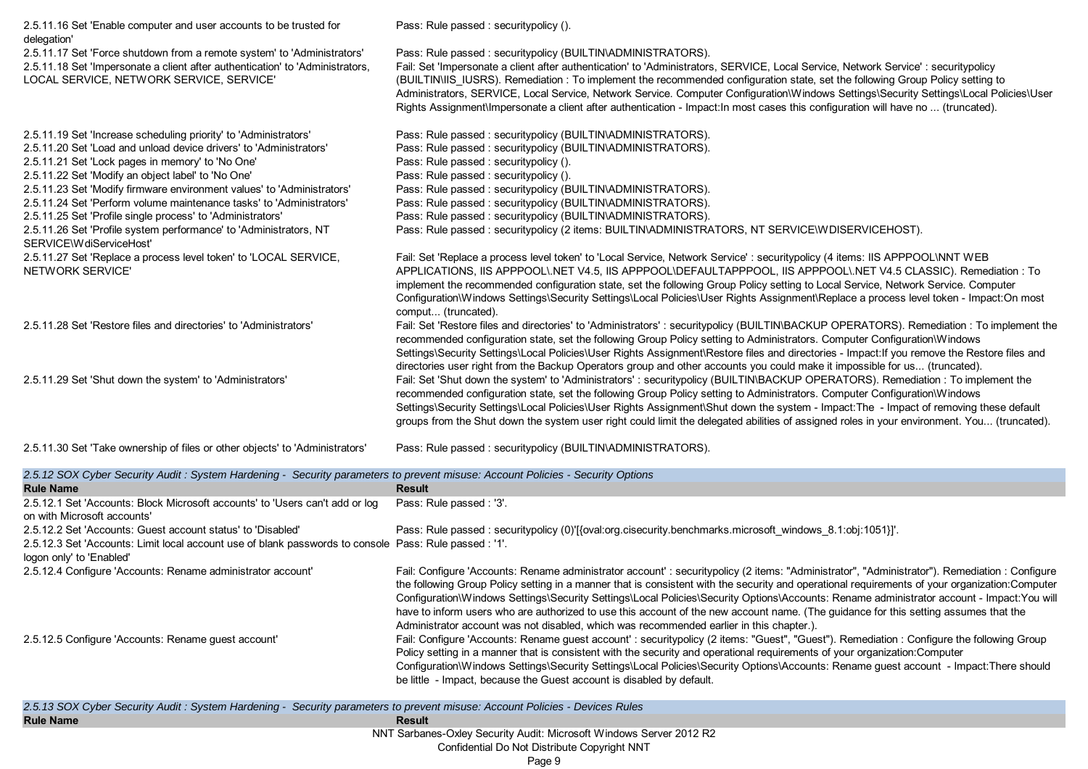| 2.5.11.16 Set 'Enable computer and user accounts to be trusted for<br>delegation'                                                                                                                    | Pass: Rule passed : securitypolicy ().                                                                                                                                                                                                                                                                                                                                                                                                                                                                                                                                                                              |
|------------------------------------------------------------------------------------------------------------------------------------------------------------------------------------------------------|---------------------------------------------------------------------------------------------------------------------------------------------------------------------------------------------------------------------------------------------------------------------------------------------------------------------------------------------------------------------------------------------------------------------------------------------------------------------------------------------------------------------------------------------------------------------------------------------------------------------|
| 2.5.11.17 Set 'Force shutdown from a remote system' to 'Administrators'<br>2.5.11.18 Set 'Impersonate a client after authentication' to 'Administrators,<br>LOCAL SERVICE, NETWORK SERVICE, SERVICE' | Pass: Rule passed: securitypolicy (BUILTIN\ADMINISTRATORS).<br>Fail: Set 'Impersonate a client after authentication' to 'Administrators, SERVICE, Local Service, Network Service' : securitypolicy<br>(BUILTIN\IIS_IUSRS). Remediation : To implement the recommended configuration state, set the following Group Policy setting to<br>Administrators, SERVICE, Local Service, Network Service. Computer Configuration\Windows Settings\Security Settings\Local Policies\User<br>Rights Assignment\Impersonate a client after authentication - Impact: In most cases this configuration will have no  (truncated). |
| 2.5.11.19 Set 'Increase scheduling priority' to 'Administrators'                                                                                                                                     | Pass: Rule passed : securitypolicy (BUILTIN\ADMINISTRATORS).                                                                                                                                                                                                                                                                                                                                                                                                                                                                                                                                                        |
| 2.5.11.20 Set 'Load and unload device drivers' to 'Administrators'                                                                                                                                   | Pass: Rule passed : securitypolicy (BUILTIN\ADMINISTRATORS).                                                                                                                                                                                                                                                                                                                                                                                                                                                                                                                                                        |
| 2.5.11.21 Set 'Lock pages in memory' to 'No One'                                                                                                                                                     | Pass: Rule passed: securitypolicy ().                                                                                                                                                                                                                                                                                                                                                                                                                                                                                                                                                                               |
| 2.5.11.22 Set 'Modify an object label' to 'No One'                                                                                                                                                   | Pass: Rule passed : securitypolicy ().                                                                                                                                                                                                                                                                                                                                                                                                                                                                                                                                                                              |
| 2.5.11.23 Set 'Modify firmware environment values' to 'Administrators'                                                                                                                               | Pass: Rule passed: securitypolicy (BUILTIN\ADMINISTRATORS).                                                                                                                                                                                                                                                                                                                                                                                                                                                                                                                                                         |
| 2.5.11.24 Set 'Perform volume maintenance tasks' to 'Administrators'                                                                                                                                 | Pass: Rule passed: securitypolicy (BUILTIN\ADMINISTRATORS).                                                                                                                                                                                                                                                                                                                                                                                                                                                                                                                                                         |
| 2.5.11.25 Set 'Profile single process' to 'Administrators'                                                                                                                                           | Pass: Rule passed : securitypolicy (BUILTIN\ADMINISTRATORS).                                                                                                                                                                                                                                                                                                                                                                                                                                                                                                                                                        |
| 2.5.11.26 Set 'Profile system performance' to 'Administrators, NT<br>SERVICE\WdiServiceHost'                                                                                                         | Pass: Rule passed : securitypolicy (2 items: BUILTIN\ADMINISTRATORS, NT SERVICE\WDISERVICEHOST).                                                                                                                                                                                                                                                                                                                                                                                                                                                                                                                    |
| 2.5.11.27 Set 'Replace a process level token' to 'LOCAL SERVICE,<br>NETWORK SERVICE'                                                                                                                 | Fail: Set 'Replace a process level token' to 'Local Service, Network Service' : securitypolicy (4 items: IIS APPPOOL\NNT WEB<br>APPLICATIONS, IIS APPPOOL\NET V4.5, IIS APPPOOL\DEFAULTAPPPOOL, IIS APPPOOL\NET V4.5 CLASSIC). Remediation : To<br>implement the recommended configuration state, set the following Group Policy setting to Local Service, Network Service. Computer<br>Configuration\Windows Settings\Security Settings\Local Policies\User Rights Assignment\Replace a process level token - Impact:On most<br>comput (truncated).                                                                |
| 2.5.11.28 Set 'Restore files and directories' to 'Administrators'                                                                                                                                    | Fail: Set 'Restore files and directories' to 'Administrators': securitypolicy (BUILTIN\BACKUP OPERATORS). Remediation: To implement the<br>recommended configuration state, set the following Group Policy setting to Administrators. Computer Configuration\Windows<br>Settings\Security Settings\Local Policies\User Rights Assignment\Restore files and directories - Impact: If you remove the Restore files and<br>directories user right from the Backup Operators group and other accounts you could make it impossible for us (truncated).                                                                  |
| 2.5.11.29 Set 'Shut down the system' to 'Administrators'                                                                                                                                             | Fail: Set 'Shut down the system' to 'Administrators': securitypolicy (BUILTIN\BACKUP OPERATORS). Remediation: To implement the<br>recommended configuration state, set the following Group Policy setting to Administrators. Computer Configuration\Windows<br>Settings\Security Settings\Local Policies\User Rights Assignment\Shut down the system - Impact:The - Impact of removing these default<br>groups from the Shut down the system user right could limit the delegated abilities of assigned roles in your environment. You (truncated).                                                                 |

| 2.5.11.30 Set 'Take ownership of files or other objects' to 'Administrators' | Pass: Rule passed : securitypolicy (BUILTIN\ADMINISTRATORS). |
|------------------------------------------------------------------------------|--------------------------------------------------------------|
|                                                                              |                                                              |

| 2.5.12 SOX Cyber Security Audit: System Hardening - Security parameters to prevent misuse: Account Policies - Security Options     |                                                                                                                                                                                                                                                                                                                                                                                                                                                                                                                                                                                                                                                                                  |
|------------------------------------------------------------------------------------------------------------------------------------|----------------------------------------------------------------------------------------------------------------------------------------------------------------------------------------------------------------------------------------------------------------------------------------------------------------------------------------------------------------------------------------------------------------------------------------------------------------------------------------------------------------------------------------------------------------------------------------------------------------------------------------------------------------------------------|
| <b>Rule Name</b>                                                                                                                   | Result                                                                                                                                                                                                                                                                                                                                                                                                                                                                                                                                                                                                                                                                           |
| 2.5.12.1 Set 'Accounts: Block Microsoft accounts' to 'Users can't add or log<br>on with Microsoft accounts'                        | Pass: Rule passed: '3'.                                                                                                                                                                                                                                                                                                                                                                                                                                                                                                                                                                                                                                                          |
| 2.5.12.2 Set 'Accounts: Guest account status' to 'Disabled'                                                                        | Pass: Rule passed: securitypolicy (0)'[{oval:org.cisecurity.benchmarks.microsoft windows 8.1:obj:1051}]'.                                                                                                                                                                                                                                                                                                                                                                                                                                                                                                                                                                        |
| 2.5.12.3 Set 'Accounts: Limit local account use of blank passwords to console Pass: Rule passed : '1'.<br>logon only' to 'Enabled' |                                                                                                                                                                                                                                                                                                                                                                                                                                                                                                                                                                                                                                                                                  |
| 2.5.12.4 Configure 'Accounts: Rename administrator account'                                                                        | Fail: Configure 'Accounts: Rename administrator account': securitypolicy (2 items: "Administrator", "Administrator"). Remediation: Configure<br>the following Group Policy setting in a manner that is consistent with the security and operational requirements of your organization: Computer<br>Configuration\Windows Settings\Security Settings\Local Policies\Security Options\Accounts: Rename administrator account - Impact:You will<br>have to inform users who are authorized to use this account of the new account name. (The guidance for this setting assumes that the<br>Administrator account was not disabled, which was recommended earlier in this chapter.). |
| 2.5.12.5 Configure 'Accounts: Rename guest account'                                                                                | Fail: Configure 'Accounts: Rename guest account': securitypolicy (2 items: "Guest", "Guest"). Remediation: Configure the following Group<br>Policy setting in a manner that is consistent with the security and operational requirements of your organization: Computer<br>Configuration\Windows Settings\Security Settings\Local Policies\Security Options\Accounts: Rename guest account - Impact:There should<br>be little - Impact, because the Guest account is disabled by default.                                                                                                                                                                                        |
| 2.5.13.80X Cyber Security Audit : System Hardening - Security parameters to prevent misuse: Account Policies - Devices Rules       |                                                                                                                                                                                                                                                                                                                                                                                                                                                                                                                                                                                                                                                                                  |

|                            | 2.5.13 SOX Cyber Security Audit: System Hardening - Security parameters to prevent misuse: Account Policies - Devices Rules |
|----------------------------|-----------------------------------------------------------------------------------------------------------------------------|
| <b>Rule Name</b><br>Result |                                                                                                                             |
|                            | <b>NINIT Orders - Order Organism Arraign Missour 4 Williams Organism OO40 DO</b>                                            |

NNT Sarbanes-Oxley Security Audit: Microsoft Windows Server 2012 R2

Confidential Do Not Distribute Copyright NNT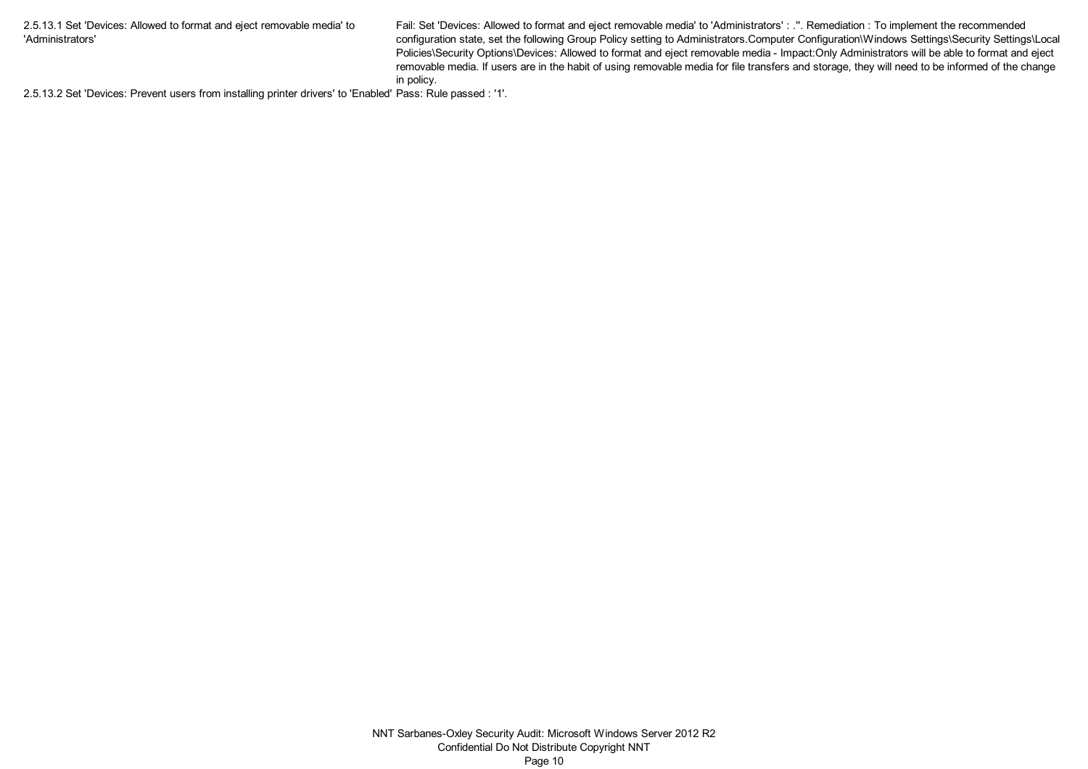2.5.13.1 Set 'Devices: Allowed to format and eject removable media' to 'Administrators'

Fail: Set 'Devices: Allowed to format and eject removable media' to 'Administrators' : .''. Remediation : To implement the recommended configuration state, set the following Group Policy setting to Administrators.Computer Configuration\Windows Settings\Security Settings\Local Policies\Security Options\Devices: Allowed to format and eject removable media - Impact:Only Administrators will be able to format and eject removable media. If users are in the habit of using removable media for file transfers and storage, they will need to be informed of the change in policy.

2.5.13.2 Set 'Devices: Prevent users from installing printer drivers' to 'Enabled' Pass: Rule passed : '1'.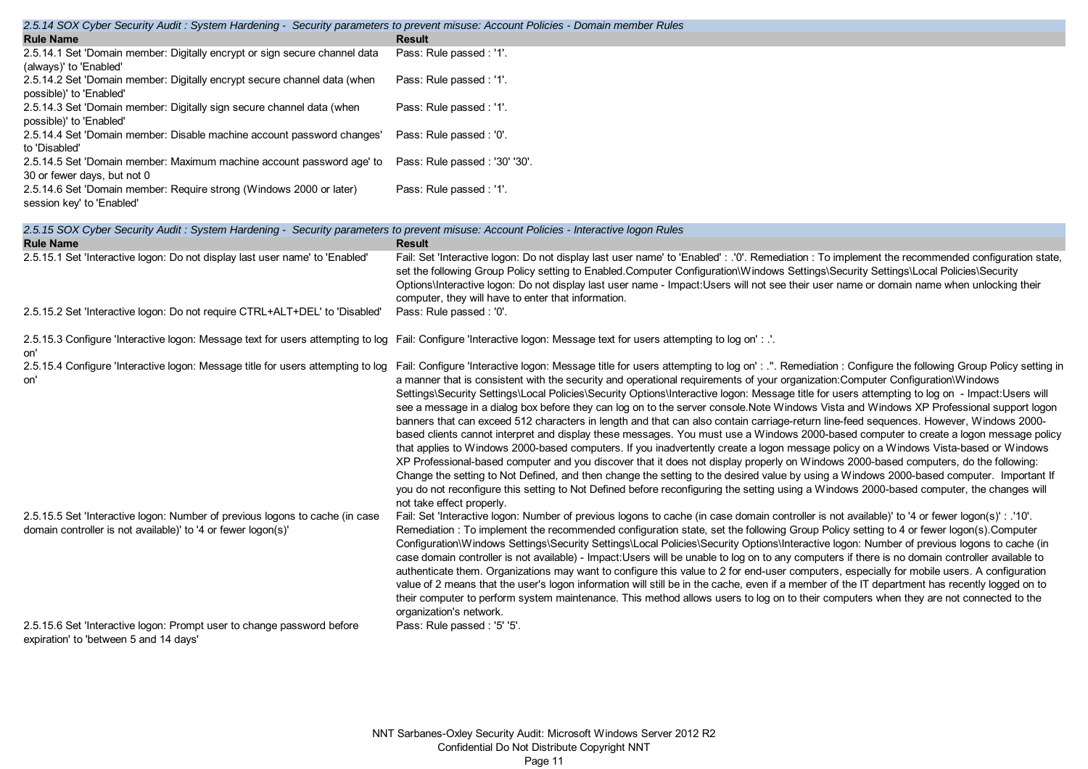| <b>Result</b><br>Pass: Rule passed : '1'.<br>(always)' to 'Enabled'<br>Pass: Rule passed : '1'.<br>Pass: Rule passed : '1'.<br>2.5.14.3 Set 'Domain member: Digitally sign secure channel data (when<br>2.5.14.4 Set 'Domain member: Disable machine account password changes'<br>Pass: Rule passed : '0'.<br>to 'Disabled'<br>2.5.14.5 Set 'Domain member: Maximum machine account password age' to<br>Pass: Rule passed: '30' '30'.<br>2.5.14.6 Set 'Domain member: Require strong (Windows 2000 or later)<br>Pass: Rule passed : '1'.<br>session key' to 'Enabled' | 2.5.14 SOA Cyber Security Addit . System Hardening - Security parameters to prevent misuse. Account Policies - Domain member Kules |  |
|-----------------------------------------------------------------------------------------------------------------------------------------------------------------------------------------------------------------------------------------------------------------------------------------------------------------------------------------------------------------------------------------------------------------------------------------------------------------------------------------------------------------------------------------------------------------------|------------------------------------------------------------------------------------------------------------------------------------|--|
|                                                                                                                                                                                                                                                                                                                                                                                                                                                                                                                                                                       | <b>Rule Name</b>                                                                                                                   |  |
|                                                                                                                                                                                                                                                                                                                                                                                                                                                                                                                                                                       | 2.5.14.1 Set 'Domain member: Digitally encrypt or sign secure channel data                                                         |  |
|                                                                                                                                                                                                                                                                                                                                                                                                                                                                                                                                                                       |                                                                                                                                    |  |
|                                                                                                                                                                                                                                                                                                                                                                                                                                                                                                                                                                       | 2.5.14.2 Set 'Domain member: Digitally encrypt secure channel data (when                                                           |  |
|                                                                                                                                                                                                                                                                                                                                                                                                                                                                                                                                                                       | possible)' to 'Enabled'                                                                                                            |  |
|                                                                                                                                                                                                                                                                                                                                                                                                                                                                                                                                                                       |                                                                                                                                    |  |
|                                                                                                                                                                                                                                                                                                                                                                                                                                                                                                                                                                       | possible)' to 'Enabled'                                                                                                            |  |
|                                                                                                                                                                                                                                                                                                                                                                                                                                                                                                                                                                       |                                                                                                                                    |  |
|                                                                                                                                                                                                                                                                                                                                                                                                                                                                                                                                                                       |                                                                                                                                    |  |
|                                                                                                                                                                                                                                                                                                                                                                                                                                                                                                                                                                       |                                                                                                                                    |  |
|                                                                                                                                                                                                                                                                                                                                                                                                                                                                                                                                                                       | 30 or fewer days, but not 0                                                                                                        |  |
|                                                                                                                                                                                                                                                                                                                                                                                                                                                                                                                                                                       |                                                                                                                                    |  |
|                                                                                                                                                                                                                                                                                                                                                                                                                                                                                                                                                                       |                                                                                                                                    |  |

# *2.5.15 SOX Cyber Security Audit : System Hardening - Security parameters to prevent misuse: Account Policies - Interactive logon Rules*

| <b>Rule Name</b>                                                                                                                              | <b>Result</b>                                                                                                                                                                                                                                                                                                                                                                                                                                                                                                                                                                                                                                                                                                                                                                                                                                                                                                                                                                                                                                                                                                                                                                                                                                                                                                                                                                                                                                                                   |
|-----------------------------------------------------------------------------------------------------------------------------------------------|---------------------------------------------------------------------------------------------------------------------------------------------------------------------------------------------------------------------------------------------------------------------------------------------------------------------------------------------------------------------------------------------------------------------------------------------------------------------------------------------------------------------------------------------------------------------------------------------------------------------------------------------------------------------------------------------------------------------------------------------------------------------------------------------------------------------------------------------------------------------------------------------------------------------------------------------------------------------------------------------------------------------------------------------------------------------------------------------------------------------------------------------------------------------------------------------------------------------------------------------------------------------------------------------------------------------------------------------------------------------------------------------------------------------------------------------------------------------------------|
| 2.5.15.1 Set 'Interactive logon: Do not display last user name' to 'Enabled'                                                                  | Fail: Set 'Interactive logon: Do not display last user name' to 'Enabled' : .'0'. Remediation : To implement the recommended configuration state,<br>set the following Group Policy setting to Enabled.Computer Configuration\Windows Settings\Security Settings\Local Policies\Security<br>Options\Interactive logon: Do not display last user name - Impact:Users will not see their user name or domain name when unlocking their<br>computer, they will have to enter that information.                                                                                                                                                                                                                                                                                                                                                                                                                                                                                                                                                                                                                                                                                                                                                                                                                                                                                                                                                                                     |
| 2.5.15.2 Set 'Interactive logon: Do not require CTRL+ALT+DEL' to 'Disabled'                                                                   | Pass: Rule passed : '0'.                                                                                                                                                                                                                                                                                                                                                                                                                                                                                                                                                                                                                                                                                                                                                                                                                                                                                                                                                                                                                                                                                                                                                                                                                                                                                                                                                                                                                                                        |
| on'                                                                                                                                           | 2.5.15.3 Configure 'Interactive logon: Message text for users attempting to log Fail: Configure 'Interactive logon: Message text for users attempting to log on':                                                                                                                                                                                                                                                                                                                                                                                                                                                                                                                                                                                                                                                                                                                                                                                                                                                                                                                                                                                                                                                                                                                                                                                                                                                                                                               |
| 2.5.15.4 Configure 'Interactive logon: Message title for users attempting to log<br>on'                                                       | Fail: Configure 'Interactive logon: Message title for users attempting to log on' : .". Remediation : Configure the following Group Policy setting in<br>a manner that is consistent with the security and operational requirements of your organization: Computer Configuration Windows<br>Settings\Security Settings\Local Policies\Security Options\Interactive logon: Message title for users attempting to log on - Impact:Users will<br>see a message in a dialog box before they can log on to the server console.Note Windows Vista and Windows XP Professional support logon<br>banners that can exceed 512 characters in length and that can also contain carriage-return line-feed sequences. However, Windows 2000-<br>based clients cannot interpret and display these messages. You must use a Windows 2000-based computer to create a logon message policy<br>that applies to Windows 2000-based computers. If you inadvertently create a logon message policy on a Windows Vista-based or Windows<br>XP Professional-based computer and you discover that it does not display properly on Windows 2000-based computers, do the following:<br>Change the setting to Not Defined, and then change the setting to the desired value by using a Windows 2000-based computer. Important If<br>you do not reconfigure this setting to Not Defined before reconfiguring the setting using a Windows 2000-based computer, the changes will<br>not take effect properly. |
| 2.5.15.5 Set 'Interactive logon: Number of previous logons to cache (in case<br>domain controller is not available)' to '4 or fewer logon(s)' | Fail: Set 'Interactive logon: Number of previous logons to cache (in case domain controller is not available)' to '4 or fewer logon(s)' : .'10'.<br>Remediation: To implement the recommended configuration state, set the following Group Policy setting to 4 or fewer logon(s). Computer<br>Configuration\Windows Settings\Security Settings\Local Policies\Security Options\Interactive logon: Number of previous logons to cache (in<br>case domain controller is not available) - Impact:Users will be unable to log on to any computers if there is no domain controller available to<br>authenticate them. Organizations may want to configure this value to 2 for end-user computers, especially for mobile users. A configuration<br>value of 2 means that the user's logon information will still be in the cache, even if a member of the IT department has recently logged on to<br>their computer to perform system maintenance. This method allows users to log on to their computers when they are not connected to the<br>organization's network.                                                                                                                                                                                                                                                                                                                                                                                                               |
| 2.5.15.6 Set 'Interactive logon: Prompt user to change password before<br>expiration' to 'between 5 and 14 days'                              | Pass: Rule passed: '5' '5'.                                                                                                                                                                                                                                                                                                                                                                                                                                                                                                                                                                                                                                                                                                                                                                                                                                                                                                                                                                                                                                                                                                                                                                                                                                                                                                                                                                                                                                                     |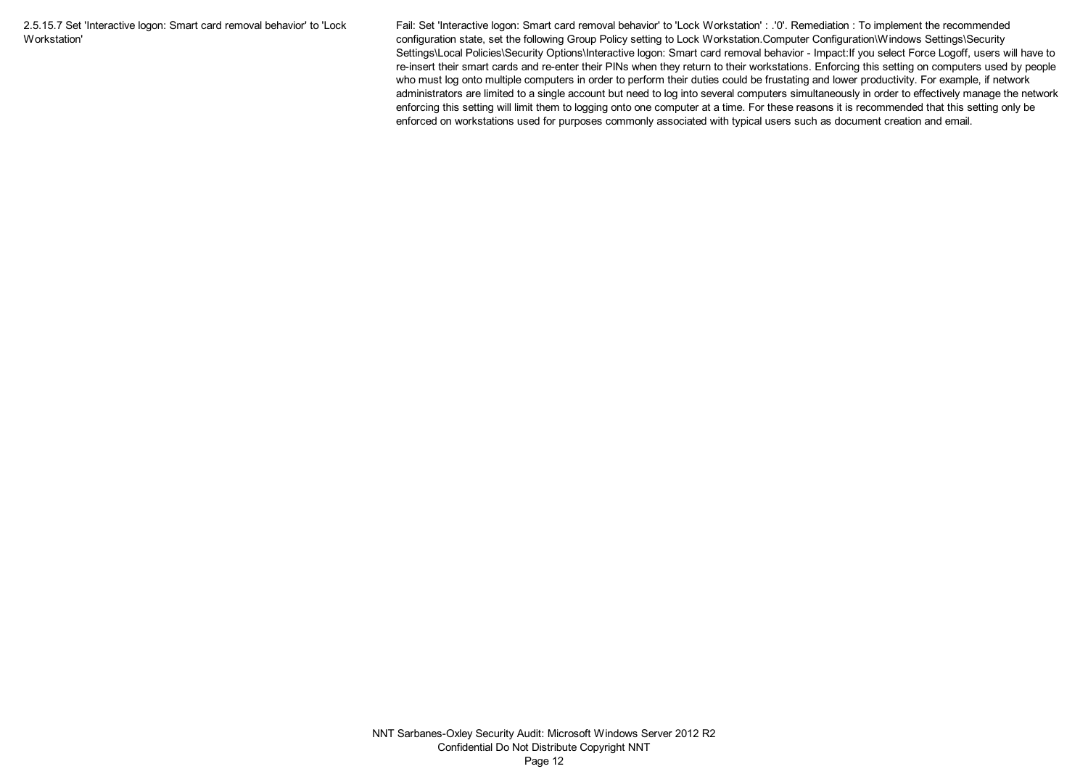2.5.15.7 Set 'Interactive logon: Smart card removal behavior' to 'Lock Workstation'

Fail: Set 'Interactive logon: Smart card removal behavior' to 'Lock Workstation' : .'0'. Remediation : To implement the recommended configuration state, set the following Group Policy setting to Lock Workstation.Computer Configuration\Windows Settings\Security Settings\Local Policies\Security Options\Interactive logon: Smart card removal behavior - Impact:If you select Force Logoff, users will have to re-insert their smart cards and re-enter their PINs when they return to their workstations. Enforcing this setting on computers used by people who must log onto multiple computers in order to perform their duties could be frustating and lower productivity. For example, if network administrators are limited to a single account but need to log into several computers simultaneously in order to effectively manage the network enforcing this setting will limit them to logging onto one computer at a time. For these reasons it is recommended that this setting only be enforced on workstations used for purposes commonly associated with typical users such as document creation and email.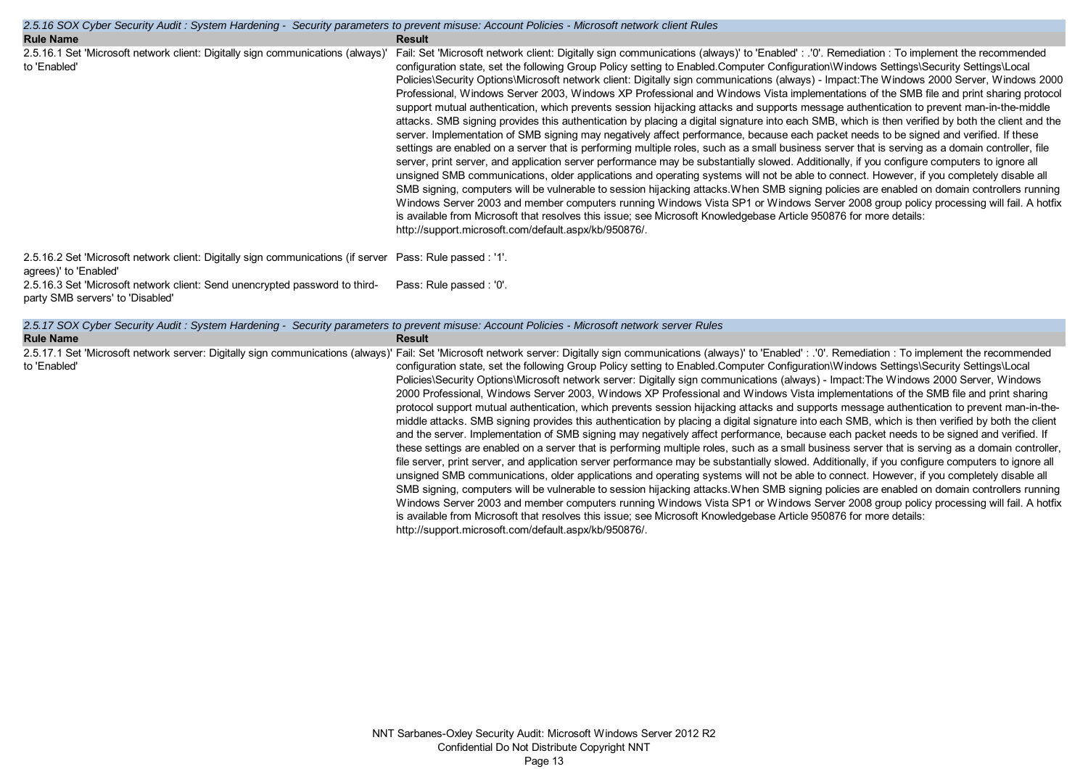| 2.5.16 SOX Cyber Security Audit: System Hardening - Security parameters to prevent misuse: Account Policies - Microsoft network client Rules |                                                                                                                                                                                                                                                                                                                                                                                                                                                                                                                                                                                                                                                                                                                                                                                                                                                                                                                                                                                                                                                                                                                                                                                                                                                                                                                                                                                                                                                                                                                                                                                                                                                                                                                                                                                                                                                                                                                                                 |  |
|----------------------------------------------------------------------------------------------------------------------------------------------|-------------------------------------------------------------------------------------------------------------------------------------------------------------------------------------------------------------------------------------------------------------------------------------------------------------------------------------------------------------------------------------------------------------------------------------------------------------------------------------------------------------------------------------------------------------------------------------------------------------------------------------------------------------------------------------------------------------------------------------------------------------------------------------------------------------------------------------------------------------------------------------------------------------------------------------------------------------------------------------------------------------------------------------------------------------------------------------------------------------------------------------------------------------------------------------------------------------------------------------------------------------------------------------------------------------------------------------------------------------------------------------------------------------------------------------------------------------------------------------------------------------------------------------------------------------------------------------------------------------------------------------------------------------------------------------------------------------------------------------------------------------------------------------------------------------------------------------------------------------------------------------------------------------------------------------------------|--|
| <b>Rule Name</b>                                                                                                                             | <b>Result</b>                                                                                                                                                                                                                                                                                                                                                                                                                                                                                                                                                                                                                                                                                                                                                                                                                                                                                                                                                                                                                                                                                                                                                                                                                                                                                                                                                                                                                                                                                                                                                                                                                                                                                                                                                                                                                                                                                                                                   |  |
| 2.5.16.1 Set 'Microsoft network client: Digitally sign communications (always)'<br>to 'Enabled'                                              | Fail: Set 'Microsoft network client: Digitally sign communications (always)' to 'Enabled': .'0'. Remediation: To implement the recommended<br>configuration state, set the following Group Policy setting to Enabled.Computer Configuration\Windows Settings\Security Settings\Local<br>Policies\Security Options\Microsoft network client: Digitally sign communications (always) - Impact:The Windows 2000 Server, Windows 2000<br>Professional, Windows Server 2003, Windows XP Professional and Windows Vista implementations of the SMB file and print sharing protocol<br>support mutual authentication, which prevents session hijacking attacks and supports message authentication to prevent man-in-the-middle<br>attacks. SMB signing provides this authentication by placing a digital signature into each SMB, which is then verified by both the client and the<br>server. Implementation of SMB signing may negatively affect performance, because each packet needs to be signed and verified. If these<br>settings are enabled on a server that is performing multiple roles, such as a small business server that is serving as a domain controller, file<br>server, print server, and application server performance may be substantially slowed. Additionally, if you configure computers to ignore all<br>unsigned SMB communications, older applications and operating systems will not be able to connect. However, if you completely disable all<br>SMB signing, computers will be vulnerable to session hijacking attacks. When SMB signing policies are enabled on domain controllers running<br>Windows Server 2003 and member computers running Windows Vista SP1 or Windows Server 2008 group policy processing will fail. A hotfix<br>is available from Microsoft that resolves this issue; see Microsoft Knowledgebase Article 950876 for more details:<br>http://support.microsoft.com/default.aspx/kb/950876/. |  |
| 2.5.16.2 Set 'Microsoft network client: Digitally sign communications (if server Pass: Rule passed : '1'.<br>agrees)' to 'Enabled'           |                                                                                                                                                                                                                                                                                                                                                                                                                                                                                                                                                                                                                                                                                                                                                                                                                                                                                                                                                                                                                                                                                                                                                                                                                                                                                                                                                                                                                                                                                                                                                                                                                                                                                                                                                                                                                                                                                                                                                 |  |
| 2.5.16.3 Set 'Microsoft network client: Send unencrypted password to third-<br>party SMB servers' to 'Disabled'                              | Pass: Rule passed : '0'.                                                                                                                                                                                                                                                                                                                                                                                                                                                                                                                                                                                                                                                                                                                                                                                                                                                                                                                                                                                                                                                                                                                                                                                                                                                                                                                                                                                                                                                                                                                                                                                                                                                                                                                                                                                                                                                                                                                        |  |
| 2.5.17 SOX Cyber Security Audit: System Hardening - Security parameters to prevent misuse: Account Policies - Microsoft network server Rules |                                                                                                                                                                                                                                                                                                                                                                                                                                                                                                                                                                                                                                                                                                                                                                                                                                                                                                                                                                                                                                                                                                                                                                                                                                                                                                                                                                                                                                                                                                                                                                                                                                                                                                                                                                                                                                                                                                                                                 |  |

2.5.17.1 Set 'Microsoft network server: Digitally sign communications (always)' Fail: Set 'Microsoft network server: Digitally sign communications (always)' to 'Enabled' : .'0'. Remediation : To implement the recommended

http://support.microsoft.com/default.aspx/kb/950876/.

configuration state, set the following Group Policy setting to Enabled.Computer Configuration\Windows Settings\Security Settings\Local Policies\Security Options\Microsoft network server: Digitally sign communications (always) - Impact:The Windows 2000 Server, Windows 2000 Professional, Windows Server 2003, Windows XP Professional and Windows Vista implementations of the SMB file and print sharing protocol support mutual authentication, which prevents session hijacking attacks and supports message authentication to prevent man-in-themiddle attacks. SMB signing provides this authentication by placing a digital signature into each SMB, which is then verified by both the client and the server. Implementation of SMB signing may negatively affect performance, because each packet needs to be signed and verified. If these settings are enabled on a server that is performing multiple roles, such as a small business server that is serving as a domain controller, file server, print server, and application server performance may be substantially slowed. Additionally, if you configure computers to ignore all unsigned SMB communications, older applications and operating systems will not be able to connect. However, if you completely disable all SMB signing, computers will be vulnerable to session hijacking attacks.When SMB signing policies are enabled on domain controllers running Windows Server 2003 and member computers running Windows Vista SP1 or Windows Server 2008 group policy processing will fail. A hotfix

is available from Microsoft that resolves this issue; see Microsoft Knowledgebase Article 950876 for more details:

**Rule Name Result**

to 'Enabled'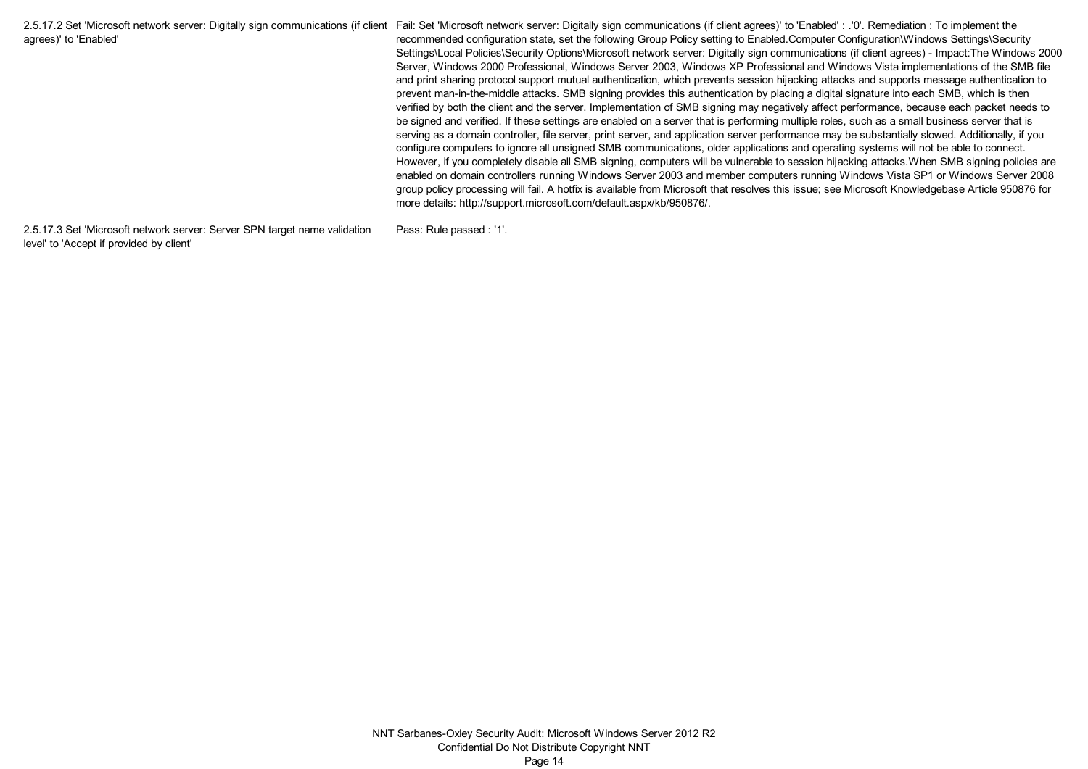2.5.17.2 Set 'Microsoft network server: Digitally sign communications (if client Fail: Set 'Microsoft network server: Digitally sign communications (if client agrees)' to 'Enabled' : .'0'. Remediation : To implement the agrees)' to 'Enabled' recommended configuration state, set the following Group Policy setting to Enabled.Computer Configuration\Windows Settings\Security Settings\Local Policies\Security Options\Microsoft network server: Digitally sign communications (if client agrees) - Impact:The Windows 2000 Server, Windows 2000 Professional, Windows Server 2003, Windows XP Professional and Windows Vista implementations of the SMB file and print sharing protocol support mutual authentication, which prevents session hijacking attacks and supports message authentication to prevent man-in-the-middle attacks. SMB signing provides this authentication by placing a digital signature into each SMB, which is then verified by both the client and the server. Implementation of SMB signing may negatively affect performance, because each packet needs to be signed and verified. If these settings are enabled on a server that is performing multiple roles, such as a small business server that is serving as a domain controller, file server, print server, and application server performance may be substantially slowed. Additionally, if you configure computers to ignore all unsigned SMB communications, older applications and operating systems will not be able to connect. However, if you completely disable all SMB signing, computers will be vulnerable to session hijacking attacks. When SMB signing policies are enabled on domain controllers running Windows Server 2003 and member computers running Windows Vista SP1 or Windows Server 2008 group policy processing will fail. A hotfix is available from Microsoft that resolves this issue; see Microsoft Knowledgebase Article 950876 for more details: http://support.microsoft.com/default.aspx/kb/950876/.

2.5.17.3 Set 'Microsoft network server: Server SPN target name validation level' to 'Accept if provided by client'

Pass: Rule passed : '1'.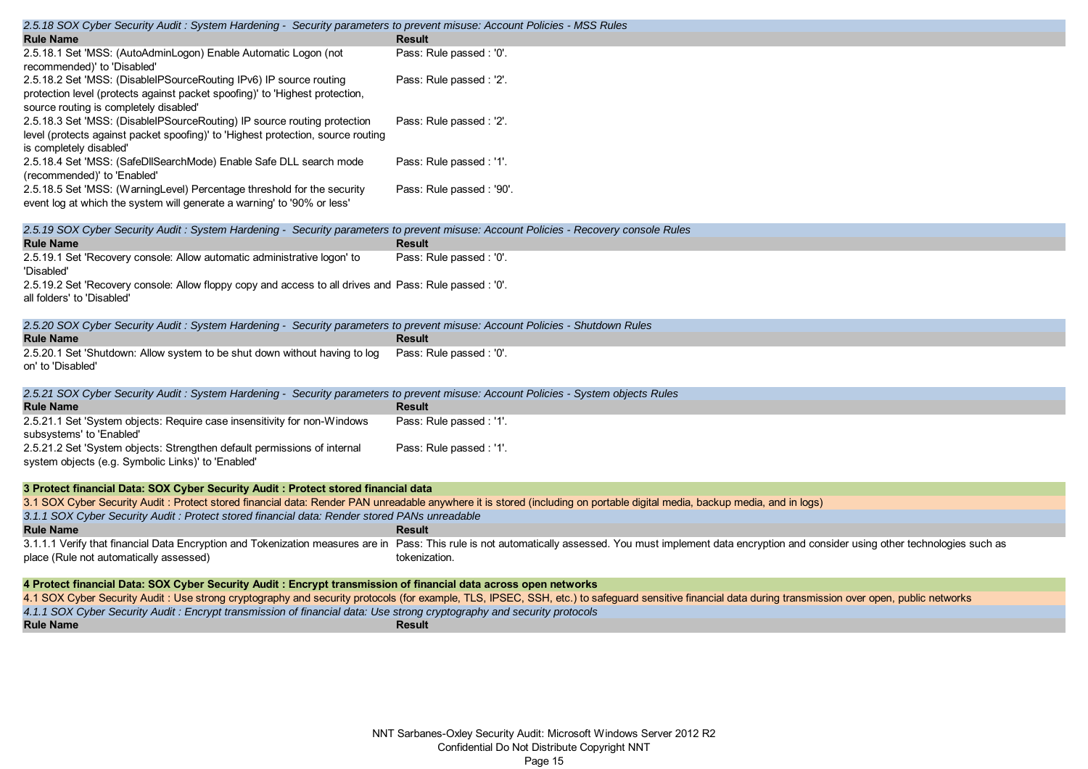| 2.5.18 SOX Cyber Security Audit: System Hardening - Security parameters to prevent misuse: Account Policies - MSS Rules                            |                                                                                                                                                                                                                                 |
|----------------------------------------------------------------------------------------------------------------------------------------------------|---------------------------------------------------------------------------------------------------------------------------------------------------------------------------------------------------------------------------------|
| <b>Rule Name</b>                                                                                                                                   | <b>Result</b>                                                                                                                                                                                                                   |
| 2.5.18.1 Set 'MSS: (AutoAdminLogon) Enable Automatic Logon (not<br>recommended)' to 'Disabled'                                                     | Pass: Rule passed : '0'.                                                                                                                                                                                                        |
| 2.5.18.2 Set 'MSS: (DisableIPSourceRouting IPv6) IP source routing                                                                                 | Pass: Rule passed : '2'.                                                                                                                                                                                                        |
| protection level (protects against packet spoofing)' to 'Highest protection,<br>source routing is completely disabled'                             |                                                                                                                                                                                                                                 |
| 2.5.18.3 Set 'MSS: (DisableIPSourceRouting) IP source routing protection                                                                           | Pass: Rule passed : '2'.                                                                                                                                                                                                        |
| level (protects against packet spoofing)' to 'Highest protection, source routing                                                                   |                                                                                                                                                                                                                                 |
| is completely disabled'                                                                                                                            |                                                                                                                                                                                                                                 |
| 2.5.18.4 Set 'MSS: (SafeDllSearchMode) Enable Safe DLL search mode                                                                                 | Pass: Rule passed : '1'.                                                                                                                                                                                                        |
| (recommended)' to 'Enabled'                                                                                                                        |                                                                                                                                                                                                                                 |
| 2.5.18.5 Set 'MSS: (WarningLevel) Percentage threshold for the security<br>event log at which the system will generate a warning' to '90% or less' | Pass: Rule passed: '90'.                                                                                                                                                                                                        |
|                                                                                                                                                    |                                                                                                                                                                                                                                 |
| 2.5.19 SOX Cyber Security Audit : System Hardening - Security parameters to prevent misuse: Account Policies - Recovery console Rules              |                                                                                                                                                                                                                                 |
| <b>Rule Name</b>                                                                                                                                   | <b>Result</b>                                                                                                                                                                                                                   |
| 2.5.19.1 Set 'Recovery console: Allow automatic administrative logon' to                                                                           | Pass: Rule passed : '0'.                                                                                                                                                                                                        |
| 'Disabled'<br>2.5.19.2 Set 'Recovery console: Allow floppy copy and access to all drives and Pass: Rule passed : '0'.                              |                                                                                                                                                                                                                                 |
| all folders' to 'Disabled'                                                                                                                         |                                                                                                                                                                                                                                 |
|                                                                                                                                                    |                                                                                                                                                                                                                                 |
| 2.5.20 SOX Cyber Security Audit : System Hardening - Security parameters to prevent misuse: Account Policies - Shutdown Rules                      |                                                                                                                                                                                                                                 |
| <b>Rule Name</b>                                                                                                                                   | <b>Result</b>                                                                                                                                                                                                                   |
| 2.5.20.1 Set 'Shutdown: Allow system to be shut down without having to log                                                                         | Pass: Rule passed : '0'.                                                                                                                                                                                                        |
| on' to 'Disabled'                                                                                                                                  |                                                                                                                                                                                                                                 |
| 2.5.21 SOX Cyber Security Audit: System Hardening - Security parameters to prevent misuse: Account Policies - System objects Rules                 |                                                                                                                                                                                                                                 |
| <b>Rule Name</b>                                                                                                                                   | <b>Result</b>                                                                                                                                                                                                                   |
| 2.5.21.1 Set 'System objects: Require case insensitivity for non-Windows                                                                           | Pass: Rule passed : '1'.                                                                                                                                                                                                        |
| subsystems' to 'Enabled'<br>2.5.21.2 Set 'System objects: Strengthen default permissions of internal                                               |                                                                                                                                                                                                                                 |
| system objects (e.g. Symbolic Links)' to 'Enabled'                                                                                                 | Pass: Rule passed : '1'.                                                                                                                                                                                                        |
|                                                                                                                                                    |                                                                                                                                                                                                                                 |
| 3 Protect financial Data: SOX Cyber Security Audit : Protect stored financial data                                                                 |                                                                                                                                                                                                                                 |
|                                                                                                                                                    | 3.1 SOX Cyber Security Audit : Protect stored financial data: Render PAN unreadable anywhere it is stored (including on portable digital media, backup media, and in logs)                                                      |
| 3.1.1 SOX Cyber Security Audit : Protect stored financial data: Render stored PANs unreadable                                                      |                                                                                                                                                                                                                                 |
| <b>Rule Name</b>                                                                                                                                   | <b>Result</b><br>3.1.1.1 Verify that financial Data Encryption and Tokenization measures are in Pass: This rule is not automatically assessed. You must implement data encryption and consider using other technologies such as |
| place (Rule not automatically assessed)                                                                                                            | tokenization.                                                                                                                                                                                                                   |
|                                                                                                                                                    |                                                                                                                                                                                                                                 |
| 4 Protect financial Data: SOX Cyber Security Audit : Encrypt transmission of financial data across open networks                                   |                                                                                                                                                                                                                                 |
|                                                                                                                                                    | 4.1 SOX Cyber Security Audit : Use strong cryptography and security protocols (for example, TLS, IPSEC, SSH, etc.) to safeguard sensitive financial data during transmission over open, public networks                         |
| 4.1.1 SOX Cyber Security Audit: Encrypt transmission of financial data: Use strong cryptography and security protocols<br><b>Rule Name</b>         | <b>Result</b>                                                                                                                                                                                                                   |
|                                                                                                                                                    |                                                                                                                                                                                                                                 |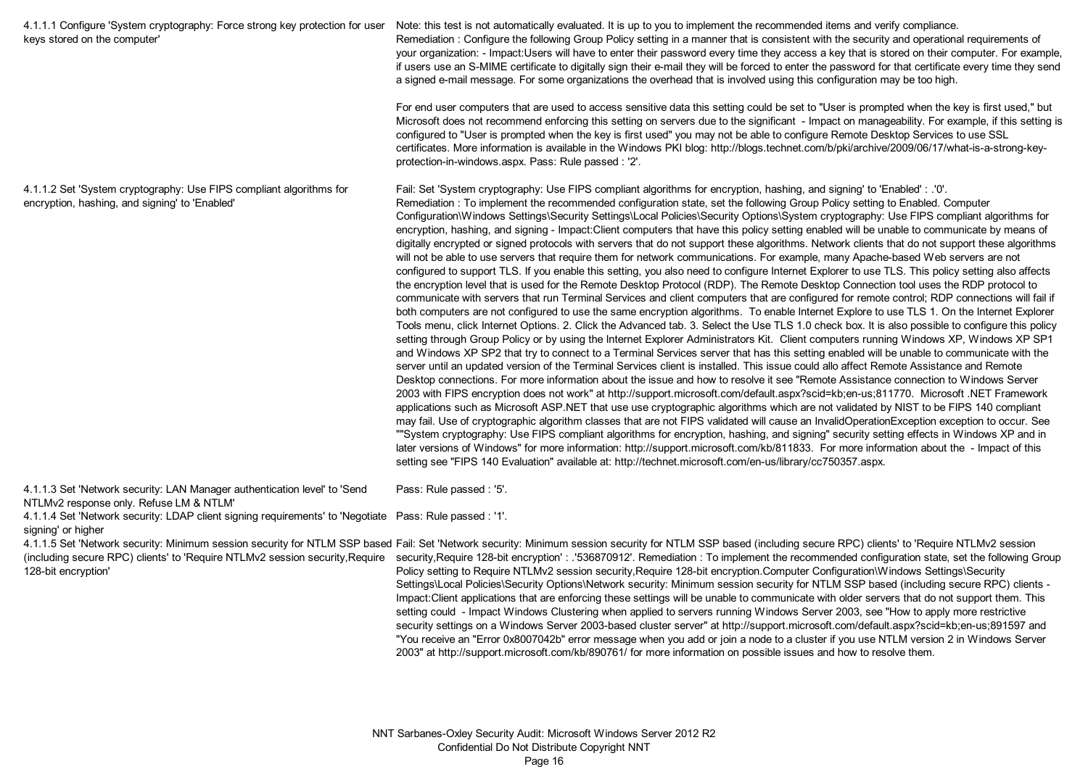| 4.1.1.1 Configure 'System cryptography: Force strong key protection for user<br>keys stored on the computer'          | Note: this test is not automatically evaluated. It is up to you to implement the recommended items and verify compliance.<br>Remediation: Configure the following Group Policy setting in a manner that is consistent with the security and operational requirements of<br>your organization: - Impact:Users will have to enter their password every time they access a key that is stored on their computer. For example,<br>if users use an S-MIME certificate to digitally sign their e-mail they will be forced to enter the password for that certificate every time they send<br>a signed e-mail message. For some organizations the overhead that is involved using this configuration may be too high.                                                                                                                                                                                                                                                                                                                                                                                                                                                                                                                                                                                                                                                                                                                                                                                                                                                                                                                                                                                                                                                                                                                                                                                                                                                                                                                                                                                                                                                                                                                                                                                                                                                                                                                                                                                                                                                                                                                                                                                                                                                                                                                                                                                                                                                                                      |
|-----------------------------------------------------------------------------------------------------------------------|-----------------------------------------------------------------------------------------------------------------------------------------------------------------------------------------------------------------------------------------------------------------------------------------------------------------------------------------------------------------------------------------------------------------------------------------------------------------------------------------------------------------------------------------------------------------------------------------------------------------------------------------------------------------------------------------------------------------------------------------------------------------------------------------------------------------------------------------------------------------------------------------------------------------------------------------------------------------------------------------------------------------------------------------------------------------------------------------------------------------------------------------------------------------------------------------------------------------------------------------------------------------------------------------------------------------------------------------------------------------------------------------------------------------------------------------------------------------------------------------------------------------------------------------------------------------------------------------------------------------------------------------------------------------------------------------------------------------------------------------------------------------------------------------------------------------------------------------------------------------------------------------------------------------------------------------------------------------------------------------------------------------------------------------------------------------------------------------------------------------------------------------------------------------------------------------------------------------------------------------------------------------------------------------------------------------------------------------------------------------------------------------------------------------------------------------------------------------------------------------------------------------------------------------------------------------------------------------------------------------------------------------------------------------------------------------------------------------------------------------------------------------------------------------------------------------------------------------------------------------------------------------------------------------------------------------------------------------------------------------------------|
|                                                                                                                       | For end user computers that are used to access sensitive data this setting could be set to "User is prompted when the key is first used," but<br>Microsoft does not recommend enforcing this setting on servers due to the significant - Impact on manageability. For example, if this setting is<br>configured to "User is prompted when the key is first used" you may not be able to configure Remote Desktop Services to use SSL<br>certificates. More information is available in the Windows PKI blog: http://blogs.technet.com/b/pki/archive/2009/06/17/what-is-a-strong-key-<br>protection-in-windows.aspx. Pass: Rule passed: '2'.                                                                                                                                                                                                                                                                                                                                                                                                                                                                                                                                                                                                                                                                                                                                                                                                                                                                                                                                                                                                                                                                                                                                                                                                                                                                                                                                                                                                                                                                                                                                                                                                                                                                                                                                                                                                                                                                                                                                                                                                                                                                                                                                                                                                                                                                                                                                                         |
| 4.1.1.2 Set 'System cryptography: Use FIPS compliant algorithms for<br>encryption, hashing, and signing' to 'Enabled' | Fail: Set 'System cryptography: Use FIPS compliant algorithms for encryption, hashing, and signing' to 'Enabled': .'0'.<br>Remediation: To implement the recommended configuration state, set the following Group Policy setting to Enabled. Computer<br>Configuration\Windows Settings\Security Settings\Local Policies\Security Options\System cryptography: Use FIPS compliant algorithms for<br>encryption, hashing, and signing - Impact:Client computers that have this policy setting enabled will be unable to communicate by means of<br>digitally encrypted or signed protocols with servers that do not support these algorithms. Network clients that do not support these algorithms<br>will not be able to use servers that require them for network communications. For example, many Apache-based Web servers are not<br>configured to support TLS. If you enable this setting, you also need to configure Internet Explorer to use TLS. This policy setting also affects<br>the encryption level that is used for the Remote Desktop Protocol (RDP). The Remote Desktop Connection tool uses the RDP protocol to<br>communicate with servers that run Terminal Services and client computers that are configured for remote control; RDP connections will fail if<br>both computers are not configured to use the same encryption algorithms. To enable Internet Explore to use TLS 1. On the Internet Explorer<br>Tools menu, click Internet Options. 2. Click the Advanced tab. 3. Select the Use TLS 1.0 check box. It is also possible to configure this policy<br>setting through Group Policy or by using the Internet Explorer Administrators Kit. Client computers running Windows XP, Windows XP SP1<br>and Windows XP SP2 that try to connect to a Terminal Services server that has this setting enabled will be unable to communicate with the<br>server until an updated version of the Terminal Services client is installed. This issue could allo affect Remote Assistance and Remote<br>Desktop connections. For more information about the issue and how to resolve it see "Remote Assistance connection to Windows Server<br>2003 with FIPS encryption does not work" at http://support.microsoft.com/default.aspx?scid=kb;en-us;811770. Microsoft .NET Framework<br>applications such as Microsoft ASP.NET that use use cryptographic algorithms which are not validated by NIST to be FIPS 140 compliant<br>may fail. Use of cryptographic algorithm classes that are not FIPS validated will cause an InvalidOperationException exception to occur. See<br>""System cryptography: Use FIPS compliant algorithms for encryption, hashing, and signing" security setting effects in Windows XP and in<br>later versions of Windows" for more information: http://support.microsoft.com/kb/811833. For more information about the - Impact of this<br>setting see "FIPS 140 Evaluation" available at: http://technet.microsoft.com/en-us/library/cc750357.aspx. |

4.1.1.3 Set 'Network security: LAN Manager authentication level' to 'Send NTLMv2 response only. Refuse LM & NTLM' Pass: Rule passed : '5'.

4.1.1.4 Set 'Network security: LDAP client signing requirements' to 'Negotiate Pass: Rule passed : '1'. signing' or higher

4.1.1.5 Set 'Network security: Minimum session security for NTLM SSP based Fail: Set 'Network security: Minimum session security for NTLM SSP based (including secure RPC) clients' to 'Require NTLMv2 session (including secure RPC) clients' to 'Require NTLMv2 session security,Require security,Require 128-bit encryption' : .'536870912'. Remediation : To implement the recommended configuration state, set the following Group 128-bit encryption' Policy setting to Require NTLMv2 session security,Require 128-bit encryption.Computer Configuration\Windows Settings\Security Settings\Local Policies\Security Options\Network security: Minimum session security for NTLM SSP based (including secure RPC) clients - Impact:Client applications that are enforcing these settings will be unable to communicate with older servers that do not support them. This setting could - Impact Windows Clustering when applied to servers running Windows Server 2003, see "How to apply more restrictive security settings on a Windows Server 2003-based cluster server" at http://support.microsoft.com/default.aspx?scid=kb;en-us;891597 and "You receive an "Error 0x8007042b" error message when you add or join a node to a cluster if you use NTLM version 2 in Windows Server

2003" at http://support.microsoft.com/kb/890761/ for more information on possible issues and how to resolve them.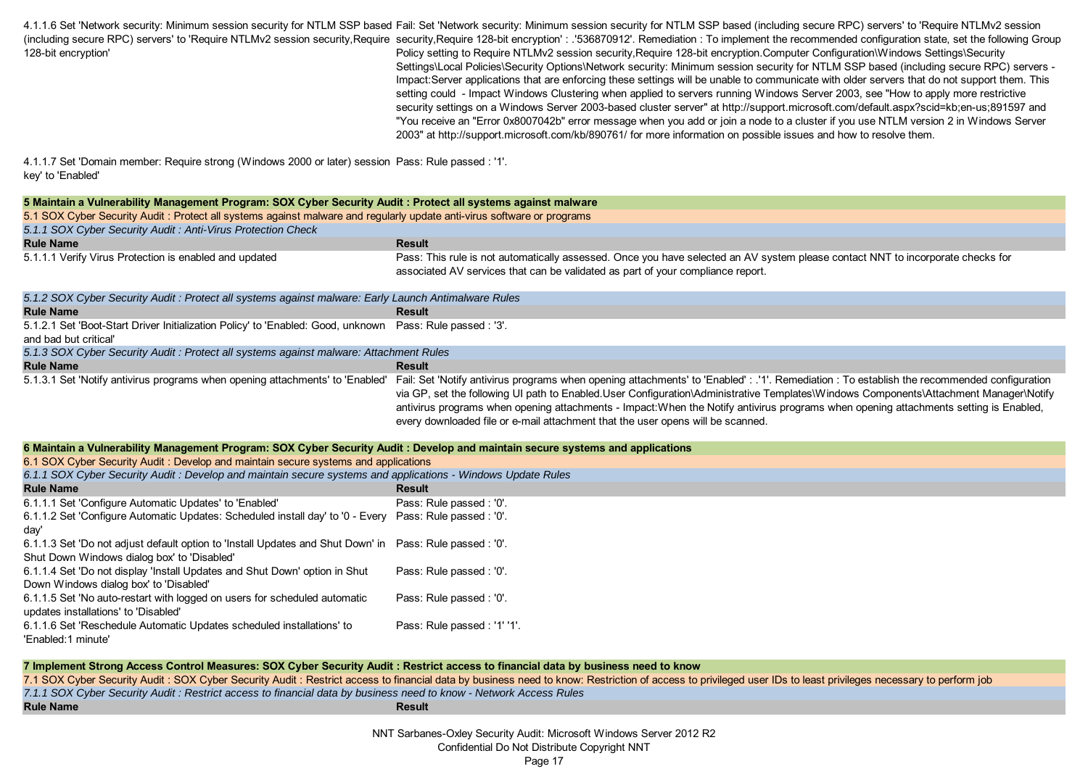4.1.1.6 Set 'Network security: Minimum session security for NTLM SSP based Fail: Set 'Network security: Minimum session security for NTLM SSP based (including secure RPC) servers' to 'Require NTLMv2 session (including secure RPC) servers' to 'Require NTLMv2 session security,Require security,Require 128-bit encryption' : .'536870912'. Remediation : To implement the recommended configuration state, set the following Group 128-bit encryption' Policy setting to Require NTLMv2 session security,Require 128-bit encryption.Computer Configuration\Windows Settings\Security Settings\Local Policies\Security Options\Network security: Minimum session security for NTLM SSP based (including secure RPC) servers -

Impact:Server applications that are enforcing these settings will be unable to communicate with older servers that do not support them. This setting could - Impact Windows Clustering when applied to servers running Windows Server 2003, see "How to apply more restrictive security settings on a Windows Server 2003-based cluster server" at http://support.microsoft.com/default.aspx?scid=kb;en-us;891597 and "You receive an "Error 0x8007042b" error message when you add or join a node to a cluster if you use NTLM version 2 in Windows Server 2003" at http://support.microsoft.com/kb/890761/ for more information on possible issues and how to resolve them.

4.1.1.7 Set 'Domain member: Require strong (Windows 2000 or later) session Pass: Rule passed : '1'. key' to 'Enabled'

| 5 Maintain a Vulnerability Management Program: SOX Cyber Security Audit : Protect all systems against malware                  |                                                                                                                                                                                                                                                                                                                                                                                                                                                                                                                 |
|--------------------------------------------------------------------------------------------------------------------------------|-----------------------------------------------------------------------------------------------------------------------------------------------------------------------------------------------------------------------------------------------------------------------------------------------------------------------------------------------------------------------------------------------------------------------------------------------------------------------------------------------------------------|
|                                                                                                                                |                                                                                                                                                                                                                                                                                                                                                                                                                                                                                                                 |
| 5.1 SOX Cyber Security Audit: Protect all systems against malware and regularly update anti-virus software or programs         |                                                                                                                                                                                                                                                                                                                                                                                                                                                                                                                 |
| 5.1.1 SOX Cyber Security Audit: Anti-Virus Protection Check<br><b>Rule Name</b>                                                | <b>Result</b>                                                                                                                                                                                                                                                                                                                                                                                                                                                                                                   |
|                                                                                                                                |                                                                                                                                                                                                                                                                                                                                                                                                                                                                                                                 |
| 5.1.1.1 Verify Virus Protection is enabled and updated                                                                         | Pass: This rule is not automatically assessed. Once you have selected an AV system please contact NNT to incorporate checks for<br>associated AV services that can be validated as part of your compliance report.                                                                                                                                                                                                                                                                                              |
| 5.1.2 SOX Cyber Security Audit : Protect all systems against malware: Early Launch Antimalware Rules                           |                                                                                                                                                                                                                                                                                                                                                                                                                                                                                                                 |
| <b>Rule Name</b>                                                                                                               | <b>Result</b>                                                                                                                                                                                                                                                                                                                                                                                                                                                                                                   |
| 5.1.2.1 Set 'Boot-Start Driver Initialization Policy' to 'Enabled: Good, unknown<br>and bad but critical'                      | Pass: Rule passed: '3'.                                                                                                                                                                                                                                                                                                                                                                                                                                                                                         |
| 5.1.3 SOX Cyber Security Audit : Protect all systems against malware: Attachment Rules                                         |                                                                                                                                                                                                                                                                                                                                                                                                                                                                                                                 |
| <b>Rule Name</b>                                                                                                               | <b>Result</b>                                                                                                                                                                                                                                                                                                                                                                                                                                                                                                   |
| 5.1.3.1 Set 'Notify antivirus programs when opening attachments' to 'Enabled'                                                  | Fail: Set 'Notify antivirus programs when opening attachments' to 'Enabled': .'1'. Remediation: To establish the recommended configuration<br>via GP, set the following UI path to Enabled.User Configuration\Administrative Templates\Windows Components\Attachment Manager\Notify<br>antivirus programs when opening attachments - Impact: When the Notify antivirus programs when opening attachments setting is Enabled,<br>every downloaded file or e-mail attachment that the user opens will be scanned. |
| 6 Maintain a Vulnerability Management Program: SOX Cyber Security Audit: Develop and maintain secure systems and applications  |                                                                                                                                                                                                                                                                                                                                                                                                                                                                                                                 |
| 6.1 SOX Cyber Security Audit: Develop and maintain secure systems and applications                                             |                                                                                                                                                                                                                                                                                                                                                                                                                                                                                                                 |
| 6.1.1 SOX Cyber Security Audit : Develop and maintain secure systems and applications - Windows Update Rules                   |                                                                                                                                                                                                                                                                                                                                                                                                                                                                                                                 |
| <b>Rule Name</b>                                                                                                               | <b>Result</b>                                                                                                                                                                                                                                                                                                                                                                                                                                                                                                   |
| 6.1.1.1 Set 'Configure Automatic Updates' to 'Enabled'                                                                         | Pass: Rule passed : '0'.                                                                                                                                                                                                                                                                                                                                                                                                                                                                                        |
| 6.1.1.2 Set 'Configure Automatic Updates: Scheduled install day' to '0 - Every Pass: Rule passed : '0'.<br>day'                |                                                                                                                                                                                                                                                                                                                                                                                                                                                                                                                 |
| 6.1.1.3 Set 'Do not adjust default option to 'Install Updates and Shut Down' in<br>Shut Down Windows dialog box' to 'Disabled' | Pass: Rule passed : '0'.                                                                                                                                                                                                                                                                                                                                                                                                                                                                                        |
| 6.1.1.4 Set 'Do not display 'Install Updates and Shut Down' option in Shut<br>Down Windows dialog box' to 'Disabled'           | Pass: Rule passed : '0'.                                                                                                                                                                                                                                                                                                                                                                                                                                                                                        |
| 6.1.1.5 Set 'No auto-restart with logged on users for scheduled automatic<br>updates installations' to 'Disabled'              | Pass: Rule passed : '0'.                                                                                                                                                                                                                                                                                                                                                                                                                                                                                        |
| 6.1.1.6 Set 'Reschedule Automatic Updates scheduled installations' to<br>'Enabled:1 minute'                                    | Pass: Rule passed: '1' '1'.                                                                                                                                                                                                                                                                                                                                                                                                                                                                                     |

## **Rule Name**<br> **Rule Name** 7.1 SOX Cyber Security Audit : SOX Cyber Security Audit : Restrict access to financial data by business need to know: Restriction of access to privileged user IDs to least privileges necessary to perform job *7.1.1 SOX Cyber Security Audit : Restrict access to financial data by business need to know - Network Access Rules* **7 Implement Strong Access Control Measures: SOX Cyber Security Audit : Restrict access to financial data by business need to know**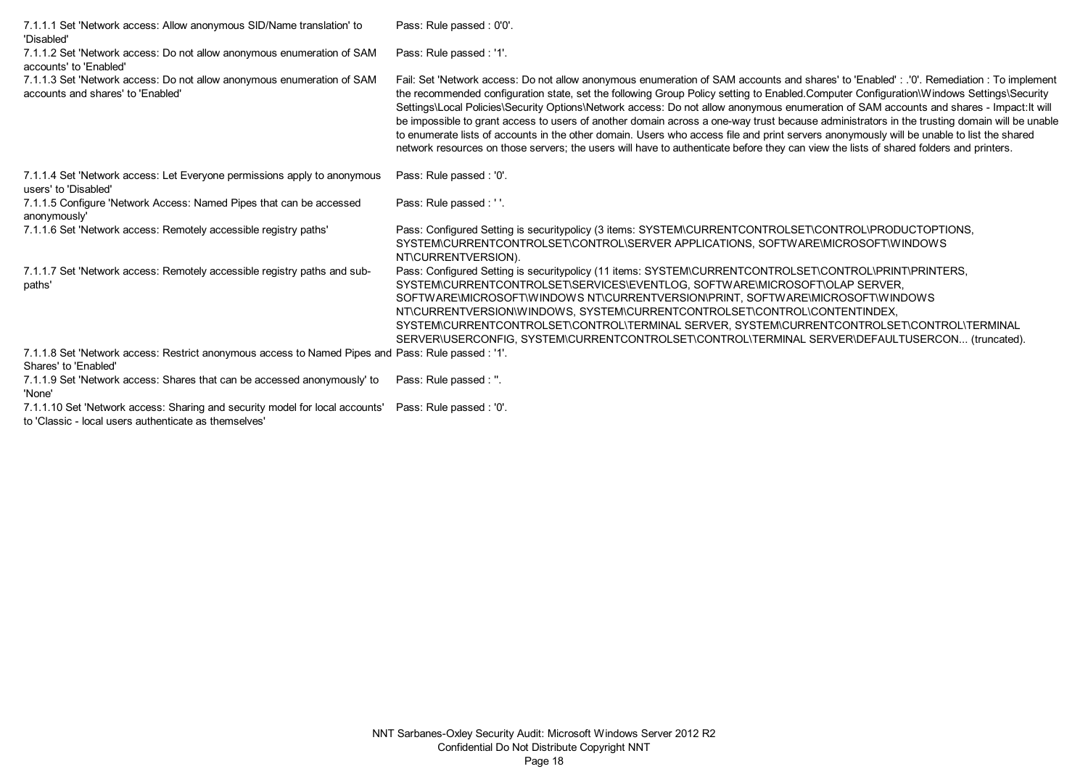| 7.1.1.1 Set 'Network access: Allow anonymous SID/Name translation' to<br>'Disabled'                                        | Pass: Rule passed: 0'0'.                                                                                                                                                                                                                                                                                                                                                                                                                                                                                                                                                                                                                                                                                                                                                                                                                                                |
|----------------------------------------------------------------------------------------------------------------------------|-------------------------------------------------------------------------------------------------------------------------------------------------------------------------------------------------------------------------------------------------------------------------------------------------------------------------------------------------------------------------------------------------------------------------------------------------------------------------------------------------------------------------------------------------------------------------------------------------------------------------------------------------------------------------------------------------------------------------------------------------------------------------------------------------------------------------------------------------------------------------|
| 7.1.1.2 Set 'Network access: Do not allow anonymous enumeration of SAM<br>accounts' to 'Enabled'                           | Pass: Rule passed : '1'.                                                                                                                                                                                                                                                                                                                                                                                                                                                                                                                                                                                                                                                                                                                                                                                                                                                |
| 7.1.1.3 Set 'Network access: Do not allow anonymous enumeration of SAM<br>accounts and shares' to 'Enabled'                | Fail: Set 'Network access: Do not allow anonymous enumeration of SAM accounts and shares' to 'Enabled' : .'0'. Remediation : To implement<br>the recommended configuration state, set the following Group Policy setting to Enabled.Computer Configuration\Windows Settings\Security<br>Settings\Local Policies\Security Options\Network access: Do not allow anonymous enumeration of SAM accounts and shares - Impact: It will<br>be impossible to grant access to users of another domain across a one-way trust because administrators in the trusting domain will be unable<br>to enumerate lists of accounts in the other domain. Users who access file and print servers anonymously will be unable to list the shared<br>network resources on those servers; the users will have to authenticate before they can view the lists of shared folders and printers. |
| 7.1.1.4 Set 'Network access: Let Everyone permissions apply to anonymous<br>users' to 'Disabled'                           | Pass: Rule passed: '0'.                                                                                                                                                                                                                                                                                                                                                                                                                                                                                                                                                                                                                                                                                                                                                                                                                                                 |
| 7.1.1.5 Configure 'Network Access: Named Pipes that can be accessed<br>anonymously'                                        | Pass: Rule passed : ''.                                                                                                                                                                                                                                                                                                                                                                                                                                                                                                                                                                                                                                                                                                                                                                                                                                                 |
| 7.1.1.6 Set 'Network access: Remotely accessible registry paths'                                                           | Pass: Configured Setting is securitypolicy (3 items: SYSTEM\CURRENTCONTROLSET\CONTROL\PRODUCTOPTIONS,<br>SYSTEM\CURRENTCONTROLSET\CONTROL\SERVER APPLICATIONS, SOFTWARE\MICROSOFT\WINDOWS<br>NT\CURRENTVERSION).                                                                                                                                                                                                                                                                                                                                                                                                                                                                                                                                                                                                                                                        |
| 7.1.1.7 Set 'Network access: Remotely accessible registry paths and sub-<br>paths'                                         | Pass: Configured Setting is securitypolicy (11 items: SYSTEM\CURRENTCONTROLSET\CONTROL\PRINT\PRINTERS,<br>SYSTEM\CURRENTCONTROLSET\SERVICES\EVENTLOG, SOFTWARE\MICROSOFT\OLAP SERVER,<br>SOFTWARE\MICROSOFT\WINDOWS NT\CURRENTVERSION\PRINT, SOFTWARE\MICROSOFT\WINDOWS<br>NT\CURRENTVERSION\WINDOWS, SYSTEM\CURRENTCONTROLSET\CONTROL\CONTENTINDEX,<br>SYSTEM\CURRENTCONTROLSET\CONTROL\TERMINAL SERVER, SYSTEM\CURRENTCONTROLSET\CONTROL\TERMINAL<br>SERVER\USERCONFIG, SYSTEM\CURRENTCONTROLSET\CONTROL\TERMINAL SERVER\DEFAULTUSERCON (truncated).                                                                                                                                                                                                                                                                                                                  |
| 7.1.1.8 Set 'Network access: Restrict anonymous access to Named Pipes and Pass: Rule passed : '1'.<br>Shares' to 'Enabled' |                                                                                                                                                                                                                                                                                                                                                                                                                                                                                                                                                                                                                                                                                                                                                                                                                                                                         |
| 7.1.1.9 Set 'Network access: Shares that can be accessed anonymously' to<br>'None'                                         | Pass: Rule passed : ".                                                                                                                                                                                                                                                                                                                                                                                                                                                                                                                                                                                                                                                                                                                                                                                                                                                  |

7.1.1.10 Set 'Network access: Sharing and security model for local accounts' Pass: Rule passed : '0'.

to 'Classic - local users authenticate as themselves'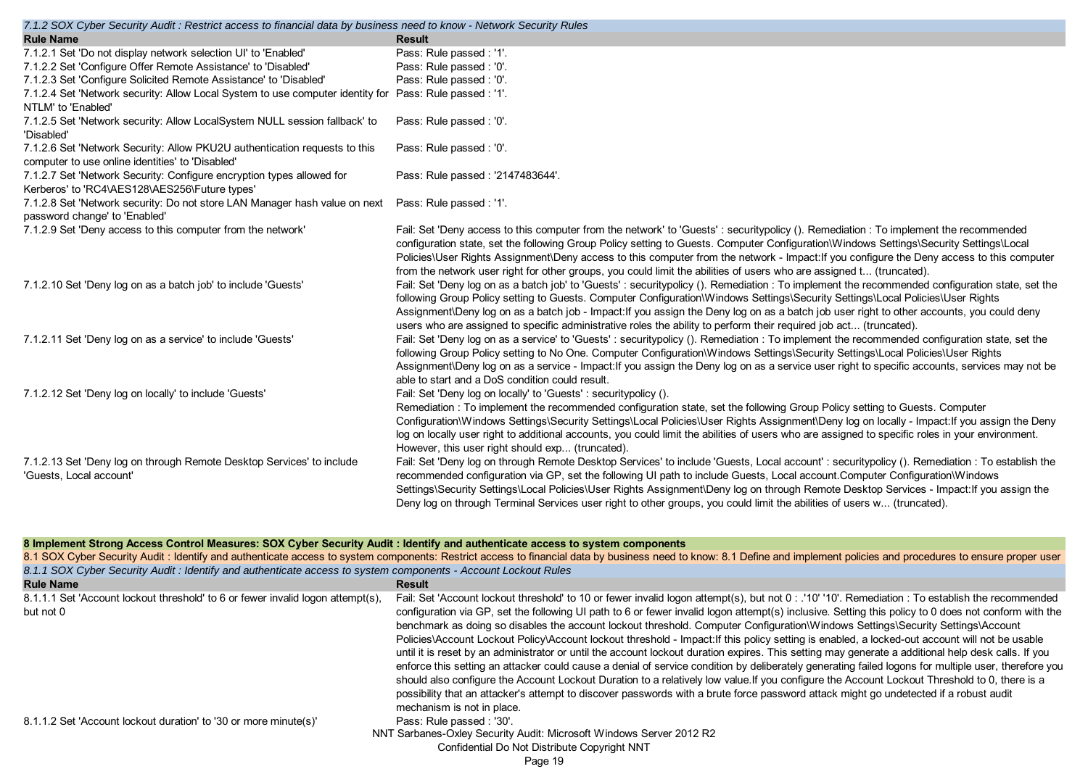| <b>Rule Name</b><br><b>Result</b>                                                                                                                                                                                                                               |  |
|-----------------------------------------------------------------------------------------------------------------------------------------------------------------------------------------------------------------------------------------------------------------|--|
|                                                                                                                                                                                                                                                                 |  |
| Pass: Rule passed : '1'.<br>7.1.2.1 Set 'Do not display network selection UI' to 'Enabled'                                                                                                                                                                      |  |
| Pass: Rule passed : '0'.<br>7.1.2.2 Set 'Configure Offer Remote Assistance' to 'Disabled'                                                                                                                                                                       |  |
| 7.1.2.3 Set 'Configure Solicited Remote Assistance' to 'Disabled'<br>Pass: Rule passed: '0'.                                                                                                                                                                    |  |
| 7.1.2.4 Set 'Network security: Allow Local System to use computer identity for Pass: Rule passed : '1'.                                                                                                                                                         |  |
| NTLM' to 'Enabled'                                                                                                                                                                                                                                              |  |
| 7.1.2.5 Set 'Network security: Allow LocalSystem NULL session fallback' to<br>Pass: Rule passed : '0'.<br>'Disabled'                                                                                                                                            |  |
| 7.1.2.6 Set 'Network Security: Allow PKU2U authentication requests to this<br>Pass: Rule passed: '0'.                                                                                                                                                           |  |
| computer to use online identities' to 'Disabled'                                                                                                                                                                                                                |  |
| 7.1.2.7 Set 'Network Security: Configure encryption types allowed for<br>Pass: Rule passed: '2147483644'.                                                                                                                                                       |  |
| Kerberos' to 'RC4\AES128\AES256\Future types'                                                                                                                                                                                                                   |  |
| Pass: Rule passed: '1'.<br>7.1.2.8 Set 'Network security: Do not store LAN Manager hash value on next                                                                                                                                                           |  |
| password change' to 'Enabled'                                                                                                                                                                                                                                   |  |
| 7.1.2.9 Set 'Deny access to this computer from the network'<br>Fail: Set 'Deny access to this computer from the network' to 'Guests': securitypolicy (). Remediation: To implement the recommended                                                              |  |
| configuration state, set the following Group Policy setting to Guests. Computer Configuration\Windows Settings\Security Settings\Local                                                                                                                          |  |
| Policies\User Rights Assignment\Deny access to this computer from the network - Impact: If you configure the Deny access to this computer                                                                                                                       |  |
| from the network user right for other groups, you could limit the abilities of users who are assigned t (truncated).                                                                                                                                            |  |
| Fail: Set 'Deny log on as a batch job' to 'Guests': securitypolicy (). Remediation: To implement the recommended configuration state, set the<br>7.1.2.10 Set 'Deny log on as a batch job' to include 'Guests'                                                  |  |
| following Group Policy setting to Guests. Computer Configuration\Windows Settings\Security Settings\Local Policies\User Rights                                                                                                                                  |  |
| Assignment\Deny log on as a batch job - Impact: If you assign the Deny log on as a batch job user right to other accounts, you could deny<br>users who are assigned to specific administrative roles the ability to perform their required job act (truncated). |  |
| Fail: Set 'Deny log on as a service' to 'Guests' : securitypolicy (). Remediation : To implement the recommended configuration state, set the                                                                                                                   |  |
| 7.1.2.11 Set 'Deny log on as a service' to include 'Guests'<br>following Group Policy setting to No One. Computer Configuration\Windows Settings\Security Settings\Local Policies\User Rights                                                                   |  |
| Assignment\Deny log on as a service - Impact: If you assign the Deny log on as a service user right to specific accounts, services may not be                                                                                                                   |  |
| able to start and a DoS condition could result.                                                                                                                                                                                                                 |  |
| 7.1.2.12 Set 'Deny log on locally' to include 'Guests'<br>Fail: Set 'Deny log on locally' to 'Guests': securitypolicy ().                                                                                                                                       |  |
| Remediation: To implement the recommended configuration state, set the following Group Policy setting to Guests. Computer                                                                                                                                       |  |
| Configuration\Windows Settings\Security Settings\Local Policies\User Rights Assignment\Deny log on locally - Impact: If you assign the Deny                                                                                                                     |  |
| log on locally user right to additional accounts, you could limit the abilities of users who are assigned to specific roles in your environment.                                                                                                                |  |
| However, this user right should exp (truncated).                                                                                                                                                                                                                |  |
| 7.1.2.13 Set 'Deny log on through Remote Desktop Services' to include<br>Fail: Set 'Deny log on through Remote Desktop Services' to include 'Guests, Local account' : securitypolicy (). Remediation : To establish the                                         |  |
| recommended configuration via GP, set the following UI path to include Guests, Local account. Computer Configuration\Windows<br>'Guests, Local account'                                                                                                         |  |
| Settings\Security Settings\Local Policies\User Rights Assignment\Deny log on through Remote Desktop Services - Impact:If you assign the                                                                                                                         |  |
| Deny log on through Terminal Services user right to other groups, you could limit the abilities of users w (truncated).                                                                                                                                         |  |

## **8 Implement Strong Access Control Measures: SOX Cyber Security Audit : Identify and authenticate access to system components**

|                                                                                                                | 8.1 SOX Cyber Security Audit : Identify and authenticate access to system components: Restrict access to financial data by business need to know: 8.1 Define and implement policies and procedures to ensure proper user                                                                                                                                                                                                                                                                                                                                                                                                                                                                                                                                                                                                                                                                                                                                                                                                                                                                                                                                                                                                           |
|----------------------------------------------------------------------------------------------------------------|------------------------------------------------------------------------------------------------------------------------------------------------------------------------------------------------------------------------------------------------------------------------------------------------------------------------------------------------------------------------------------------------------------------------------------------------------------------------------------------------------------------------------------------------------------------------------------------------------------------------------------------------------------------------------------------------------------------------------------------------------------------------------------------------------------------------------------------------------------------------------------------------------------------------------------------------------------------------------------------------------------------------------------------------------------------------------------------------------------------------------------------------------------------------------------------------------------------------------------|
| 8.1.1 SOX Cyber Security Audit : Identify and authenticate access to system components - Account Lockout Rules |                                                                                                                                                                                                                                                                                                                                                                                                                                                                                                                                                                                                                                                                                                                                                                                                                                                                                                                                                                                                                                                                                                                                                                                                                                    |
| <b>Rule Name</b>                                                                                               | Result                                                                                                                                                                                                                                                                                                                                                                                                                                                                                                                                                                                                                                                                                                                                                                                                                                                                                                                                                                                                                                                                                                                                                                                                                             |
| 8.1.1.1 Set 'Account lockout threshold' to 6 or fewer invalid logon attempt(s).<br>but not 0                   | Fail: Set 'Account lockout threshold' to 10 or fewer invalid logon attempt(s), but not 0: '10' '10'. Remediation: To establish the recommended<br>configuration via GP, set the following UI path to 6 or fewer invalid logon attempt(s) inclusive. Setting this policy to 0 does not conform with the<br>benchmark as doing so disables the account lockout threshold. Computer Configuration\Windows Settings\Security Settings\Account<br>Policies\Account Lockout Policy\Account lockout threshold - Impact: If this policy setting is enabled, a locked-out account will not be usable<br>until it is reset by an administrator or until the account lockout duration expires. This setting may generate a additional help desk calls. If you<br>enforce this setting an attacker could cause a denial of service condition by deliberately generating failed logons for multiple user, therefore you<br>should also configure the Account Lockout Duration to a relatively low value. If you configure the Account Lockout Threshold to 0, there is a<br>possibility that an attacker's attempt to discover passwords with a brute force password attack might go undetected if a robust audit<br>mechanism is not in place. |
| 8.1.1.2 Set 'Account lockout duration' to '30 or more minute(s)'                                               | Pass: Rule passed: '30'.<br>NNT Sarbanes-Oxley Security Audit: Microsoft Windows Server 2012 R2<br>Confidential Do Not Distribute Copyright NNT                                                                                                                                                                                                                                                                                                                                                                                                                                                                                                                                                                                                                                                                                                                                                                                                                                                                                                                                                                                                                                                                                    |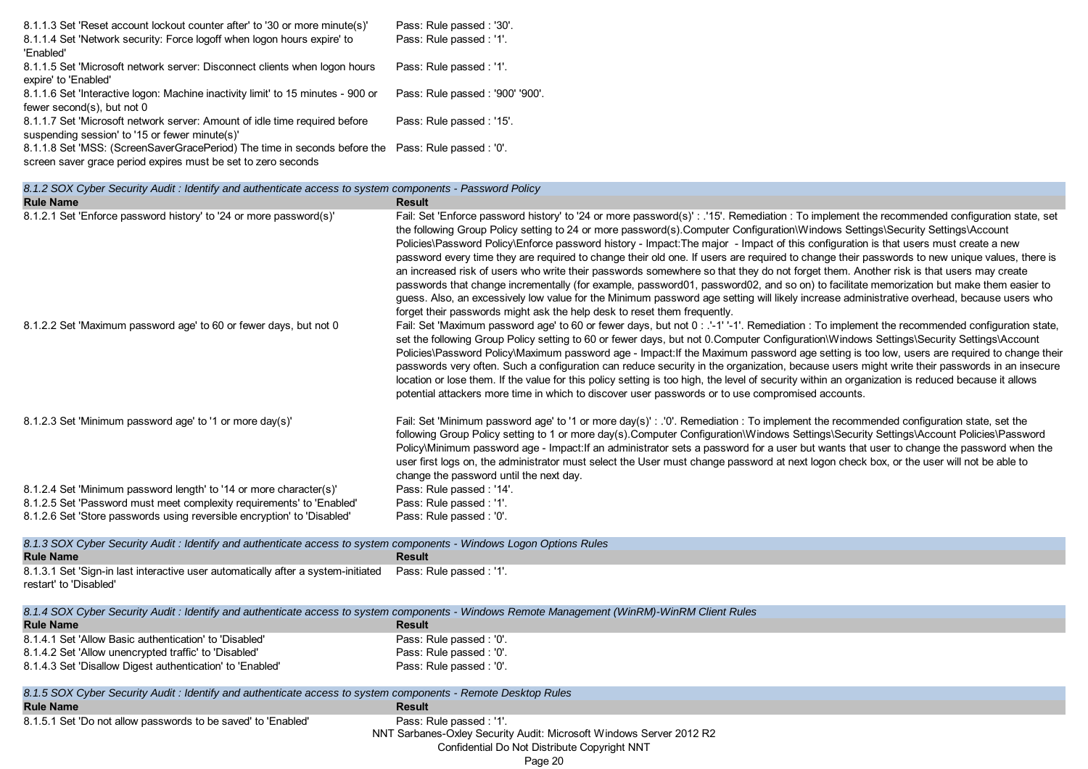| 8.1.1.3 Set 'Reset account lockout counter after' to '30 or more minute(s)'                        | Pass: Rule passed: '30'.        |
|----------------------------------------------------------------------------------------------------|---------------------------------|
| 8.1.1.4 Set 'Network security: Force logoff when logon hours expire' to                            | Pass: Rule passed: '1'.         |
| 'Enabled'                                                                                          |                                 |
| 8.1.1.5 Set 'Microsoft network server: Disconnect clients when logon hours                         | Pass: Rule passed: '1'.         |
| expire' to 'Enabled'                                                                               |                                 |
| 8.1.1.6 Set 'Interactive logon: Machine inactivity limit' to 15 minutes - 900 or                   | Pass: Rule passed: '900' '900'. |
| fewer second(s), but not 0                                                                         |                                 |
| 8.1.1.7 Set 'Microsoft network server: Amount of idle time required before                         | Pass: Rule passed: '15'.        |
| suspending session' to '15 or fewer minute(s)'                                                     |                                 |
| 8.1.1.8 Set 'MSS: (ScreenSaverGracePeriod) The time in seconds before the Pass: Rule passed : '0'. |                                 |
|                                                                                                    |                                 |

screen saver grace period expires must be set to zero seconds **Rule Name Result** 8.1.2.1 Set 'Enforce password history' to '24 or more password(s)' Fail: Set 'Enforce password history' to '24 or more password(s)' : .'15'. Remediation : To implement the recommended configuration state, set the following Group Policy setting to 24 or more password(s).Computer Configuration\Windows Settings\Security Settings\Account Policies\Password Policy\Enforce password history - Impact:The major - Impact of this configuration is that users must create a new password every time they are required to change their old one. If users are required to change their passwords to new unique values, there is an increased risk of users who write their passwords somewhere so that they do not forget them. Another risk is that users may create passwords that change incrementally (for example, password01, password02, and so on) to facilitate memorization but make them easier to guess. Also, an excessively low value for the Minimum password age setting will likely increase administrative overhead, because users who forget their passwords might ask the help desk to reset them frequently. 8.1.2.2 Set 'Maximum password age' to 60 or fewer days, but not 0 Fail: Set 'Maximum password age' to 60 or fewer days, but not 0 : .'-1' -1'. Remediation : To implement the recommended configuration state, set the following Group Policy setting to 60 or fewer days, but not 0.Computer Configuration\Windows Settings\Security Settings\Account Policies\Password Policy\Maximum password age - Impact:If the Maximum password age setting is too low, users are required to change their passwords very often. Such a configuration can reduce security in the organization, because users might write their passwords in an insecure location or lose them. If the value for this policy setting is too high, the level of security within an organization is reduced because it allows potential attackers more time in which to discover user passwords or to use compromised accounts. 8.1.2.3 Set 'Minimum password age' to '1 or more day(s)' Fail: Set 'Minimum password age' to '1 or more day(s)' : '0'. Remediation : To implement the recommended configuration state, set the following Group Policy setting to 1 or more day(s).Computer Configuration\Windows Settings\Security Settings\Account Policies\Password Policy\Minimum password age - Impact:If an administrator sets a password for a user but wants that user to change the password when the user first logs on, the administrator must select the User must change password at next logon check box, or the user will not be able to change the password until the next day. 8.1.2.4 Set 'Minimum password length' to '14 or more character(s)' Pass: Rule passed : '14'. 8.1.2.5 Set 'Password must meet complexity requirements' to 'Enabled' Pass: Rule passed : '1'. 8.1.2.6 Set 'Store passwords using reversible encryption' to 'Disabled' Pass: Rule passed : '0'. *8.1.2 SOX Cyber Security Audit : Identify and authenticate access to system components - Password Policy*

**Rule Name Result** 8.1.3.1 Set 'Sign-in last interactive user automatically after a system-initiated restart' to 'Disabled' Pass: Rule passed : '1'. **Rule Name Result** 8.1.4.1 Set 'Allow Basic authentication' to 'Disabled' Pass: Rule passed : '0'. 8.1.4.2 Set 'Allow unencrypted traffic' to 'Disabled' Pass: Rule passed : '0'. 8.1.4.3 Set 'Disallow Digest authentication' to 'Enabled' Pass: Rule passed : '0'. **Rule Name Result** 8.1.5.1 Set 'Do not allow passwords to be saved' to 'Enabled' Pass: Rule passed : '1'. *8.1.3 SOX Cyber Security Audit : Identify and authenticate access to system components - Windows Logon Options Rules 8.1.4 SOX Cyber Security Audit : Identify and authenticate access to system components - Windows Remote Management (WinRM)-WinRM Client Rules 8.1.5 SOX Cyber Security Audit : Identify and authenticate access to system components - Remote Desktop Rules*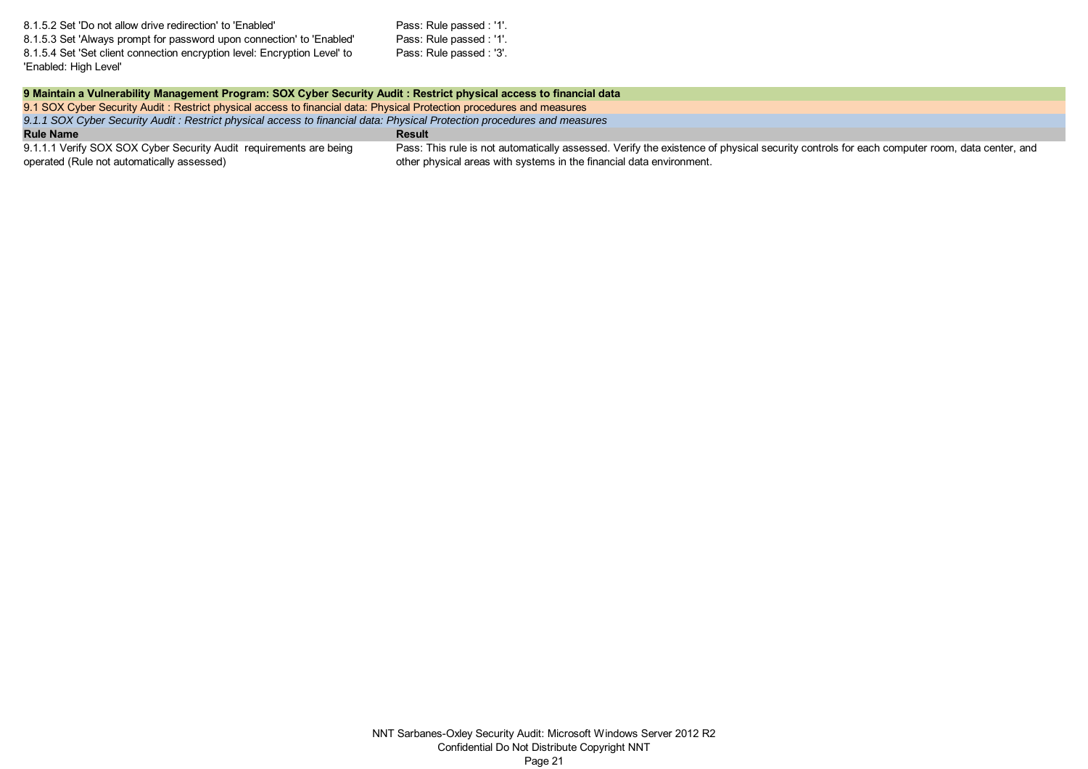| 8.1.5.2 Set 'Do not allow drive redirection' to 'Enabled'                 | Pass: Rule passed : '1'. |
|---------------------------------------------------------------------------|--------------------------|
| 8.1.5.3 Set 'Always prompt for password upon connection' to 'Enabled'     | Pass: Rule passed : '1'. |
| 8.1.5.4 Set 'Set client connection encryption level: Encryption Level' to | Pass: Rule passed : '3'. |
| 'Enabled: High Level'                                                     |                          |

| 9 Maintain a Vulnerability Management Program: SOX Cyber Security Audit: Restrict physical access to financial data     |                                                                                                                                                                                                                    |
|-------------------------------------------------------------------------------------------------------------------------|--------------------------------------------------------------------------------------------------------------------------------------------------------------------------------------------------------------------|
| 9.1 SOX Cyber Security Audit: Restrict physical access to financial data: Physical Protection procedures and measures   |                                                                                                                                                                                                                    |
| 9.1.1 SOX Cyber Security Audit: Restrict physical access to financial data: Physical Protection procedures and measures |                                                                                                                                                                                                                    |
| <b>Rule Name</b>                                                                                                        | Result                                                                                                                                                                                                             |
| 9.1.1.1 Verify SOX SOX Cyber Security Audit requirements are being<br>operated (Rule not automatically assessed)        | Pass: This rule is not automatically assessed. Verify the existence of physical security controls for each computer room, data center, and<br>other physical areas with systems in the financial data environment. |
|                                                                                                                         |                                                                                                                                                                                                                    |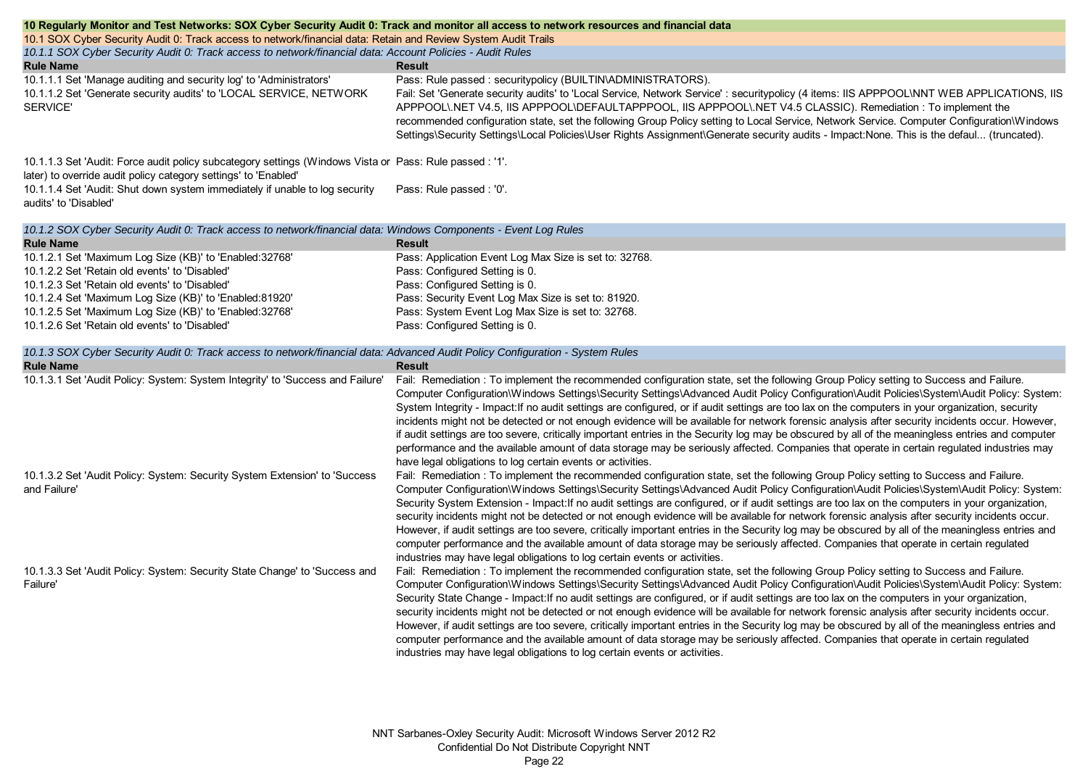| 10 Regularly Monitor and Test Networks: SOX Cyber Security Audit 0: Track and monitor all access to network resources and financial data                                   |                                                                                                                                                                                                                                                                                                                                                                                                                                                                                                                                                                                                                                                                                                                                                                                                                                                                                                                                                                     |  |
|----------------------------------------------------------------------------------------------------------------------------------------------------------------------------|---------------------------------------------------------------------------------------------------------------------------------------------------------------------------------------------------------------------------------------------------------------------------------------------------------------------------------------------------------------------------------------------------------------------------------------------------------------------------------------------------------------------------------------------------------------------------------------------------------------------------------------------------------------------------------------------------------------------------------------------------------------------------------------------------------------------------------------------------------------------------------------------------------------------------------------------------------------------|--|
| 10.1 SOX Cyber Security Audit 0: Track access to network/financial data: Retain and Review System Audit Trails                                                             |                                                                                                                                                                                                                                                                                                                                                                                                                                                                                                                                                                                                                                                                                                                                                                                                                                                                                                                                                                     |  |
| 10.1.1 SOX Cyber Security Audit 0: Track access to network/financial data: Account Policies - Audit Rules                                                                  |                                                                                                                                                                                                                                                                                                                                                                                                                                                                                                                                                                                                                                                                                                                                                                                                                                                                                                                                                                     |  |
| <b>Rule Name</b>                                                                                                                                                           | Result                                                                                                                                                                                                                                                                                                                                                                                                                                                                                                                                                                                                                                                                                                                                                                                                                                                                                                                                                              |  |
| 10.1.1.1 Set 'Manage auditing and security log' to 'Administrators'<br>10.1.1.2 Set 'Generate security audits' to 'LOCAL SERVICE, NETWORK<br><b>SERVICE'</b>               | Pass: Rule passed : securitypolicy (BUILTIN\ADMINISTRATORS).<br>Fail: Set 'Generate security audits' to 'Local Service, Network Service' : securitypolicy (4 items: IIS APPPOOL\NNT WEB APPLICATIONS, IIS<br>APPPOOL\.NET V4.5, IIS APPPOOL\DEFAULTAPPPOOL, IIS APPPOOL\.NET V4.5 CLASSIC). Remediation : To implement the                                                                                                                                                                                                                                                                                                                                                                                                                                                                                                                                                                                                                                          |  |
|                                                                                                                                                                            | recommended configuration state, set the following Group Policy setting to Local Service, Network Service. Computer Configuration\Windows<br>Settings\Security Settings\Local Policies\User Rights Assignment\Generate security audits - Impact:None. This is the defaul (truncated).                                                                                                                                                                                                                                                                                                                                                                                                                                                                                                                                                                                                                                                                               |  |
| 10.1.1.3 Set 'Audit: Force audit policy subcategory settings (Windows Vista or Pass: Rule passed : '1'.<br>later) to override audit policy category settings' to 'Enabled' |                                                                                                                                                                                                                                                                                                                                                                                                                                                                                                                                                                                                                                                                                                                                                                                                                                                                                                                                                                     |  |
| 10.1.1.4 Set 'Audit: Shut down system immediately if unable to log security<br>audits' to 'Disabled'                                                                       | Pass: Rule passed : '0'.                                                                                                                                                                                                                                                                                                                                                                                                                                                                                                                                                                                                                                                                                                                                                                                                                                                                                                                                            |  |
| 10.1.2 SOX Cyber Security Audit 0: Track access to network/financial data: Windows Components - Event Log Rules                                                            |                                                                                                                                                                                                                                                                                                                                                                                                                                                                                                                                                                                                                                                                                                                                                                                                                                                                                                                                                                     |  |
| <b>Rule Name</b>                                                                                                                                                           | <b>Result</b>                                                                                                                                                                                                                                                                                                                                                                                                                                                                                                                                                                                                                                                                                                                                                                                                                                                                                                                                                       |  |
| 10.1.2.1 Set 'Maximum Log Size (KB)' to 'Enabled: 32768'                                                                                                                   | Pass: Application Event Log Max Size is set to: 32768.                                                                                                                                                                                                                                                                                                                                                                                                                                                                                                                                                                                                                                                                                                                                                                                                                                                                                                              |  |
| 10.1.2.2 Set 'Retain old events' to 'Disabled'                                                                                                                             | Pass: Configured Setting is 0.                                                                                                                                                                                                                                                                                                                                                                                                                                                                                                                                                                                                                                                                                                                                                                                                                                                                                                                                      |  |
| 10.1.2.3 Set 'Retain old events' to 'Disabled'                                                                                                                             | Pass: Configured Setting is 0.                                                                                                                                                                                                                                                                                                                                                                                                                                                                                                                                                                                                                                                                                                                                                                                                                                                                                                                                      |  |
| 10.1.2.4 Set 'Maximum Log Size (KB)' to 'Enabled:81920'                                                                                                                    | Pass: Security Event Log Max Size is set to: 81920.                                                                                                                                                                                                                                                                                                                                                                                                                                                                                                                                                                                                                                                                                                                                                                                                                                                                                                                 |  |
| 10.1.2.5 Set 'Maximum Log Size (KB)' to 'Enabled:32768'                                                                                                                    | Pass: System Event Log Max Size is set to: 32768.                                                                                                                                                                                                                                                                                                                                                                                                                                                                                                                                                                                                                                                                                                                                                                                                                                                                                                                   |  |
| 10.1.2.6 Set 'Retain old events' to 'Disabled'                                                                                                                             | Pass: Configured Setting is 0.                                                                                                                                                                                                                                                                                                                                                                                                                                                                                                                                                                                                                                                                                                                                                                                                                                                                                                                                      |  |
| 10.1.3 SOX Cyber Security Audit 0: Track access to network/financial data: Advanced Audit Policy Configuration - System Rules                                              |                                                                                                                                                                                                                                                                                                                                                                                                                                                                                                                                                                                                                                                                                                                                                                                                                                                                                                                                                                     |  |
| <b>Rule Name</b>                                                                                                                                                           | <b>Result</b>                                                                                                                                                                                                                                                                                                                                                                                                                                                                                                                                                                                                                                                                                                                                                                                                                                                                                                                                                       |  |
| 10.1.3.1 Set 'Audit Policy: System: System Integrity' to 'Success and Failure'                                                                                             | Fail: Remediation : To implement the recommended configuration state, set the following Group Policy setting to Success and Failure.<br>Computer Configuration\Windows Settings\Security Settings\Advanced Audit Policy Configuration\Audit Policies\System\Audit Policy: System:<br>System Integrity - Impact: If no audit settings are configured, or if audit settings are too lax on the computers in your organization, security<br>incidents might not be detected or not enough evidence will be available for network forensic analysis after security incidents occur. However,<br>if audit settings are too severe, critically important entries in the Security log may be obscured by all of the meaningless entries and computer<br>performance and the available amount of data storage may be seriously affected. Companies that operate in certain regulated industries may<br>have legal obligations to log certain events or activities.          |  |
| 10.1.3.2 Set 'Audit Policy: System: Security System Extension' to 'Success<br>and Failure'                                                                                 | Fail: Remediation : To implement the recommended configuration state, set the following Group Policy setting to Success and Failure.<br>Computer Configuration\Windows Settings\Security Settings\Advanced Audit Policy Configuration\Audit Policies\System\Audit Policy: System:<br>Security System Extension - Impact: If no audit settings are configured, or if audit settings are too lax on the computers in your organization,<br>security incidents might not be detected or not enough evidence will be available for network forensic analysis after security incidents occur.<br>However, if audit settings are too severe, critically important entries in the Security log may be obscured by all of the meaningless entries and<br>computer performance and the available amount of data storage may be seriously affected. Companies that operate in certain regulated<br>industries may have legal obligations to log certain events or activities. |  |
| 10.1.3.3 Set 'Audit Policy: System: Security State Change' to 'Success and<br>Failure'                                                                                     | Fail: Remediation : To implement the recommended configuration state, set the following Group Policy setting to Success and Failure.<br>Computer Configuration\Windows Settings\Security Settings\Advanced Audit Policy Configuration\Audit Policies\System\Audit Policy: System:<br>Security State Change - Impact: If no audit settings are configured, or if audit settings are too lax on the computers in your organization,<br>security incidents might not be detected or not enough evidence will be available for network forensic analysis after security incidents occur.<br>However, if audit settings are too severe, critically important entries in the Security log may be obscured by all of the meaningless entries and<br>computer performance and the available amount of data storage may be seriously affected. Companies that operate in certain regulated<br>industries may have legal obligations to log certain events or activities.     |  |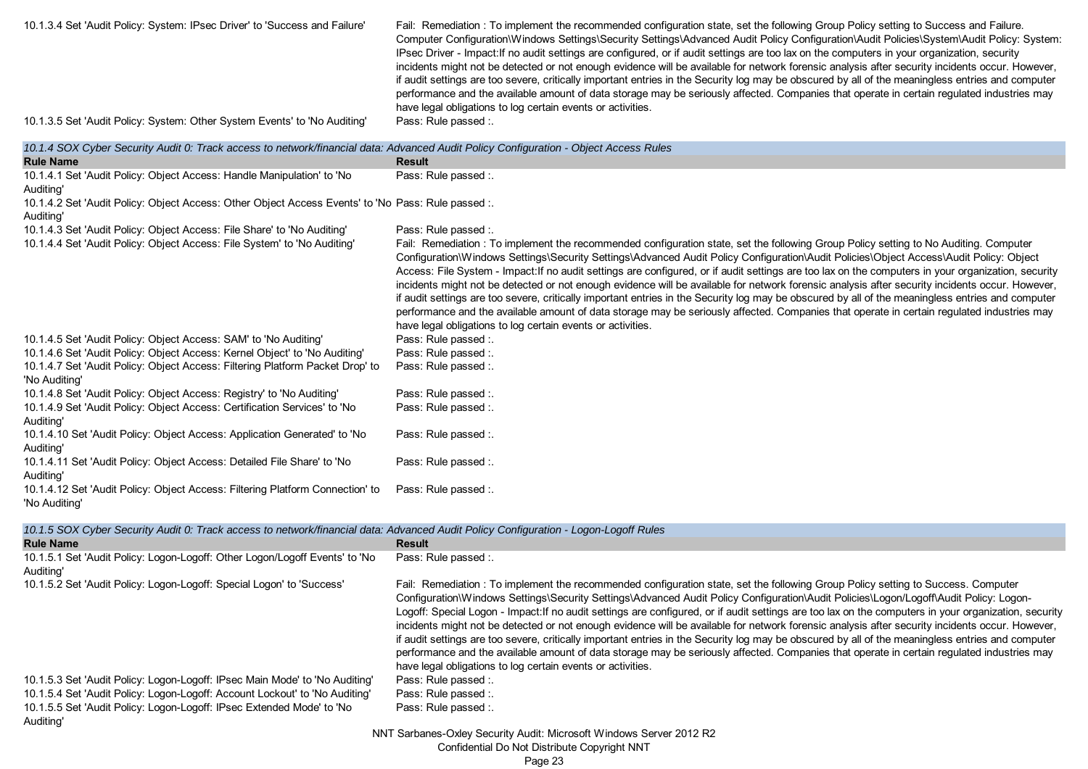| 10.1.3.4 Set 'Audit Policy: System: IPsec Driver' to 'Success and Failure' | Fail: Remediation : To implement the recommended configuration state, set the following Group Policy setting to Success and Failure.<br>Computer Configuration\Windows Settings\Security Settings\Advanced Audit Policy Configuration\Audit Policies\System\Audit Policy: System:<br>IPsec Driver - Impact: If no audit settings are configured, or if audit settings are too lax on the computers in your organization, security<br>incidents might not be detected or not enough evidence will be available for network forensic analysis after security incidents occur. However,<br>if audit settings are too severe, critically important entries in the Security log may be obscured by all of the meaningless entries and computer<br>performance and the available amount of data storage may be seriously affected. Companies that operate in certain regulated industries may<br>have legal obligations to log certain events or activities. |
|----------------------------------------------------------------------------|--------------------------------------------------------------------------------------------------------------------------------------------------------------------------------------------------------------------------------------------------------------------------------------------------------------------------------------------------------------------------------------------------------------------------------------------------------------------------------------------------------------------------------------------------------------------------------------------------------------------------------------------------------------------------------------------------------------------------------------------------------------------------------------------------------------------------------------------------------------------------------------------------------------------------------------------------------|
| 10.1.3.5 Set 'Audit Policy: System: Other System Events' to 'No Auditing'  | Pass: Rule passed :.                                                                                                                                                                                                                                                                                                                                                                                                                                                                                                                                                                                                                                                                                                                                                                                                                                                                                                                                   |

| 10.1.4 SOX Cyber Security Audit 0: Track access to network/financial data: Advanced Audit Policy Configuration - Object Access Rules |                                                                                                                                                                                                                                                                                                                                                                                                                                                                                                                                                                                                                                                                                                                                                                                                                                                                                                                                                            |
|--------------------------------------------------------------------------------------------------------------------------------------|------------------------------------------------------------------------------------------------------------------------------------------------------------------------------------------------------------------------------------------------------------------------------------------------------------------------------------------------------------------------------------------------------------------------------------------------------------------------------------------------------------------------------------------------------------------------------------------------------------------------------------------------------------------------------------------------------------------------------------------------------------------------------------------------------------------------------------------------------------------------------------------------------------------------------------------------------------|
| <b>Rule Name</b>                                                                                                                     | <b>Result</b>                                                                                                                                                                                                                                                                                                                                                                                                                                                                                                                                                                                                                                                                                                                                                                                                                                                                                                                                              |
| 10.1.4.1 Set 'Audit Policy: Object Access: Handle Manipulation' to 'No<br>Auditing'                                                  | Pass: Rule passed :.                                                                                                                                                                                                                                                                                                                                                                                                                                                                                                                                                                                                                                                                                                                                                                                                                                                                                                                                       |
| 10.1.4.2 Set 'Audit Policy: Object Access: Other Object Access Events' to 'No Pass: Rule passed :.<br>Auditing'                      |                                                                                                                                                                                                                                                                                                                                                                                                                                                                                                                                                                                                                                                                                                                                                                                                                                                                                                                                                            |
| 10.1.4.3 Set 'Audit Policy: Object Access: File Share' to 'No Auditing'                                                              | Pass: Rule passed :.                                                                                                                                                                                                                                                                                                                                                                                                                                                                                                                                                                                                                                                                                                                                                                                                                                                                                                                                       |
| 10.1.4.4 Set 'Audit Policy: Object Access: File System' to 'No Auditing'                                                             | Fail: Remediation: To implement the recommended configuration state, set the following Group Policy setting to No Auditing. Computer<br>Configuration\Windows Settings\Security Settings\Advanced Audit Policy Configuration\Audit Policies\Object Access\Audit Policy: Object<br>Access: File System - Impact: If no audit settings are configured, or if audit settings are too lax on the computers in your organization, security<br>incidents might not be detected or not enough evidence will be available for network forensic analysis after security incidents occur. However,<br>if audit settings are too severe, critically important entries in the Security log may be obscured by all of the meaningless entries and computer<br>performance and the available amount of data storage may be seriously affected. Companies that operate in certain regulated industries may<br>have legal obligations to log certain events or activities. |
| 10.1.4.5 Set 'Audit Policy: Object Access: SAM' to 'No Auditing'                                                                     | Pass: Rule passed :                                                                                                                                                                                                                                                                                                                                                                                                                                                                                                                                                                                                                                                                                                                                                                                                                                                                                                                                        |
| 10.1.4.6 Set 'Audit Policy: Object Access: Kernel Object' to 'No Auditing'                                                           | Pass: Rule passed :.                                                                                                                                                                                                                                                                                                                                                                                                                                                                                                                                                                                                                                                                                                                                                                                                                                                                                                                                       |
| 10.1.4.7 Set 'Audit Policy: Object Access: Filtering Platform Packet Drop' to<br>'No Auditing'                                       | Pass: Rule passed :.                                                                                                                                                                                                                                                                                                                                                                                                                                                                                                                                                                                                                                                                                                                                                                                                                                                                                                                                       |
| 10.1.4.8 Set 'Audit Policy: Object Access: Registry' to 'No Auditing'                                                                | Pass: Rule passed :.                                                                                                                                                                                                                                                                                                                                                                                                                                                                                                                                                                                                                                                                                                                                                                                                                                                                                                                                       |
| 10.1.4.9 Set 'Audit Policy: Object Access: Certification Services' to 'No<br>Auditina'                                               | Pass: Rule passed :.                                                                                                                                                                                                                                                                                                                                                                                                                                                                                                                                                                                                                                                                                                                                                                                                                                                                                                                                       |
| 10.1.4.10 Set 'Audit Policy: Object Access: Application Generated' to 'No<br>Auditing'                                               | Pass: Rule passed :                                                                                                                                                                                                                                                                                                                                                                                                                                                                                                                                                                                                                                                                                                                                                                                                                                                                                                                                        |
| 10.1.4.11 Set 'Audit Policy: Object Access: Detailed File Share' to 'No<br>Auditing'                                                 | Pass: Rule passed :                                                                                                                                                                                                                                                                                                                                                                                                                                                                                                                                                                                                                                                                                                                                                                                                                                                                                                                                        |
| 10.1.4.12 Set 'Audit Policy: Object Access: Filtering Platform Connection' to<br>'No Auditing'                                       | Pass: Rule passed :                                                                                                                                                                                                                                                                                                                                                                                                                                                                                                                                                                                                                                                                                                                                                                                                                                                                                                                                        |
|                                                                                                                                      |                                                                                                                                                                                                                                                                                                                                                                                                                                                                                                                                                                                                                                                                                                                                                                                                                                                                                                                                                            |

| 10.1.5 SOX Cyber Security Audit 0: Track access to network/financial data: Advanced Audit Policy Configuration - Logon-Logoff Rules |
|-------------------------------------------------------------------------------------------------------------------------------------|
|-------------------------------------------------------------------------------------------------------------------------------------|

| <b>Rule Name</b>                                                                         | <b>Result</b>                                                                                                                                                                                                                                                                                                                                                                                                                                                                                                                                                                                                                                                                                                                                                                                                                                                                                                                                           |
|------------------------------------------------------------------------------------------|---------------------------------------------------------------------------------------------------------------------------------------------------------------------------------------------------------------------------------------------------------------------------------------------------------------------------------------------------------------------------------------------------------------------------------------------------------------------------------------------------------------------------------------------------------------------------------------------------------------------------------------------------------------------------------------------------------------------------------------------------------------------------------------------------------------------------------------------------------------------------------------------------------------------------------------------------------|
| 10.1.5.1 Set 'Audit Policy: Logon-Logoff: Other Logon/Logoff Events' to 'No<br>Auditing' | Pass: Rule passed :.                                                                                                                                                                                                                                                                                                                                                                                                                                                                                                                                                                                                                                                                                                                                                                                                                                                                                                                                    |
| 10.1.5.2 Set 'Audit Policy: Logon-Logoff: Special Logon' to 'Success'                    | Fail: Remediation: To implement the recommended configuration state, set the following Group Policy setting to Success. Computer<br>Configuration\Windows Settings\Security Settings\Advanced Audit Policy Configuration\Audit Policies\Logon/Logoff\Audit Policy: Logon-<br>Logoff: Special Logon - Impact: If no audit settings are configured, or if audit settings are too lax on the computers in your organization, security<br>incidents might not be detected or not enough evidence will be available for network forensic analysis after security incidents occur. However,<br>if audit settings are too severe, critically important entries in the Security log may be obscured by all of the meaningless entries and computer<br>performance and the available amount of data storage may be seriously affected. Companies that operate in certain regulated industries may<br>have legal obligations to log certain events or activities. |
| 10.1.5.3 Set 'Audit Policy: Logon-Logoff: IPsec Main Mode' to 'No Auditing'              | Pass: Rule passed :.                                                                                                                                                                                                                                                                                                                                                                                                                                                                                                                                                                                                                                                                                                                                                                                                                                                                                                                                    |
| 10.1.5.4 Set 'Audit Policy: Logon-Logoff: Account Lockout' to 'No Auditing'              | Pass: Rule passed :.                                                                                                                                                                                                                                                                                                                                                                                                                                                                                                                                                                                                                                                                                                                                                                                                                                                                                                                                    |
| 10.1.5.5 Set 'Audit Policy: Logon-Logoff: IPsec Extended Mode' to 'No                    | Pass: Rule passed :                                                                                                                                                                                                                                                                                                                                                                                                                                                                                                                                                                                                                                                                                                                                                                                                                                                                                                                                     |
| Auditing'                                                                                |                                                                                                                                                                                                                                                                                                                                                                                                                                                                                                                                                                                                                                                                                                                                                                                                                                                                                                                                                         |
|                                                                                          | $\mathbf{A} \mathbf{B} \mathbf{C} \mathbf{A} \mathbf{A} \mathbf{A} \mathbf{A} \mathbf{A} \mathbf{A} \mathbf{A} \mathbf{A} \mathbf{A} \mathbf{A} \mathbf{A} \mathbf{A} \mathbf{A} \mathbf{A} \mathbf{A} \mathbf{A} \mathbf{A} \mathbf{A} \mathbf{A} \mathbf{A} \mathbf{A} \mathbf{A} \mathbf{A} \mathbf{A} \mathbf{A} \mathbf{A} \mathbf{A} \mathbf{A} \mathbf{A} \mathbf{A} \mathbf{A} \mathbf{A} \mathbf{A} \mathbf{$                                                                                                                                                                                                                                                                                                                                                                                                                                                                                                                                  |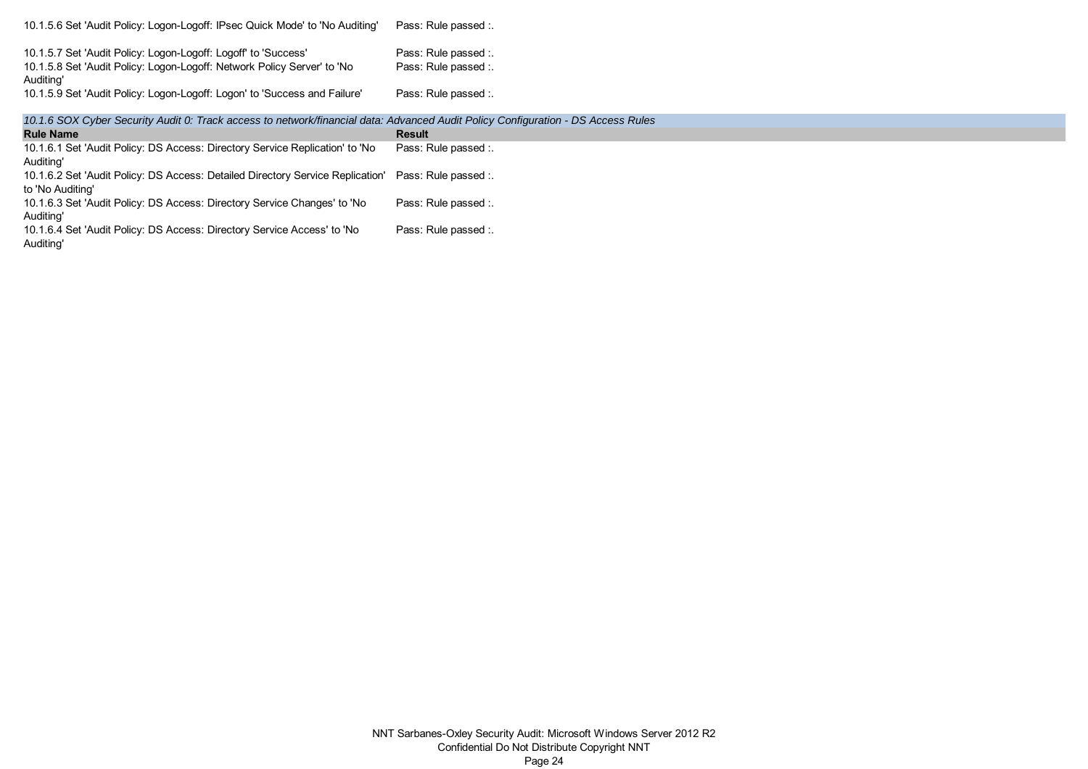| 10.1.5.6 Set 'Audit Policy: Logon-Logoff: IPsec Quick Mode' to 'No Auditing'                                                                           | Pass: Rule passed :.                         |
|--------------------------------------------------------------------------------------------------------------------------------------------------------|----------------------------------------------|
| 10.1.5.7 Set 'Audit Policy: Logon-Logoff: Logoff' to 'Success'<br>10.1.5.8 Set 'Audit Policy: Logon-Logoff: Network Policy Server' to 'No<br>Auditing' | Pass: Rule passed :.<br>Pass: Rule passed :. |
| 10.1.5.9 Set 'Audit Policy: Logon-Logoff: Logon' to 'Success and Failure'                                                                              | Pass: Rule passed :.                         |

*10.1.6 SOX Cyber Security Audit 0: Track access to network/financial data: Advanced Audit Policy Configuration - DS Access Rules*

| <b>Rule Name</b>                                                                                    | <b>Result</b>        |
|-----------------------------------------------------------------------------------------------------|----------------------|
| 10.1.6.1 Set 'Audit Policy: DS Access: Directory Service Replication' to 'No                        | Pass: Rule passed :  |
| Auditing'                                                                                           |                      |
| 10.1.6.2 Set 'Audit Policy: DS Access: Detailed Directory Service Replication' Pass: Rule passed :. |                      |
| to 'No Auditing'                                                                                    |                      |
| 10.1.6.3 Set 'Audit Policy: DS Access: Directory Service Changes' to 'No                            | Pass: Rule passed :. |
| Auditing'                                                                                           |                      |
| 10.1.6.4 Set 'Audit Policy: DS Access: Directory Service Access' to 'No                             | Pass: Rule passed :. |
| Auditing'                                                                                           |                      |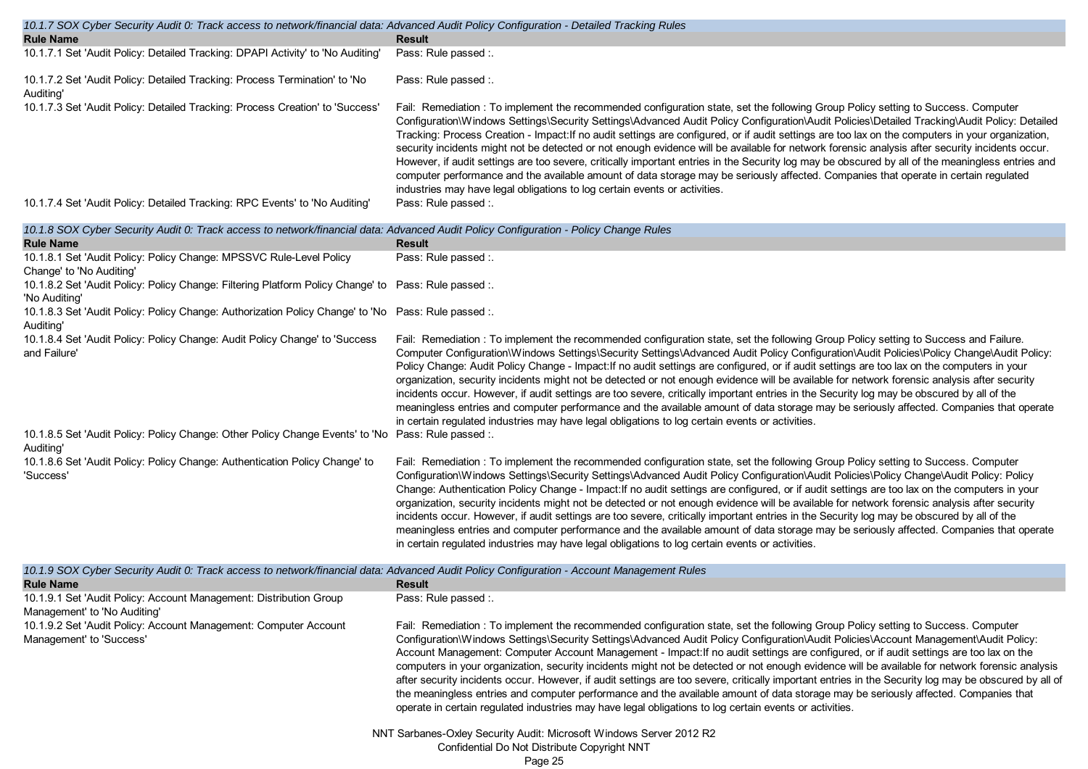| 10.1.7 SOX Cyber Security Audit 0: Track access to network/financial data: Advanced Audit Policy Configuration - Detailed Tracking Rules |                                                                                                                                                                                                                                                                                                                                                                                                                                                                                                                                                                                                                                                                                                                                                                                                                                                                                                                                                                     |
|------------------------------------------------------------------------------------------------------------------------------------------|---------------------------------------------------------------------------------------------------------------------------------------------------------------------------------------------------------------------------------------------------------------------------------------------------------------------------------------------------------------------------------------------------------------------------------------------------------------------------------------------------------------------------------------------------------------------------------------------------------------------------------------------------------------------------------------------------------------------------------------------------------------------------------------------------------------------------------------------------------------------------------------------------------------------------------------------------------------------|
| <b>Rule Name</b>                                                                                                                         | <b>Result</b>                                                                                                                                                                                                                                                                                                                                                                                                                                                                                                                                                                                                                                                                                                                                                                                                                                                                                                                                                       |
| 10.1.7.1 Set 'Audit Policy: Detailed Tracking: DPAPI Activity' to 'No Auditing'                                                          | Pass: Rule passed :                                                                                                                                                                                                                                                                                                                                                                                                                                                                                                                                                                                                                                                                                                                                                                                                                                                                                                                                                 |
| 10.1.7.2 Set 'Audit Policy: Detailed Tracking: Process Termination' to 'No<br>Auditina'                                                  | Pass: Rule passed :.                                                                                                                                                                                                                                                                                                                                                                                                                                                                                                                                                                                                                                                                                                                                                                                                                                                                                                                                                |
| 10.1.7.3 Set 'Audit Policy: Detailed Tracking: Process Creation' to 'Success'                                                            | Fail: Remediation: To implement the recommended configuration state, set the following Group Policy setting to Success. Computer<br>Configuration\Windows Settings\Security Settings\Advanced Audit Policy Configuration\Audit Policies\Detailed Tracking\Audit Policy: Detailed<br>Tracking: Process Creation - Impact: If no audit settings are configured, or if audit settings are too lax on the computers in your organization,<br>security incidents might not be detected or not enough evidence will be available for network forensic analysis after security incidents occur.<br>However, if audit settings are too severe, critically important entries in the Security log may be obscured by all of the meaningless entries and<br>computer performance and the available amount of data storage may be seriously affected. Companies that operate in certain regulated<br>industries may have legal obligations to log certain events or activities. |
| 10.1.7.4 Set 'Audit Policy: Detailed Tracking: RPC Events' to 'No Auditing'                                                              | Pass: Rule passed :.                                                                                                                                                                                                                                                                                                                                                                                                                                                                                                                                                                                                                                                                                                                                                                                                                                                                                                                                                |

| 10.1.8 SOX Cyber Security Audit 0: Track access to network/financial data: Advanced Audit Policy Configuration - Policy Change Rules                          |                                                                                                                                                                                                                                                                                                                                                                                                                                                                                                                                                                                                                                                                                                                                                                                                                                                                                                                                                                            |
|---------------------------------------------------------------------------------------------------------------------------------------------------------------|----------------------------------------------------------------------------------------------------------------------------------------------------------------------------------------------------------------------------------------------------------------------------------------------------------------------------------------------------------------------------------------------------------------------------------------------------------------------------------------------------------------------------------------------------------------------------------------------------------------------------------------------------------------------------------------------------------------------------------------------------------------------------------------------------------------------------------------------------------------------------------------------------------------------------------------------------------------------------|
| <b>Rule Name</b>                                                                                                                                              | <b>Result</b>                                                                                                                                                                                                                                                                                                                                                                                                                                                                                                                                                                                                                                                                                                                                                                                                                                                                                                                                                              |
| 10.1.8.1 Set 'Audit Policy: Policy Change: MPSSVC Rule-Level Policy<br>Change' to 'No Auditing'                                                               | Pass: Rule passed :.                                                                                                                                                                                                                                                                                                                                                                                                                                                                                                                                                                                                                                                                                                                                                                                                                                                                                                                                                       |
| 10.1.8.2 Set 'Audit Policy: Policy Change: Filtering Platform Policy Change' to Pass: Rule passed :.<br>'No Auditing'                                         |                                                                                                                                                                                                                                                                                                                                                                                                                                                                                                                                                                                                                                                                                                                                                                                                                                                                                                                                                                            |
| 10.1.8.3 Set 'Audit Policy: Policy Change: Authorization Policy Change' to 'No Pass: Rule passed :.<br>Auditing'                                              |                                                                                                                                                                                                                                                                                                                                                                                                                                                                                                                                                                                                                                                                                                                                                                                                                                                                                                                                                                            |
| 10.1.8.4 Set 'Audit Policy: Policy Change: Audit Policy Change' to 'Success<br>and Failure'                                                                   | Fail: Remediation: To implement the recommended configuration state, set the following Group Policy setting to Success and Failure.<br>Computer Configuration\Windows Settings\Security Settings\Advanced Audit Policy Configuration\Audit Policies\Policy Change\Audit Policy:<br>Policy Change: Audit Policy Change - Impact: If no audit settings are configured, or if audit settings are too lax on the computers in your<br>organization, security incidents might not be detected or not enough evidence will be available for network forensic analysis after security<br>incidents occur. However, if audit settings are too severe, critically important entries in the Security log may be obscured by all of the<br>meaningless entries and computer performance and the available amount of data storage may be seriously affected. Companies that operate<br>in certain regulated industries may have legal obligations to log certain events or activities. |
| 10.1.8.5 Set 'Audit Policy: Policy Change: Other Policy Change Events' to 'No Pass: Rule passed :.<br>Auditing'                                               |                                                                                                                                                                                                                                                                                                                                                                                                                                                                                                                                                                                                                                                                                                                                                                                                                                                                                                                                                                            |
| 10.1.8.6 Set 'Audit Policy: Policy Change: Authentication Policy Change' to<br>'Success'                                                                      | Fail: Remediation: To implement the recommended configuration state, set the following Group Policy setting to Success. Computer<br>Configuration\Windows Settings\Security Settings\Advanced Audit Policy Configuration\Audit Policies\Policy Change\Audit Policy: Policy<br>Change: Authentication Policy Change - Impact: If no audit settings are configured, or if audit settings are too lax on the computers in your<br>organization, security incidents might not be detected or not enough evidence will be available for network forensic analysis after security<br>incidents occur. However, if audit settings are too severe, critically important entries in the Security log may be obscured by all of the<br>meaningless entries and computer performance and the available amount of data storage may be seriously affected. Companies that operate<br>in certain regulated industries may have legal obligations to log certain events or activities.    |
| 10.1.9 SOX Cyber Security Audit 0: Track access to network/financial data: Advanced Audit Policy Configuration - Account Management Rules<br><b>Rule Name</b> | <b>Result</b>                                                                                                                                                                                                                                                                                                                                                                                                                                                                                                                                                                                                                                                                                                                                                                                                                                                                                                                                                              |
| 10.1.9.1 Set 'Audit Policy: Account Management: Distribution Group<br>Management' to 'No Auditing'                                                            | Pass: Rule passed :.                                                                                                                                                                                                                                                                                                                                                                                                                                                                                                                                                                                                                                                                                                                                                                                                                                                                                                                                                       |
| 10.1.9.2 Set 'Audit Policy: Account Management: Computer Account<br>Management' to 'Success'                                                                  | Fail: Remediation: To implement the recommended configuration state, set the following Group Policy setting to Success. Computer<br>Configuration\Windows Settings\Security Settings\Advanced Audit Policy Configuration\Audit Policies\Account Management\Audit Policy:                                                                                                                                                                                                                                                                                                                                                                                                                                                                                                                                                                                                                                                                                                   |

Account Management: Computer Account Management - Impact:If no audit settings are configured, or if audit settings are too lax on the computers in your organization, security incidents might not be detected or not enough evidence will be available for network forensic analysis after security incidents occur. However, if audit settings are too severe, critically important entries in the Security log may be obscured by all of the meaningless entries and computer performance and the available amount of data storage may be seriously affected. Companies that operate in certain regulated industries may have legal obligations to log certain events or activities.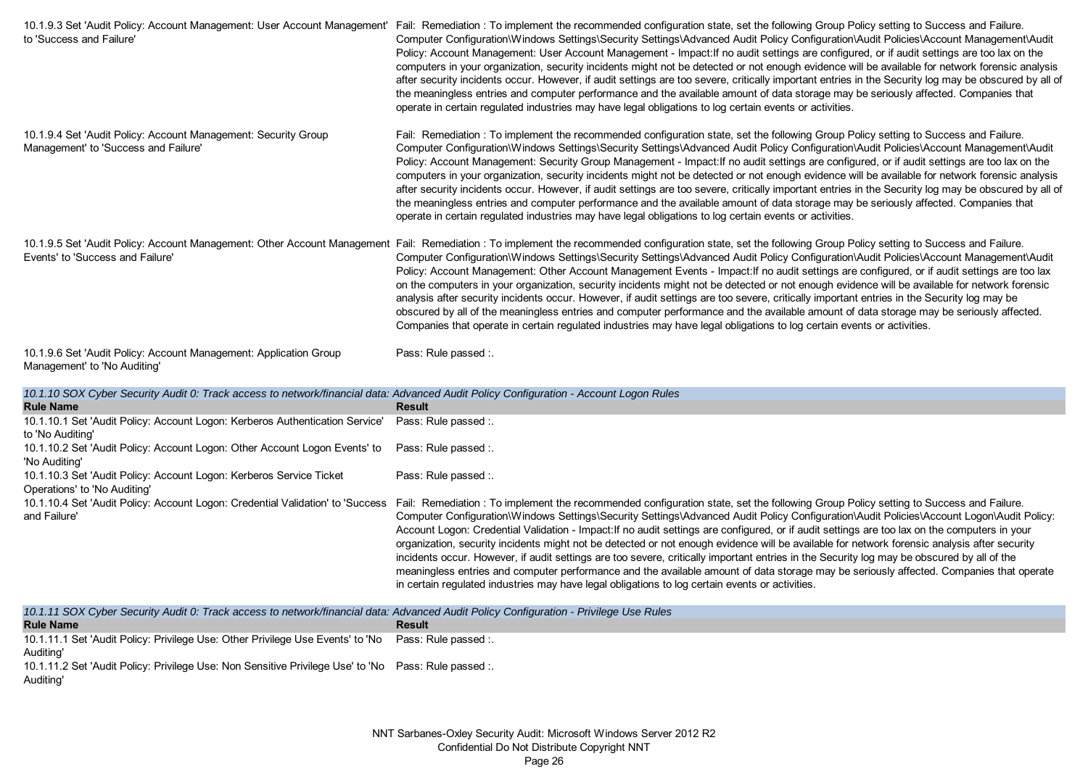| 10.1.9.3 Set 'Audit Policy: Account Management: User Account Management'<br>to 'Success and Failure'         | Fail: Remediation: To implement the recommended configuration state, set the following Group Policy setting to Success and Failure.<br>Computer Configuration\Windows Settings\Security Settings\Advanced Audit Policy Configuration\Audit Policies\Account Management\Audit<br>Policy: Account Management: User Account Management - Impact: If no audit settings are configured, or if audit settings are too lax on the<br>computers in your organization, security incidents might not be detected or not enough evidence will be available for network forensic analysis<br>after security incidents occur. However, if audit settings are too severe, critically important entries in the Security log may be obscured by all of<br>the meaningless entries and computer performance and the available amount of data storage may be seriously affected. Companies that<br>operate in certain regulated industries may have legal obligations to log certain events or activities.         |
|--------------------------------------------------------------------------------------------------------------|--------------------------------------------------------------------------------------------------------------------------------------------------------------------------------------------------------------------------------------------------------------------------------------------------------------------------------------------------------------------------------------------------------------------------------------------------------------------------------------------------------------------------------------------------------------------------------------------------------------------------------------------------------------------------------------------------------------------------------------------------------------------------------------------------------------------------------------------------------------------------------------------------------------------------------------------------------------------------------------------------|
| 10.1.9.4 Set 'Audit Policy: Account Management: Security Group<br>Management' to 'Success and Failure'       | Fail: Remediation: To implement the recommended configuration state, set the following Group Policy setting to Success and Failure.<br>Computer Configuration\Windows Settings\Security Settings\Advanced Audit Policy Configuration\Audit Policies\Account Management\Audit<br>Policy: Account Management: Security Group Management - Impact: If no audit settings are configured, or if audit settings are too lax on the<br>computers in your organization, security incidents might not be detected or not enough evidence will be available for network forensic analysis<br>after security incidents occur. However, if audit settings are too severe, critically important entries in the Security log may be obscured by all of<br>the meaningless entries and computer performance and the available amount of data storage may be seriously affected. Companies that<br>operate in certain regulated industries may have legal obligations to log certain events or activities.       |
| 10.1.9.5 Set 'Audit Policy: Account Management: Other Account Management<br>Events' to 'Success and Failure' | Fail: Remediation: To implement the recommended configuration state, set the following Group Policy setting to Success and Failure.<br>Computer Configuration\Windows Settings\Security Settings\Advanced Audit Policy Configuration\Audit Policies\Account Management\Audit<br>Policy: Account Management: Other Account Management Events - Impact: If no audit settings are configured, or if audit settings are too lax<br>on the computers in your organization, security incidents might not be detected or not enough evidence will be available for network forensic<br>analysis after security incidents occur. However, if audit settings are too severe, critically important entries in the Security log may be<br>obscured by all of the meaningless entries and computer performance and the available amount of data storage may be seriously affected.<br>Companies that operate in certain regulated industries may have legal obligations to log certain events or activities. |
| 10.1.9.6 Set 'Audit Policy: Account Management: Application Group<br>Management' to 'No Auditing'            | Pass: Rule passed :.                                                                                                                                                                                                                                                                                                                                                                                                                                                                                                                                                                                                                                                                                                                                                                                                                                                                                                                                                                             |

|  | 10.1.10 SOX Cyber Security Audit 0: Track access to network/financial data: Advanced Audit Policy Configuration - Account Logon Rules |
|--|---------------------------------------------------------------------------------------------------------------------------------------|
|  |                                                                                                                                       |

| <b>Rule Name</b>                                                               | <b>Result</b>                                                                                                                                 |
|--------------------------------------------------------------------------------|-----------------------------------------------------------------------------------------------------------------------------------------------|
| 10.1.10.1 Set 'Audit Policy: Account Logon: Kerberos Authentication Service'   | Pass: Rule passed :.                                                                                                                          |
| to 'No Auditing'                                                               |                                                                                                                                               |
| 10.1.10.2 Set 'Audit Policy: Account Logon: Other Account Logon Events' to     | Pass: Rule passed :                                                                                                                           |
| 'No Auditing'                                                                  |                                                                                                                                               |
| 10.1.10.3 Set 'Audit Policy: Account Logon: Kerberos Service Ticket            | Pass: Rule passed :                                                                                                                           |
| Operations' to 'No Auditing'                                                   |                                                                                                                                               |
| 10.1.10.4 Set 'Audit Policy: Account Logon: Credential Validation' to 'Success | Fail: Remediation: To implement the recommended configuration state, set the following Group Policy setting to Success and Failure.           |
| and Failure'                                                                   | Computer Configuration\Windows Settings\Security Settings\Advanced Audit Policy Configuration\Audit Policies\Account Logon\Audit Policy:      |
|                                                                                | Account Logon: Credential Validation - Impact: If no audit settings are configured, or if audit settings are too lax on the computers in your |
|                                                                                | organization, security incidents might not be detected or not enough evidence will be available for network forensic analysis after security  |
|                                                                                | incidents occur. However, if audit settings are too severe, critically important entries in the Security log may be obscured by all of the    |
|                                                                                | meaningless entries and computer performance and the available amount of data storage may be seriously affected. Companies that operate       |
|                                                                                | in certain regulated industries may have legal obligations to log certain events or activities.                                               |

| 10.1.11 SOX Cyber Security Audit 0: Track access to network/financial data: Advanced Audit Policy Configuration - Privilege Use Rules |               |  |  |  |
|---------------------------------------------------------------------------------------------------------------------------------------|---------------|--|--|--|
| <b>Rule Name</b>                                                                                                                      | <b>Result</b> |  |  |  |
| 10.1.11.1 Set 'Audit Policy: Privilege Use: Other Privilege Use Events' to 'No Pass: Rule passed :.                                   |               |  |  |  |
| Auditing'                                                                                                                             |               |  |  |  |
| 10.1.11.2 Set 'Audit Policy: Privilege Use: Non Sensitive Privilege Use' to 'No Pass: Rule passed :.                                  |               |  |  |  |
| Auditing'                                                                                                                             |               |  |  |  |
|                                                                                                                                       |               |  |  |  |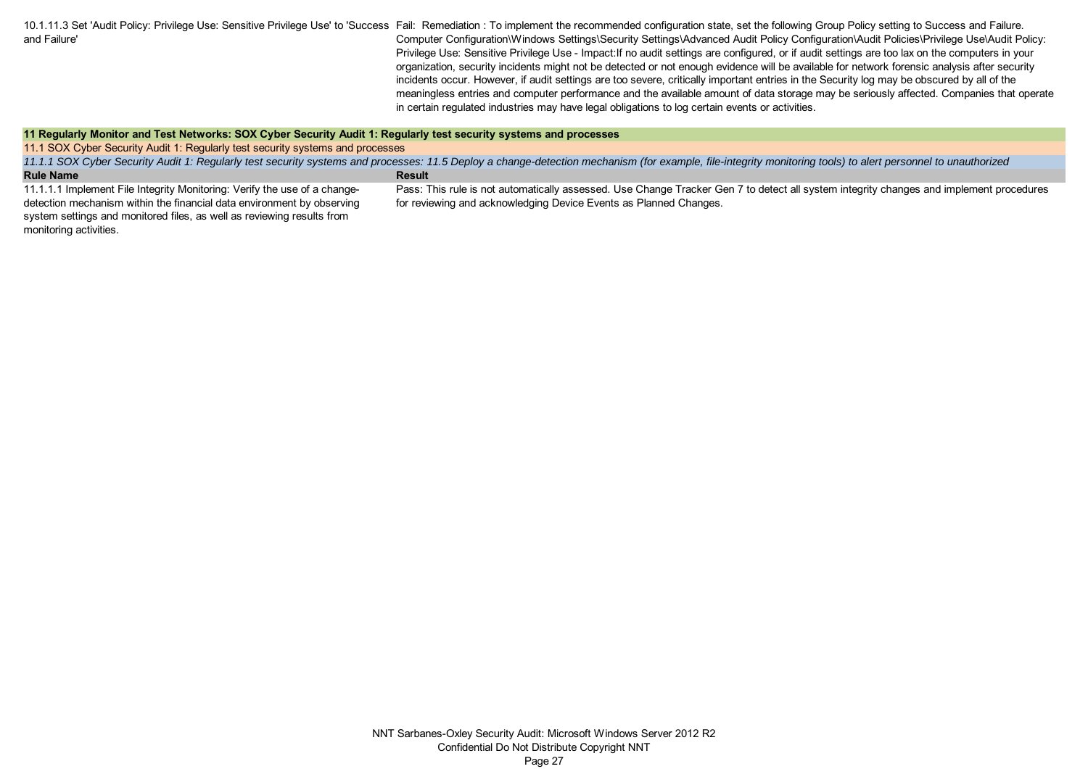10.1.11.3 Set 'Audit Policy: Privilege Use: Sensitive Privilege Use' to 'Success Fail: Remediation : To implement the recommended configuration state, set the following Group Policy setting to Success and Failure. and Failure' Computer Configuration\Windows Settings\Security Settings\Advanced Audit Policy Configuration\Audit Policies\Privilege Use\Audit Policy: Privilege Use: Sensitive Privilege Use - Impact:If no audit settings are configured, or if audit settings are too lax on the computers in your organization, security incidents might not be detected or not enough evidence will be available for network forensic analysis after security incidents occur. However, if audit settings are too severe, critically important entries in the Security log may be obscured by all of the meaningless entries and computer performance and the available amount of data storage may be seriously affected. Companies that operate in certain regulated industries may have legal obligations to log certain events or activities.

#### **11 Regularly Monitor and Test Networks: SOX Cyber Security Audit 1: Regularly test security systems and processes**

11.1 SOX Cyber Security Audit 1: Regularly test security systems and processes

**Rule Name**<br> **Rule Name** *11.1.1 SOX Cyber Security Audit 1: Regularly test security systems and processes: 11.5 Deploy a change-detection mechanism (for example, file-integrity monitoring tools) to alert personnel to unauthorized* 

11.1.1.1 Implement File Integrity Monitoring: Verify the use of a changedetection mechanism within the financial data environment by observing system settings and monitored files, as well as reviewing results from monitoring activities.

Pass: This rule is not automatically assessed. Use Change Tracker Gen 7 to detect all system integrity changes and implement procedures for reviewing and acknowledging Device Events as Planned Changes.